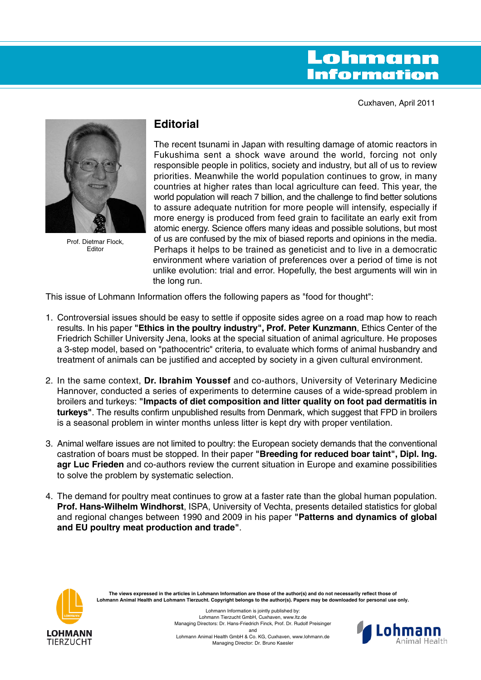# Lohmann **Information**

Cuxhaven, April 2011



Prof. Dietmar Flock, Editor

## **Editorial**

The recent tsunami in Japan with resulting damage of atomic reactors in Fukushima sent a shock wave around the world, forcing not only responsible people in politics, society and industry, but all of us to review priorities. Meanwhile the world population continues to grow, in many countries at higher rates than local agriculture can feed. This year, the world population will reach 7 billion, and the challenge to find better solutions to assure adequate nutrition for more people will intensify, especially if more energy is produced from feed grain to facilitate an early exit from atomic energy. Science offers many ideas and possible solutions, but most of us are confused by the mix of biased reports and opinions in the media. Perhaps it helps to be trained as geneticist and to live in a democratic environment where variation of preferences over a period of time is not unlike evolution: trial and error. Hopefully, the best arguments will win in the long run.

This issue of Lohmann Information offers the following papers as "food for thought":

- 1. Controversial issues should be easy to settle if opposite sides agree on a road map how to reach results. In his paper **"Ethics in the poultry industry", Prof. Peter Kunzmann**, Ethics Center of the Friedrich Schiller University Jena, looks at the special situation of animal agriculture. He proposes a 3-step model, based on "pathocentric" criteria, to evaluate which forms of animal husbandry and treatment of animals can be justified and accepted by society in a given cultural environment.
- 2. In the same context, **Dr. Ibrahim Youssef** and co-authors, University of Veterinary Medicine Hannover, conducted a series of experiments to determine causes of a wide-spread problem in broilers and turkeys: **"Impacts of diet composition and litter quality on foot pad dermatitis in turkeys"**. The results confirm unpublished results from Denmark, which suggest that FPD in broilers is a seasonal problem in winter months unless litter is kept dry with proper ventilation.
- 3. Animal welfare issues are not limited to poultry: the European society demands that the conventional castration of boars must be stopped. In their paper **"Breeding for reduced boar taint", Dipl. Ing. agr Luc Frieden** and co-authors review the current situation in Europe and examine possibilities to solve the problem by systematic selection.
- 4. The demand for poultry meat continues to grow at a faster rate than the global human population. **Prof. Hans-Wilhelm Windhorst**, ISPA, University of Vechta, presents detailed statistics for global and regional changes between 1990 and 2009 in his paper **"Patterns and dynamics of global and EU poultry meat production and trade"**.



**The views expressed in the articles in Lohmann Information are those of the author(s) and do not necessarily reflect those of Lohmann Animal Health and Lohmann Tierzucht. Copyright belongs to the author(s). Papers may be downloaded for personal use only.** Lohmann Information is jointly published by:

Lohmann Tierzucht GmbH, Cuxhaven, www.ltz.de Managing Directors: Dr. Hans-Friedrich Finck, Prof. Dr. Rudolf Preisinger and Lohmann Animal Health GmbH & Co. KG, Cuxhaven, www.lohmann.de Managing Director: Dr. Bruno Kaesler

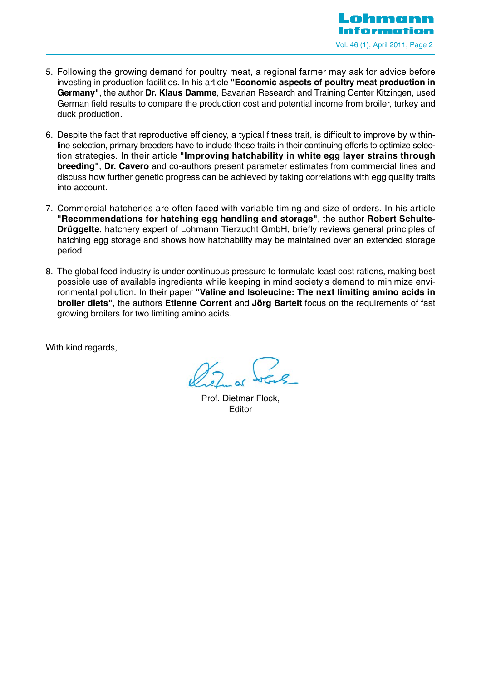

- 5. Following the growing demand for poultry meat, a regional farmer may ask for advice before investing in production facilities. In his article **"Economic aspects of poultry meat production in Germany"**, the author **Dr. Klaus Damme**, Bavarian Research and Training Center Kitzingen, used German field results to compare the production cost and potential income from broiler, turkey and duck production.
- 6. Despite the fact that reproductive efficiency, a typical fitness trait, is difficult to improve by withinline selection, primary breeders have to include these traits in their continuing efforts to optimize selection strategies. In their article **"Improving hatchability in white egg layer strains through breeding"**, **Dr. Cavero** and co-authors present parameter estimates from commercial lines and discuss how further genetic progress can be achieved by taking correlations with egg quality traits into account.
- 7. Commercial hatcheries are often faced with variable timing and size of orders. In his article **"Recommendations for hatching egg handling and storage"**, the author **Robert Schulte-Drüggelte**, hatchery expert of Lohmann Tierzucht GmbH, briefly reviews general principles of hatching egg storage and shows how hatchability may be maintained over an extended storage period.
- 8. The global feed industry is under continuous pressure to formulate least cost rations, making best possible use of available ingredients while keeping in mind society's demand to minimize environmental pollution. In their paper **"Valine and Isoleucine: The next limiting amino acids in broiler diets"**, the authors **Etienne Corrent** and **Jörg Bartelt** focus on the requirements of fast growing broilers for two limiting amino acids.

With kind regards,

Prof. Dietmar Flock, **Editor**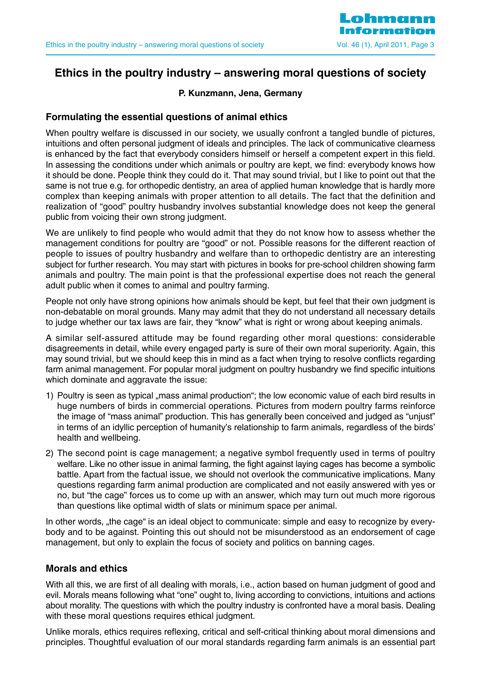

## **Ethics in the poultry industry – answering moral questions of society**

#### **P. Kunzmann, Jena, Germany**

#### **Formulating the essential questions of animal ethics**

When poultry welfare is discussed in our society, we usually confront a tangled bundle of pictures, intuitions and often personal judgment of ideals and principles. The lack of communicative clearness is enhanced by the fact that everybody considers himself or herself a competent expert in this field. In assessing the conditions under which animals or poultry are kept, we find: everybody knows how it should be done. People think they could do it. That may sound trivial, but I like to point out that the same is not true e.g. for orthopedic dentistry, an area of applied human knowledge that is hardly more complex than keeping animals with proper attention to all details. The fact that the definition and realization of "good" poultry husbandry involves substantial knowledge does not keep the general public from voicing their own strong judgment.

We are unlikely to find people who would admit that they do not know how to assess whether the management conditions for poultry are "good" or not. Possible reasons for the different reaction of people to issues of poultry husbandry and welfare than to orthopedic dentistry are an interesting subject for further research. You may start with pictures in books for pre-school children showing farm animals and poultry. The main point is that the professional expertise does not reach the general adult public when it comes to animal and poultry farming.

People not only have strong opinions how animals should be kept, but feel that their own judgment is non-debatable on moral grounds. Many may admit that they do not understand all necessary details to judge whether our tax laws are fair, they "know" what is right or wrong about keeping animals.

A similar self-assured attitude may be found regarding other moral questions: considerable disagreements in detail, while every engaged party is sure of their own moral superiority. Again, this may sound trivial, but we should keep this in mind as a fact when trying to resolve conflicts regarding farm animal management. For popular moral judgment on poultry husbandry we find specific intuitions which dominate and aggravate the issue:

- 1) Poultry is seen as typical "mass animal production"; the low economic value of each bird results in huge numbers of birds in commercial operations. Pictures from modern poultry farms reinforce the image of "mass animal" production. This has generally been conceived and judged as "unjust" in terms of an idyllic perception of humanity's relationship to farm animals, regardless of the birds' health and wellbeing.
- 2) The second point is cage management; a negative symbol frequently used in terms of poultry welfare. Like no other issue in animal farming, the fight against laying cages has become a symbolic battle. Apart from the factual issue, we should not overlook the communicative implications. Many questions regarding farm animal production are complicated and not easily answered with yes or no, but "the cage" forces us to come up with an answer, which may turn out much more rigorous than questions like optimal width of slats or minimum space per animal.

In other words, "the cage" is an ideal object to communicate: simple and easy to recognize by everybody and to be against. Pointing this out should not be misunderstood as an endorsement of cage management, but only to explain the focus of society and politics on banning cages.

#### **Morals and ethics**

With all this, we are first of all dealing with morals, i.e., action based on human judgment of good and evil. Morals means following what "one" ought to, living according to convictions, intuitions and actions about morality. The questions with which the poultry industry is confronted have a moral basis. Dealing with these moral questions requires ethical judgment.

Unlike morals, ethics requires reflexing, critical and self-critical thinking about moral dimensions and principles. Thoughtful evaluation of our moral standards regarding farm animals is an essential part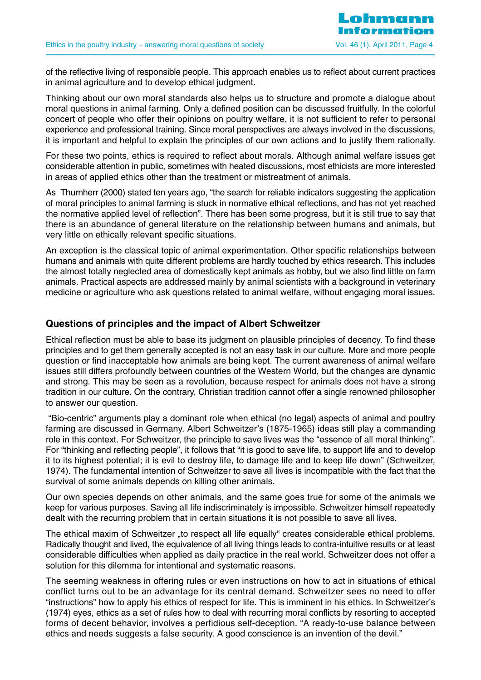of the reflective living of responsible people. This approach enables us to reflect about current practices in animal agriculture and to develop ethical judgment.

Thinking about our own moral standards also helps us to structure and promote a dialogue about moral questions in animal farming. Only a defined position can be discussed fruitfully. In the colorful concert of people who offer their opinions on poultry welfare, it is not sufficient to refer to personal experience and professional training. Since moral perspectives are always involved in the discussions, it is important and helpful to explain the principles of our own actions and to justify them rationally.

For these two points, ethics is required to reflect about morals. Although animal welfare issues get considerable attention in public, sometimes with heated discussions, most ethicists are more interested in areas of applied ethics other than the treatment or mistreatment of animals.

As Thurnherr (2000) stated ten years ago, "the search for reliable indicators suggesting the application of moral principles to animal farming is stuck in normative ethical reflections, and has not yet reached the normative applied level of reflection". There has been some progress, but it is still true to say that there is an abundance of general literature on the relationship between humans and animals, but very little on ethically relevant specific situations.

An exception is the classical topic of animal experimentation. Other specific relationships between humans and animals with quite different problems are hardly touched by ethics research. This includes the almost totally neglected area of domestically kept animals as hobby, but we also find little on farm animals. Practical aspects are addressed mainly by animal scientists with a background in veterinary medicine or agriculture who ask questions related to animal welfare, without engaging moral issues.

#### **Questions of principles and the impact of Albert Schweitzer**

Ethical reflection must be able to base its judgment on plausible principles of decency. To find these principles and to get them generally accepted is not an easy task in our culture. More and more people question or find inacceptable how animals are being kept. The current awareness of animal welfare issues still differs profoundly between countries of the Western World, but the changes are dynamic and strong. This may be seen as a revolution, because respect for animals does not have a strong tradition in our culture. On the contrary, Christian tradition cannot offer a single renowned philosopher to answer our question.

"Bio-centric" arguments play a dominant role when ethical (no legal) aspects of animal and poultry farming are discussed in Germany. Albert Schweitzer's (1875-1965) ideas still play a commanding role in this context. For Schweitzer, the principle to save lives was the "essence of all moral thinking". For "thinking and reflecting people", it follows that "it is good to save life, to support life and to develop it to its highest potential; it is evil to destroy life, to damage life and to keep life down" (Schweitzer, 1974). The fundamental intention of Schweitzer to save all lives is incompatible with the fact that the survival of some animals depends on killing other animals.

Our own species depends on other animals, and the same goes true for some of the animals we keep for various purposes. Saving all life indiscriminately is impossible. Schweitzer himself repeatedly dealt with the recurring problem that in certain situations it is not possible to save all lives.

The ethical maxim of Schweitzer "to respect all life equally" creates considerable ethical problems. Radically thought and lived, the equivalence of all living things leads to contra-intuitive results or at least considerable difficulties when applied as daily practice in the real world. Schweitzer does not offer a solution for this dilemma for intentional and systematic reasons.

The seeming weakness in offering rules or even instructions on how to act in situations of ethical conflict turns out to be an advantage for its central demand. Schweitzer sees no need to offer "instructions" how to apply his ethics of respect for life. This is imminent in his ethics. In Schweitzer's (1974) eyes, ethics as a set of rules how to deal with recurring moral conflicts by resorting to accepted forms of decent behavior, involves a perfidious self-deception. "A ready-to-use balance between ethics and needs suggests a false security. A good conscience is an invention of the devil."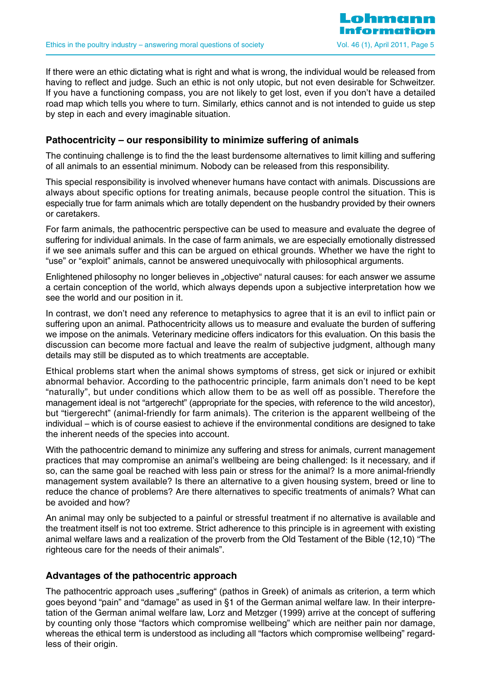

If there were an ethic dictating what is right and what is wrong, the individual would be released from having to reflect and judge. Such an ethic is not only utopic, but not even desirable for Schweitzer. If you have a functioning compass, you are not likely to get lost, even if you don't have a detailed road map which tells you where to turn. Similarly, ethics cannot and is not intended to guide us step by step in each and every imaginable situation.

#### **Pathocentricity – our responsibility to minimize suffering of animals**

The continuing challenge is to find the the least burdensome alternatives to limit killing and suffering of all animals to an essential minimum. Nobody can be released from this responsibility.

This special responsibility is involved whenever humans have contact with animals. Discussions are always about specific options for treating animals, because people control the situation. This is especially true for farm animals which are totally dependent on the husbandry provided by their owners or caretakers.

For farm animals, the pathocentric perspective can be used to measure and evaluate the degree of suffering for individual animals. In the case of farm animals, we are especially emotionally distressed if we see animals suffer and this can be argued on ethical grounds. Whether we have the right to "use" or "exploit" animals, cannot be answered unequivocally with philosophical arguments.

Enlightened philosophy no longer believes in "objective" natural causes: for each answer we assume a certain conception of the world, which always depends upon a subjective interpretation how we see the world and our position in it.

In contrast, we don't need any reference to metaphysics to agree that it is an evil to inflict pain or suffering upon an animal. Pathocentricity allows us to measure and evaluate the burden of suffering we impose on the animals. Veterinary medicine offers indicators for this evaluation. On this basis the discussion can become more factual and leave the realm of subjective judgment, although many details may still be disputed as to which treatments are acceptable.

Ethical problems start when the animal shows symptoms of stress, get sick or injured or exhibit abnormal behavior. According to the pathocentric principle, farm animals don't need to be kept "naturally", but under conditions which allow them to be as well off as possible. Therefore the management ideal is not "artgerecht" (appropriate for the species, with reference to the wild ancestor), but "tiergerecht" (animal-friendly for farm animals). The criterion is the apparent wellbeing of the individual – which is of course easiest to achieve if the environmental conditions are designed to take the inherent needs of the species into account.

With the pathocentric demand to minimize any suffering and stress for animals, current management practices that may compromise an animal's wellbeing are being challenged: Is it necessary, and if so, can the same goal be reached with less pain or stress for the animal? Is a more animal-friendly management system available? Is there an alternative to a given housing system, breed or line to reduce the chance of problems? Are there alternatives to specific treatments of animals? What can be avoided and how?

An animal may only be subjected to a painful or stressful treatment if no alternative is available and the treatment itself is not too extreme. Strict adherence to this principle is in agreement with existing animal welfare laws and a realization of the proverb from the Old Testament of the Bible (12,10) "The righteous care for the needs of their animals".

#### **Advantages of the pathocentric approach**

The pathocentric approach uses "suffering" (pathos in Greek) of animals as criterion, a term which goes beyond "pain" and "damage" as used in §1 of the German animal welfare law. In their interpretation of the German animal welfare law, Lorz and Metzger (1999) arrive at the concept of suffering by counting only those "factors which compromise wellbeing" which are neither pain nor damage, whereas the ethical term is understood as including all "factors which compromise wellbeing" regardless of their origin.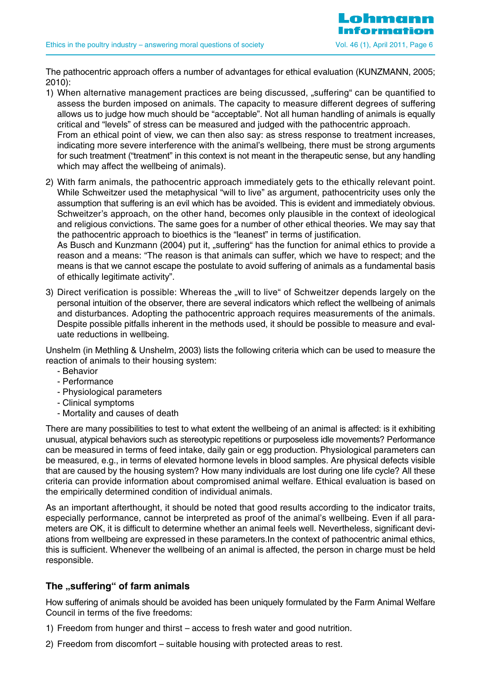The pathocentric approach offers a number of advantages for ethical evaluation (KUNZMANN, 2005; 2010):

- 1) When alternative management practices are being discussed, "suffering" can be quantified to assess the burden imposed on animals. The capacity to measure different degrees of suffering allows us to judge how much should be "acceptable". Not all human handling of animals is equally critical and "levels" of stress can be measured and judged with the pathocentric approach. From an ethical point of view, we can then also say: as stress response to treatment increases, indicating more severe interference with the animal's wellbeing, there must be strong arguments for such treatment ("treatment" in this context is not meant in the therapeutic sense, but any handling which may affect the wellbeing of animals).
- 2) With farm animals, the pathocentric approach immediately gets to the ethically relevant point. While Schweitzer used the metaphysical "will to live" as argument, pathocentricity uses only the assumption that suffering is an evil which has be avoided. This is evident and immediately obvious. Schweitzer's approach, on the other hand, becomes only plausible in the context of ideological and religious convictions. The same goes for a number of other ethical theories. We may say that the pathocentric approach to bioethics is the "leanest" in terms of justification. As Busch and Kunzmann (2004) put it, "suffering" has the function for animal ethics to provide a

reason and a means: "The reason is that animals can suffer, which we have to respect; and the means is that we cannot escape the postulate to avoid suffering of animals as a fundamental basis of ethically legitimate activity".

3) Direct verification is possible: Whereas the "will to live" of Schweitzer depends largely on the personal intuition of the observer, there are several indicators which reflect the wellbeing of animals and disturbances. Adopting the pathocentric approach requires measurements of the animals. Despite possible pitfalls inherent in the methods used, it should be possible to measure and evaluate reductions in wellbeing.

Unshelm (in Methling & Unshelm, 2003) lists the following criteria which can be used to measure the reaction of animals to their housing system:

- Behavior
- Performance
- Physiological parameters
- Clinical symptoms
- Mortality and causes of death

There are many possibilities to test to what extent the wellbeing of an animal is affected: is it exhibiting unusual, atypical behaviors such as stereotypic repetitions or purposeless idle movements? Performance can be measured in terms of feed intake, daily gain or egg production. Physiological parameters can be measured, e.g., in terms of elevated hormone levels in blood samples. Are physical defects visible that are caused by the housing system? How many individuals are lost during one life cycle? All these criteria can provide information about compromised animal welfare. Ethical evaluation is based on the empirically determined condition of individual animals.

As an important afterthought, it should be noted that good results according to the indicator traits, especially performance, cannot be interpreted as proof of the animal's wellbeing. Even if all parameters are OK, it is difficult to determine whether an animal feels well. Nevertheless, significant deviations from wellbeing are expressed in these parameters.In the context of pathocentric animal ethics, this is sufficient. Whenever the wellbeing of an animal is affected, the person in charge must be held responsible.

## The "suffering" of farm animals

How suffering of animals should be avoided has been uniquely formulated by the Farm Animal Welfare Council in terms of the five freedoms:

- 1) Freedom from hunger and thirst access to fresh water and good nutrition.
- 2) Freedom from discomfort suitable housing with protected areas to rest.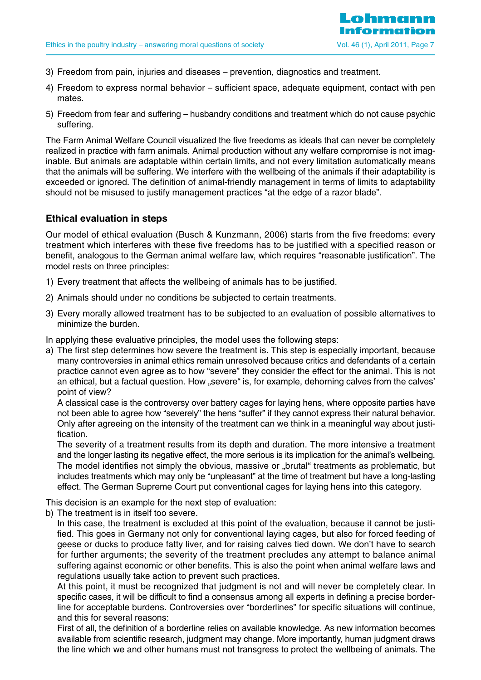- 3) Freedom from pain, injuries and diseases prevention, diagnostics and treatment.
- 4) Freedom to express normal behavior sufficient space, adequate equipment, contact with pen mates.
- 5) Freedom from fear and suffering husbandry conditions and treatment which do not cause psychic suffering.

The Farm Animal Welfare Council visualized the five freedoms as ideals that can never be completely realized in practice with farm animals. Animal production without any welfare compromise is not imaginable. But animals are adaptable within certain limits, and not every limitation automatically means that the animals will be suffering. We interfere with the wellbeing of the animals if their adaptability is exceeded or ignored. The definition of animal-friendly management in terms of limits to adaptability should not be misused to justify management practices "at the edge of a razor blade".

#### **Ethical evaluation in steps**

Our model of ethical evaluation (Busch & Kunzmann, 2006) starts from the five freedoms: every treatment which interferes with these five freedoms has to be justified with a specified reason or benefit, analogous to the German animal welfare law, which requires "reasonable justification". The model rests on three principles:

- 1) Every treatment that affects the wellbeing of animals has to be justified.
- 2) Animals should under no conditions be subjected to certain treatments.
- 3) Every morally allowed treatment has to be subjected to an evaluation of possible alternatives to minimize the burden.
- In applying these evaluative principles, the model uses the following steps:
- a) The first step determines how severe the treatment is. This step is especially important, because many controversies in animal ethics remain unresolved because critics and defendants of a certain practice cannot even agree as to how "severe" they consider the effect for the animal. This is not an ethical, but a factual question. How "severe" is, for example, dehorning calves from the calves' point of view?

A classical case is the controversy over battery cages for laying hens, where opposite parties have not been able to agree how "severely" the hens "suffer" if they cannot express their natural behavior. Only after agreeing on the intensity of the treatment can we think in a meaningful way about justification.

The severity of a treatment results from its depth and duration. The more intensive a treatment and the longer lasting its negative effect, the more serious is its implication for the animal's wellbeing. The model identifies not simply the obvious, massive or "brutal" treatments as problematic, but includes treatments which may only be "unpleasant" at the time of treatment but have a long-lasting effect. The German Supreme Court put conventional cages for laying hens into this category.

This decision is an example for the next step of evaluation:

b) The treatment is in itself too severe.

In this case, the treatment is excluded at this point of the evaluation, because it cannot be justified. This goes in Germany not only for conventional laying cages, but also for forced feeding of geese or ducks to produce fatty liver, and for raising calves tied down. We don't have to search for further arguments; the severity of the treatment precludes any attempt to balance animal suffering against economic or other benefits. This is also the point when animal welfare laws and regulations usually take action to prevent such practices.

At this point, it must be recognized that judgment is not and will never be completely clear. In specific cases, it will be difficult to find a consensus among all experts in defining a precise borderline for acceptable burdens. Controversies over "borderlines" for specific situations will continue, and this for several reasons:

First of all, the definition of a borderline relies on available knowledge. As new information becomes available from scientific research, judgment may change. More importantly, human judgment draws the line which we and other humans must not transgress to protect the wellbeing of animals. The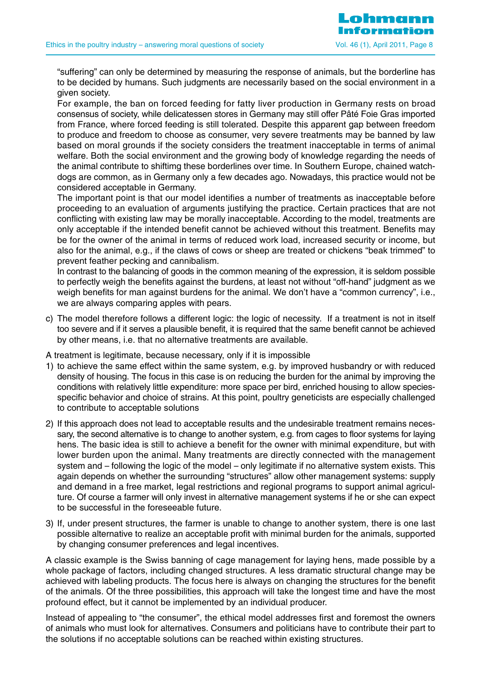"suffering" can only be determined by measuring the response of animals, but the borderline has to be decided by humans. Such judgments are necessarily based on the social environment in a given society.

For example, the ban on forced feeding for fatty liver production in Germany rests on broad consensus of society, while delicatessen stores in Germany may still offer Pâté Foie Gras imported from France, where forced feeding is still tolerated. Despite this apparent gap between freedom to produce and freedom to choose as consumer, very severe treatments may be banned by law based on moral grounds if the society considers the treatment inacceptable in terms of animal welfare. Both the social environment and the growing body of knowledge regarding the needs of the animal contribute to shiftimg these borderlines over time. In Southern Europe, chained watchdogs are common, as in Germany only a few decades ago. Nowadays, this practice would not be considered acceptable in Germany.

The important point is that our model identifies a number of treatments as inacceptable before proceeding to an evaluation of arguments justifying the practice. Certain practices that are not conflicting with existing law may be morally inacceptable. According to the model, treatments are only acceptable if the intended benefit cannot be achieved without this treatment. Benefits may be for the owner of the animal in terms of reduced work load, increased security or income, but also for the animal, e.g., if the claws of cows or sheep are treated or chickens "beak trimmed" to prevent feather pecking and cannibalism.

In contrast to the balancing of goods in the common meaning of the expression, it is seldom possible to perfectly weigh the benefits against the burdens, at least not without "off-hand" judgment as we weigh benefits for man against burdens for the animal. We don't have a "common currency", i.e., we are always comparing apples with pears.

c) The model therefore follows a different logic: the logic of necessity. If a treatment is not in itself too severe and if it serves a plausible benefit, it is required that the same benefit cannot be achieved by other means, i.e. that no alternative treatments are available.

A treatment is legitimate, because necessary, only if it is impossible

- 1) to achieve the same effect within the same system, e.g. by improved husbandry or with reduced density of housing. The focus in this case is on reducing the burden for the animal by improving the conditions with relatively little expenditure: more space per bird, enriched housing to allow speciesspecific behavior and choice of strains. At this point, poultry geneticists are especially challenged to contribute to acceptable solutions
- 2) If this approach does not lead to acceptable results and the undesirable treatment remains necessary, the second alternative is to change to another system, e.g. from cages to floor systems for laying hens. The basic idea is still to achieve a benefit for the owner with minimal expenditure, but with lower burden upon the animal. Many treatments are directly connected with the management system and – following the logic of the model – only legitimate if no alternative system exists. This again depends on whether the surrounding "structures" allow other management systems: supply and demand in a free market, legal restrictions and regional programs to support animal agriculture. Of course a farmer will only invest in alternative management systems if he or she can expect to be successful in the foreseeable future.
- 3) If, under present structures, the farmer is unable to change to another system, there is one last possible alternative to realize an acceptable profit with minimal burden for the animals, supported by changing consumer preferences and legal incentives.

A classic example is the Swiss banning of cage management for laying hens, made possible by a whole package of factors, including changed structures. A less dramatic structural change may be achieved with labeling products. The focus here is always on changing the structures for the benefit of the animals. Of the three possibilities, this approach will take the longest time and have the most profound effect, but it cannot be implemented by an individual producer.

Instead of appealing to "the consumer", the ethical model addresses first and foremost the owners of animals who must look for alternatives. Consumers and politicians have to contribute their part to the solutions if no acceptable solutions can be reached within existing structures.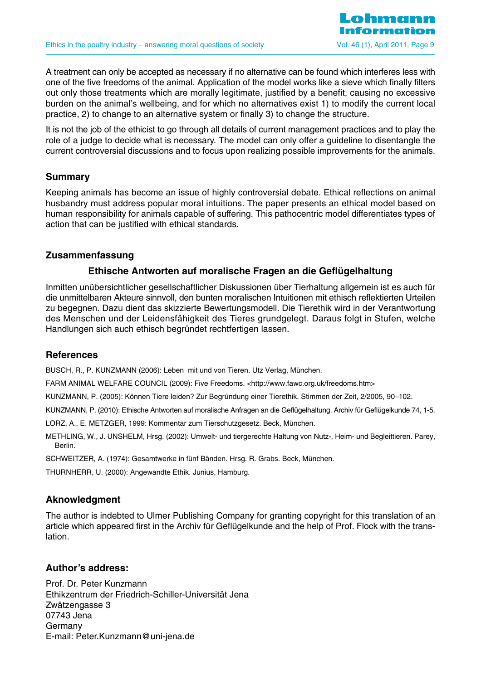A treatment can only be accepted as necessary if no alternative can be found which interferes less with one of the five freedoms of the animal. Application of the model works like a sieve which finally filters out only those treatments which are morally legitimate, justified by a benefit, causing no excessive burden on the animal's wellbeing, and for which no alternatives exist 1) to modify the current local practice, 2) to change to an alternative system or finally 3) to change the structure.

It is not the job of the ethicist to go through all details of current management practices and to play the role of a judge to decide what is necessary. The model can only offer a guideline to disentangle the current controversial discussions and to focus upon realizing possible improvements for the animals.

## **Summary**

Keeping animals has become an issue of highly controversial debate. Ethical reflections on animal husbandry must address popular moral intuitions. The paper presents an ethical model based on human responsibility for animals capable of suffering. This pathocentric model differentiates types of action that can be justified with ethical standards.

#### **Zusammenfassung**

#### **Ethische Antworten auf moralische Fragen an die Geflügelhaltung**

Inmitten unübersichtlicher gesellschaftlicher Diskussionen über Tierhaltung allgemein ist es auch für die unmittelbaren Akteure sinnvoll, den bunten moralischen Intuitionen mit ethisch reflektierten Urteilen zu begegnen. Dazu dient das skizzierte Bewertungsmodell. Die Tierethik wird in der Verantwortung des Menschen und der Leidensfähigkeit des Tieres grundgelegt. Daraus folgt in Stufen, welche Handlungen sich auch ethisch begründet rechtfertigen lassen.

#### **References**

BUSCH, R., P. KUNZMANN (2006): Leben mit und von Tieren. Utz Verlag, München.

FARM ANIMAL WELFARE COUNCIL (2009): Five Freedoms. <http://www.fawc.org.uk/freedoms.htm>

KUNZMANN, P. (2005): Können Tiere leiden? Zur Begründung einer Tierethik. Stimmen der Zeit, 2/2005, 90–102.

KUNZMANN, P. (2010): Ethische Antworten auf moralische Anfragen an die Geflügelhaltung. Archiv für Geflügelkunde 74, 1-5.

LORZ, A., E. METZGER, 1999: Kommentar zum Tierschutzgesetz. Beck, München.

METHLING, W., J. UNSHELM, Hrsg. (2002): Umwelt- und tiergerechte Haltung von Nutz-, Heim- und Begleittieren. Parey, Berlin.

SCHWEITZER, A. (1974): Gesamtwerke in fünf Bänden. Hrsg. R. Grabs. Beck, München.

THURNHERR, U. (2000): Angewandte Ethik. Junius, Hamburg.

#### **Aknowledgment**

The author is indebted to Ulmer Publishing Company for granting copyright for this translation of an article which appeared first in the Archiv für Geflügelkunde and the help of Prof. Flock with the translation.

#### **Author's address:**

Prof. Dr. Peter Kunzmann Ethikzentrum der Friedrich-Schiller-Universität Jena Zwätzengasse 3 07743 Jena Germany E-mail: Peter.Kunzmann@uni-jena.de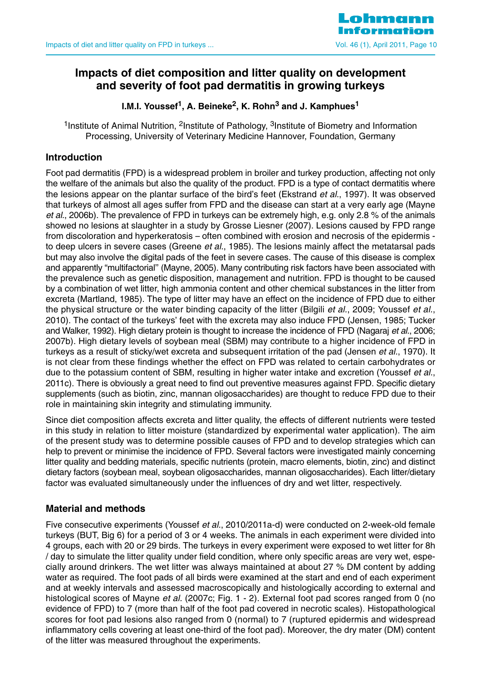

## **Impacts of diet composition and litter quality on development and severity of foot pad dermatitis in growing turkeys**

**I.M.I. Youssef1, A. Beineke2, K. Rohn3 and J. Kamphues1**

<sup>1</sup> Institute of Animal Nutrition, <sup>2</sup> Institute of Pathology, <sup>3</sup> Institute of Biometry and Information Processing, University of Veterinary Medicine Hannover, Foundation, Germany

## **Introduction**

Foot pad dermatitis (FPD) is a widespread problem in broiler and turkey production, affecting not only the welfare of the animals but also the quality of the product. FPD is a type of contact dermatitis where the lesions appear on the plantar surface of the bird's feet (Ekstrand et al., 1997). It was observed that turkeys of almost all ages suffer from FPD and the disease can start at a very early age (Mayne et al., 2006b). The prevalence of FPD in turkeys can be extremely high, e.g. only 2.8 % of the animals showed no lesions at slaughter in a study by Grosse Liesner (2007). Lesions caused by FPD range from discoloration and hyperkeratosis – often combined with erosion and necrosis of the epidermis to deep ulcers in severe cases (Greene *et al.*, 1985). The lesions mainly affect the metatarsal pads but may also involve the digital pads of the feet in severe cases. The cause of this disease is complex and apparently "multifactorial'' (Mayne, 2005). Many contributing risk factors have been associated with the prevalence such as genetic disposition, management and nutrition. FPD is thought to be caused by a combination of wet litter, high ammonia content and other chemical substances in the litter from excreta (Martland, 1985). The type of litter may have an effect on the incidence of FPD due to either the physical structure or the water binding capacity of the litter (Bilgili et al., 2009; Youssef et al., 2010). The contact of the turkeys' feet with the excreta may also induce FPD (Jensen, 1985; Tucker and Walker, 1992). High dietary protein is thought to increase the incidence of FPD (Nagaraj et al., 2006; 2007b). High dietary levels of soybean meal (SBM) may contribute to a higher incidence of FPD in turkeys as a result of sticky/wet excreta and subsequent irritation of the pad (Jensen et al., 1970). It is not clear from these findings whether the effect on FPD was related to certain carbohydrates or due to the potassium content of SBM, resulting in higher water intake and excretion (Youssef et al., 2011c). There is obviously a great need to find out preventive measures against FPD. Specific dietary supplements (such as biotin, zinc, mannan oligosaccharides) are thought to reduce FPD due to their role in maintaining skin integrity and stimulating immunity.

Since diet composition affects excreta and litter quality, the effects of different nutrients were tested in this study in relation to litter moisture (standardized by experimental water application). The aim of the present study was to determine possible causes of FPD and to develop strategies which can help to prevent or minimise the incidence of FPD. Several factors were investigated mainly concerning litter quality and bedding materials, specific nutrients (protein, macro elements, biotin, zinc) and distinct dietary factors (soybean meal, soybean oligosaccharides, mannan oligosaccharides). Each litter/dietary factor was evaluated simultaneously under the influences of dry and wet litter, respectively.

## **Material and methods**

Five consecutive experiments (Youssef et al., 2010/2011a-d) were conducted on 2-week-old female turkeys (BUT, Big 6) for a period of 3 or 4 weeks. The animals in each experiment were divided into 4 groups, each with 20 or 29 birds. The turkeys in every experiment were exposed to wet litter for 8h / day to simulate the litter quality under field condition, where only specific areas are very wet, especially around drinkers. The wet litter was always maintained at about 27 % DM content by adding water as required. The foot pads of all birds were examined at the start and end of each experiment and at weekly intervals and assessed macroscopically and histologically according to external and histological scores of Mayne et al. (2007c; Fig. 1 - 2). External foot pad scores ranged from 0 (no evidence of FPD) to 7 (more than half of the foot pad covered in necrotic scales). Histopathological scores for foot pad lesions also ranged from 0 (normal) to 7 (ruptured epidermis and widespread inflammatory cells covering at least one-third of the foot pad). Moreover, the dry mater (DM) content of the litter was measured throughout the experiments.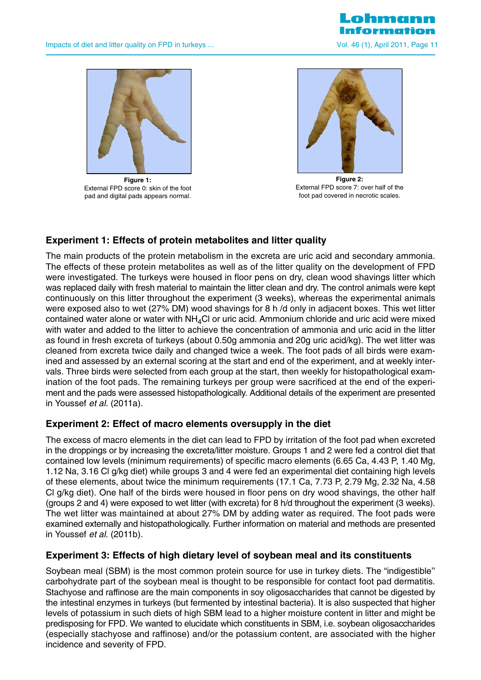

nhmn

Vol. 46 (1), April 2011, Page 11



**Figure 1: Figure 1: Figure 1: Figure 1: Figure 1: Figure 1: Figure 1: Figure 1: Figure 1: Figure 1: Figure 1: Figure 1: Figure 1: Figure 1: Figure 1: Figure 1: Figure 1: Figure 1: Figur** External FPD score 0: skin of the foot pad and digital pads appears normal.



**Figure 2:** Property  $\overline{P}$ External FPD score 7: over half of the foot pad covered in necrotic scales.

## **Experiment 1: Effects of protein metabolites and litter quality**

The main products of the protein metabolism in the excreta are uric acid and secondary ammonia. The effects of these protein metabolites as well as of the litter quality on the development of FPD were investigated. The turkeys were housed in floor pens on dry, clean wood shavings litter which was replaced daily with fresh material to maintain the litter clean and dry. The control animals were kept continuously on this litter throughout the experiment (3 weeks), whereas the experimental animals were exposed also to wet (27% DM) wood shavings for 8 h /d only in adjacent boxes. This wet litter contained water alone or water with NH4Cl or uric acid. Ammonium chloride and uric acid were mixed with water and added to the litter to achieve the concentration of ammonia and uric acid in the litter as found in fresh excreta of turkeys (about 0.50g ammonia and 20g uric acid/kg). The wet litter was cleaned from excreta twice daily and changed twice a week. The foot pads of all birds were examined and assessed by an external scoring at the start and end of the experiment, and at weekly intervals. Three birds were selected from each group at the start, then weekly for histopathological examination of the foot pads. The remaining turkeys per group were sacrificed at the end of the experiment and the pads were assessed histopathologically. Additional details of the experiment are presented in Youssef et al. (2011a).

## **Experiment 2: Effect of macro elements oversupply in the diet**

The excess of macro elements in the diet can lead to FPD by irritation of the foot pad when excreted in the droppings or by increasing the excreta/litter moisture. Groups 1 and 2 were fed a control diet that contained low levels (minimum requirements) of specific macro elements (6.65 Ca, 4.43 P, 1.40 Mg, 1.12 Na, 3.16 Cl g/kg diet) while groups 3 and 4 were fed an experimental diet containing high levels of these elements, about twice the minimum requirements (17.1 Ca, 7.73 P, 2.79 Mg, 2.32 Na, 4.58 Cl g/kg diet). One half of the birds were housed in floor pens on dry wood shavings, the other half (groups 2 and 4) were exposed to wet litter (with excreta) for 8 h/d throughout the experiment (3 weeks). The wet litter was maintained at about 27% DM by adding water as required. The foot pads were examined externally and histopathologically. Further information on material and methods are presented in Youssef et al. (2011b).

## **Experiment 3: Effects of high dietary level of soybean meal and its constituents**

Soybean meal (SBM) is the most common protein source for use in turkey diets. The "indigestible'' carbohydrate part of the soybean meal is thought to be responsible for contact foot pad dermatitis. Stachyose and raffinose are the main components in soy oligosaccharides that cannot be digested by the intestinal enzymes in turkeys (but fermented by intestinal bacteria). It is also suspected that higher levels of potassium in such diets of high SBM lead to a higher moisture content in litter and might be predisposing for FPD. We wanted to elucidate which constituents in SBM, i.e. soybean oligosaccharides (especially stachyose and raffinose) and/or the potassium content, are associated with the higher incidence and severity of FPD.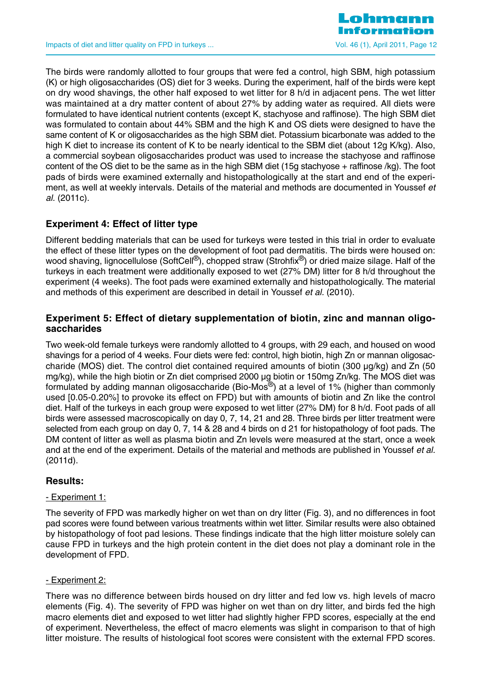

The birds were randomly allotted to four groups that were fed a control, high SBM, high potassium (K) or high oligosaccharides (OS) diet for 3 weeks. During the experiment, half of the birds were kept on dry wood shavings, the other half exposed to wet litter for 8 h/d in adjacent pens. The wet litter was maintained at a dry matter content of about 27% by adding water as required. All diets were formulated to have identical nutrient contents (except K, stachyose and raffinose). The high SBM diet was formulated to contain about 44% SBM and the high K and OS diets were designed to have the same content of K or oligosaccharides as the high SBM diet. Potassium bicarbonate was added to the high K diet to increase its content of K to be nearly identical to the SBM diet (about 12g K/kg). Also, a commercial soybean oligosaccharides product was used to increase the stachyose and raffinose content of the OS diet to be the same as in the high SBM diet (15g stachyose + raffinose /kg). The foot pads of birds were examined externally and histopathologically at the start and end of the experiment, as well at weekly intervals. Details of the material and methods are documented in Youssef et al. (2011c).

## **Experiment 4: Effect of litter type**

Different bedding materials that can be used for turkeys were tested in this trial in order to evaluate the effect of these litter types on the development of foot pad dermatitis. The birds were housed on: wood shaving, lignocellulose (SoftCell<sup>®</sup>), chopped straw (Strohfix<sup>®</sup>) or dried maize silage. Half of the turkeys in each treatment were additionally exposed to wet (27% DM) litter for 8 h/d throughout the experiment (4 weeks). The foot pads were examined externally and histopathologically. The material and methods of this experiment are described in detail in Youssef et al. (2010).

## **Experiment 5: Effect of dietary supplementation of biotin, zinc and mannan oligosaccharides**

Two week-old female turkeys were randomly allotted to 4 groups, with 29 each, and housed on wood shavings for a period of 4 weeks. Four diets were fed: control, high biotin, high Zn or mannan oligosaccharide (MOS) diet. The control diet contained required amounts of biotin (300 µg/kg) and Zn (50 mg/kg), while the high biotin or Zn diet comprised 2000 µg biotin or 150mg Zn/kg. The MOS diet was formulated by adding mannan oligosaccharide (Bio-Mos®) at a level of 1% (higher than commonly used [0.05-0.20%] to provoke its effect on FPD) but with amounts of biotin and Zn like the control diet. Half of the turkeys in each group were exposed to wet litter (27% DM) for 8 h/d. Foot pads of all birds were assessed macroscopically on day 0, 7, 14, 21 and 28. Three birds per litter treatment were selected from each group on day 0, 7, 14 & 28 and 4 birds on d 21 for histopathology of foot pads. The DM content of litter as well as plasma biotin and Zn levels were measured at the start, once a week and at the end of the experiment. Details of the material and methods are published in Youssef et al. (2011d).

## **Results:**

#### - Experiment 1:

The severity of FPD was markedly higher on wet than on dry litter (Fig. 3), and no differences in foot pad scores were found between various treatments within wet litter. Similar results were also obtained by histopathology of foot pad lesions. These findings indicate that the high litter moisture solely can cause FPD in turkeys and the high protein content in the diet does not play a dominant role in the development of FPD.

#### - Experiment 2:

There was no difference between birds housed on dry litter and fed low vs. high levels of macro elements (Fig. 4). The severity of FPD was higher on wet than on dry litter, and birds fed the high macro elements diet and exposed to wet litter had slightly higher FPD scores, especially at the end of experiment. Nevertheless, the effect of macro elements was slight in comparison to that of high litter moisture. The results of histological foot scores were consistent with the external FPD scores.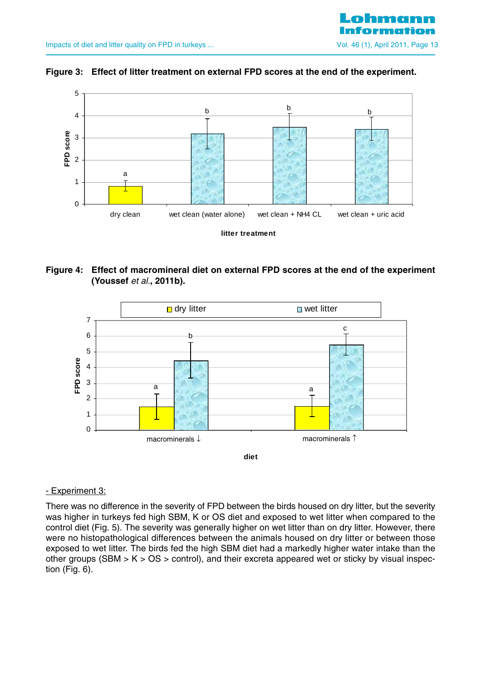

#### **Figure 3: Effect of litter treatment on external FPD scores at the end of the experiment.**



**Figure 4: Effect of macromineral diet on external FPD scores at the end of the experiment (Youssef** et al.**, 2011b).**



#### - Experiment 3:

There was no difference in the severity of FPD between the birds housed on dry litter, but the severity was higher in turkeys fed high SBM, K or OS diet and exposed to wet litter when compared to the control diet (Fig. 5). The severity was generally higher on wet litter than on dry litter. However, there were no histopathological differences between the animals housed on dry litter or between those exposed to wet litter. The birds fed the high SBM diet had a markedly higher water intake than the other groups (SBM > K > OS > control), and their excreta appeared wet or sticky by visual inspection (Fig. 6).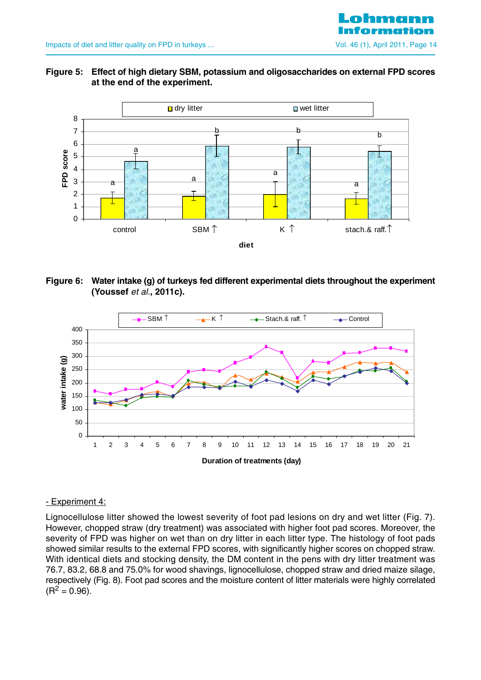

#### **Figure 5: Effect of high dietary SBM, potassium and oligosaccharides on external FPD scores at the end of the experiment.**



**Figure 6: Water intake (g) of turkeys fed different experimental diets throughout the experiment (Youssef** et al.**, 2011c).**



#### - Experiment 4:

Lignocellulose litter showed the lowest severity of foot pad lesions on dry and wet litter (Fig. 7). However, chopped straw (dry treatment) was associated with higher foot pad scores. Moreover, the severity of FPD was higher on wet than on dry litter in each litter type. The histology of foot pads showed similar results to the external FPD scores, with significantly higher scores on chopped straw. With identical diets and stocking density, the DM content in the pens with dry litter treatment was 76.7, 83.2, 68.8 and 75.0% for wood shavings, lignocellulose, chopped straw and dried maize silage, respectively (Fig. 8). Foot pad scores and the moisture content of litter materials were highly correlated  $(R^2 = 0.96)$ .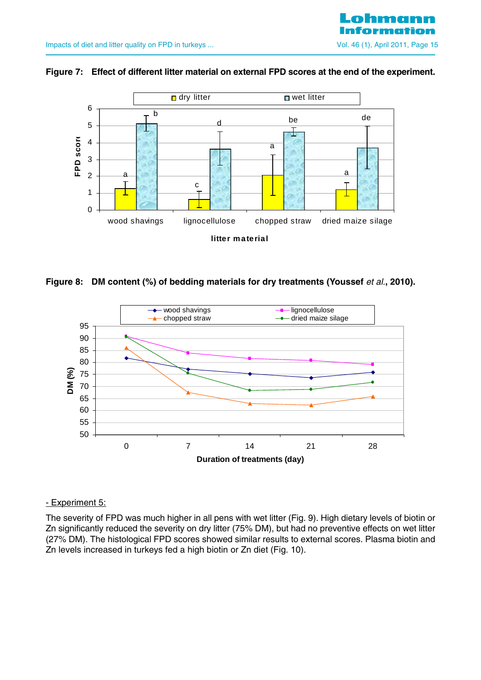

#### **Figure 7: Effect of different litter material on external FPD scores at the end of the experiment.**



Figure 8: DM content (%) of bedding materials for dry treatments (Youssef *et al.*, 2010).



#### - Experiment 5:

The severity of FPD was much higher in all pens with wet litter (Fig. 9). High dietary levels of biotin or Zn significantly reduced the severity on dry litter (75% DM), but had no preventive effects on wet litter (27% DM). The histological FPD scores showed similar results to external scores. Plasma biotin and Zn levels increased in turkeys fed a high biotin or Zn diet (Fig. 10).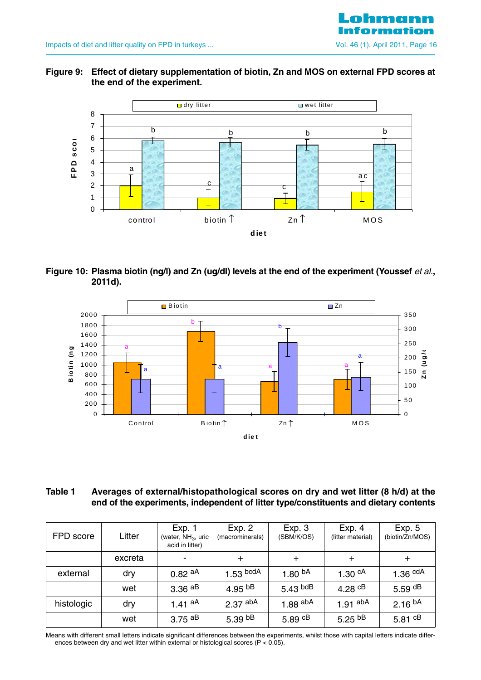

#### **Figure 9: Effect of dietary supplementation of biotin, Zn and MOS on external FPD scores at the end of the experiment.**



## Figure 10: Plasma biotin (ng/l) and Zn (ug/dl) levels at the end of the experiment (Youssef *et al.*, **2011d).**



#### **Table 1 Averages of external/histopathological scores on dry and wet litter (8 h/d) at the end of the experiments, independent of litter type/constituents and dietary contents**

| FPD score  | Litter  | Exp. 1<br>(water, NH <sub>3</sub> , uric<br>acid in litter) | Exp. 2<br>(macrominerals) | Exp.3<br>(SBM/K/OS)    | Exp. 4<br>(litter material) | Exp. 5<br>(biotin/Zn/MOS) |
|------------|---------|-------------------------------------------------------------|---------------------------|------------------------|-----------------------------|---------------------------|
|            | excreta |                                                             | $\pm$                     | $\pm$                  | $\pm$                       | $\pm$                     |
| external   | dry     | $0.82$ aA                                                   | $1.53$ bcdA               | 1.80 <sup>bA</sup>     | 1.30 $cA$                   | $1.36$ $\text{cdA}$       |
|            | wet     | $3.36$ <sup>aB</sup>                                        | 4.95 $bB$                 | 5.43 $b$ <sup>dB</sup> | 4.28 $CB$                   | 5.59 $dB$                 |
| histologic | dry     | 1.41 <sup>aA</sup>                                          | $2.37$ abA                | 1.88 $^{\sf abA}$      | 1.91 $^{abA}$               | 2.16 hA                   |
|            | wet     | 3.75 $^{AB}$                                                | 5.39 $bB$                 | 5.89 $CB$              | 5.25 $bB$                   | 5.81 $CB$                 |

Means with different small letters indicate significant differences between the experiments, whilst those with capital letters indicate differences between dry and wet litter within external or histological scores (P < 0.05).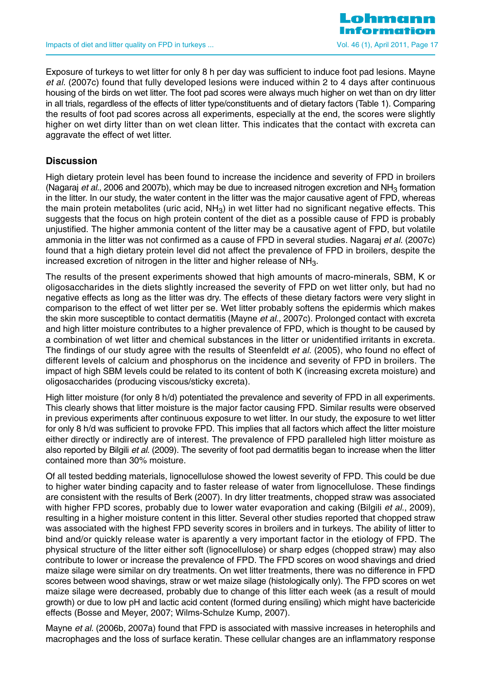Exposure of turkeys to wet litter for only 8 h per day was sufficient to induce foot pad lesions. Mayne et al. (2007c) found that fully developed lesions were induced within 2 to 4 days after continuous housing of the birds on wet litter. The foot pad scores were always much higher on wet than on dry litter in all trials, regardless of the effects of litter type/constituents and of dietary factors (Table 1). Comparing the results of foot pad scores across all experiments, especially at the end, the scores were slightly higher on wet dirty litter than on wet clean litter. This indicates that the contact with excreta can aggravate the effect of wet litter.

## **Discussion**

High dietary protein level has been found to increase the incidence and severity of FPD in broilers (Nagaraj et al., 2006 and 2007b), which may be due to increased nitrogen excretion and  $NH<sub>3</sub>$  formation in the litter. In our study, the water content in the litter was the major causative agent of FPD, whereas the main protein metabolites (uric acid,  $NH<sub>3</sub>$ ) in wet litter had no significant negative effects. This suggests that the focus on high protein content of the diet as a possible cause of FPD is probably unjustified. The higher ammonia content of the litter may be a causative agent of FPD, but volatile ammonia in the litter was not confirmed as a cause of FPD in several studies. Nagarai *et al.* (2007c) found that a high dietary protein level did not affect the prevalence of FPD in broilers, despite the increased excretion of nitrogen in the litter and higher release of NH<sub>3</sub>.

The results of the present experiments showed that high amounts of macro-minerals, SBM, K or oligosaccharides in the diets slightly increased the severity of FPD on wet litter only, but had no negative effects as long as the litter was dry. The effects of these dietary factors were very slight in comparison to the effect of wet litter per se. Wet litter probably softens the epidermis which makes the skin more susceptible to contact dermatitis (Mayne et al., 2007c). Prolonged contact with excreta and high litter moisture contributes to a higher prevalence of FPD, which is thought to be caused by a combination of wet litter and chemical substances in the litter or unidentified irritants in excreta. The findings of our study agree with the results of Steenfeldt *et al.* (2005), who found no effect of different levels of calcium and phosphorus on the incidence and severity of FPD in broilers. The impact of high SBM levels could be related to its content of both K (increasing excreta moisture) and oligosaccharides (producing viscous/sticky excreta).

High litter moisture (for only 8 h/d) potentiated the prevalence and severity of FPD in all experiments. This clearly shows that litter moisture is the major factor causing FPD. Similar results were observed in previous experiments after continuous exposure to wet litter. In our study, the exposure to wet litter for only 8 h/d was sufficient to provoke FPD. This implies that all factors which affect the litter moisture either directly or indirectly are of interest. The prevalence of FPD paralleled high litter moisture as also reported by Bilgili et al. (2009). The severity of foot pad dermatitis began to increase when the litter contained more than 30% moisture.

Of all tested bedding materials, lignocellulose showed the lowest severity of FPD. This could be due to higher water binding capacity and to faster release of water from lignocellulose. These findings are consistent with the results of Berk (2007). In dry litter treatments, chopped straw was associated with higher FPD scores, probably due to lower water evaporation and caking (Bilgili et al., 2009), resulting in a higher moisture content in this litter. Several other studies reported that chopped straw was associated with the highest FPD severity scores in broilers and in turkeys. The ability of litter to bind and/or quickly release water is aparently a very important factor in the etiology of FPD. The physical structure of the litter either soft (lignocellulose) or sharp edges (chopped straw) may also contribute to lower or increase the prevalence of FPD. The FPD scores on wood shavings and dried maize silage were similar on dry treatments. On wet litter treatments, there was no difference in FPD scores between wood shavings, straw or wet maize silage (histologically only). The FPD scores on wet maize silage were decreased, probably due to change of this litter each week (as a result of mould growth) or due to low pH and lactic acid content (formed during ensiling) which might have bactericide effects (Bosse and Meyer, 2007; Wilms-Schulze Kump, 2007).

Mayne et al. (2006b, 2007a) found that FPD is associated with massive increases in heterophils and macrophages and the loss of surface keratin. These cellular changes are an inflammatory response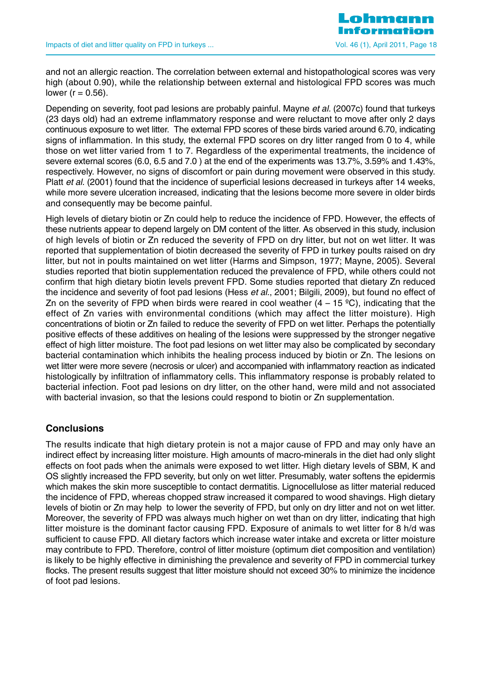

and not an allergic reaction. The correlation between external and histopathological scores was very high (about 0.90), while the relationship between external and histological FPD scores was much lower ( $r = 0.56$ ).

Depending on severity, foot pad lesions are probably painful. Mayne et al. (2007c) found that turkeys (23 days old) had an extreme inflammatory response and were reluctant to move after only 2 days continuous exposure to wet litter. The external FPD scores of these birds varied around 6.70, indicating signs of inflammation. In this study, the external FPD scores on dry litter ranged from 0 to 4, while those on wet litter varied from 1 to 7. Regardless of the experimental treatments, the incidence of severe external scores (6.0, 6.5 and 7.0 ) at the end of the experiments was 13.7%, 3.59% and 1.43%, respectively. However, no signs of discomfort or pain during movement were observed in this study. Platt et al. (2001) found that the incidence of superficial lesions decreased in turkeys after 14 weeks, while more severe ulceration increased, indicating that the lesions become more severe in older birds and consequently may be become painful.

High levels of dietary biotin or Zn could help to reduce the incidence of FPD. However, the effects of these nutrients appear to depend largely on DM content of the litter. As observed in this study, inclusion of high levels of biotin or Zn reduced the severity of FPD on dry litter, but not on wet litter. It was reported that supplementation of biotin decreased the severity of FPD in turkey poults raised on dry litter, but not in poults maintained on wet litter (Harms and Simpson, 1977; Mayne, 2005). Several studies reported that biotin supplementation reduced the prevalence of FPD, while others could not confirm that high dietary biotin levels prevent FPD. Some studies reported that dietary Zn reduced the incidence and severity of foot pad lesions (Hess et al., 2001; Bilgili, 2009), but found no effect of Zn on the severity of FPD when birds were reared in cool weather  $(4 - 15 \degree C)$ , indicating that the effect of Zn varies with environmental conditions (which may affect the litter moisture). High concentrations of biotin or Zn failed to reduce the severity of FPD on wet litter. Perhaps the potentially positive effects of these additives on healing of the lesions were suppressed by the stronger negative effect of high litter moisture. The foot pad lesions on wet litter may also be complicated by secondary bacterial contamination which inhibits the healing process induced by biotin or Zn. The lesions on wet litter were more severe (necrosis or ulcer) and accompanied with inflammatory reaction as indicated histologically by infiltration of inflammatory cells. This inflammatory response is probably related to bacterial infection. Foot pad lesions on dry litter, on the other hand, were mild and not associated with bacterial invasion, so that the lesions could respond to biotin or Zn supplementation.

#### **Conclusions**

The results indicate that high dietary protein is not a major cause of FPD and may only have an indirect effect by increasing litter moisture. High amounts of macro-minerals in the diet had only slight effects on foot pads when the animals were exposed to wet litter. High dietary levels of SBM, K and OS slightly increased the FPD severity, but only on wet litter. Presumably, water softens the epidermis which makes the skin more susceptible to contact dermatitis. Lignocellulose as litter material reduced the incidence of FPD, whereas chopped straw increased it compared to wood shavings. High dietary levels of biotin or Zn may help to lower the severity of FPD, but only on dry litter and not on wet litter. Moreover, the severity of FPD was always much higher on wet than on dry litter, indicating that high litter moisture is the dominant factor causing FPD. Exposure of animals to wet litter for 8 h/d was sufficient to cause FPD. All dietary factors which increase water intake and excreta or litter moisture may contribute to FPD. Therefore, control of litter moisture (optimum diet composition and ventilation) is likely to be highly effective in diminishing the prevalence and severity of FPD in commercial turkey flocks. The present results suggest that litter moisture should not exceed 30% to minimize the incidence of foot pad lesions.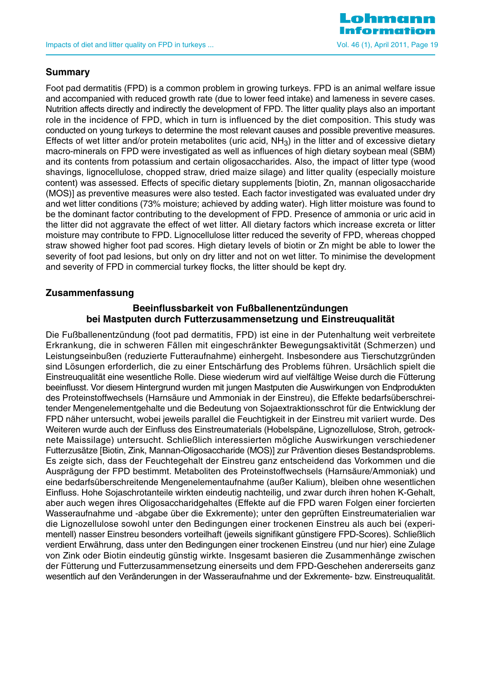

## **Summary**

Foot pad dermatitis (FPD) is a common problem in growing turkeys. FPD is an animal welfare issue and accompanied with reduced growth rate (due to lower feed intake) and lameness in severe cases. Nutrition affects directly and indirectly the development of FPD. The litter quality plays also an important role in the incidence of FPD, which in turn is influenced by the diet composition. This study was conducted on young turkeys to determine the most relevant causes and possible preventive measures. Effects of wet litter and/or protein metabolites (uric acid,  $NH<sub>3</sub>$ ) in the litter and of excessive dietary macro-minerals on FPD were investigated as well as influences of high dietary soybean meal (SBM) and its contents from potassium and certain oligosaccharides. Also, the impact of litter type (wood shavings, lignocellulose, chopped straw, dried maize silage) and litter quality (especially moisture content) was assessed. Effects of specific dietary supplements [biotin, Zn, mannan oligosaccharide (MOS)] as preventive measures were also tested. Each factor investigated was evaluated under dry and wet litter conditions (73% moisture; achieved by adding water). High litter moisture was found to be the dominant factor contributing to the development of FPD. Presence of ammonia or uric acid in the litter did not aggravate the effect of wet litter. All dietary factors which increase excreta or litter moisture may contribute to FPD. Lignocellulose litter reduced the severity of FPD, whereas chopped straw showed higher foot pad scores. High dietary levels of biotin or Zn might be able to lower the severity of foot pad lesions, but only on dry litter and not on wet litter. To minimise the development and severity of FPD in commercial turkey flocks, the litter should be kept dry.

#### **Zusammenfassung**

#### **Beeinflussbarkeit von Fußballenentzündungen bei Mastputen durch Futterzusammensetzung und Einstreuqualität**

Die Fußballenentzündung (foot pad dermatitis, FPD) ist eine in der Putenhaltung weit verbreitete Erkrankung, die in schweren Fällen mit eingeschränkter Bewegungsaktivität (Schmerzen) und Leistungseinbußen (reduzierte Futteraufnahme) einhergeht. Insbesondere aus Tierschutzgründen sind Lösungen erforderlich, die zu einer Entschärfung des Problems führen. Ursächlich spielt die Einstreuqualität eine wesentliche Rolle. Diese wiederum wird auf vielfältige Weise durch die Fütterung beeinflusst. Vor diesem Hintergrund wurden mit jungen Mastputen die Auswirkungen von Endprodukten des Proteinstoffwechsels (Harnsäure und Ammoniak in der Einstreu), die Effekte bedarfsüberschreitender Mengenelementgehalte und die Bedeutung von Sojaextraktionsschrot für die Entwicklung der FPD näher untersucht, wobei jeweils parallel die Feuchtigkeit in der Einstreu mit variiert wurde. Des Weiteren wurde auch der Einfluss des Einstreumaterials (Hobelspäne, Lignozellulose, Stroh, getrocknete Maissilage) untersucht. Schließlich interessierten mögliche Auswirkungen verschiedener Futterzusätze [Biotin, Zink, Mannan-Oligosaccharide (MOS)] zur Prävention dieses Bestandsproblems. Es zeigte sich, dass der Feuchtegehalt der Einstreu ganz entscheidend das Vorkommen und die Ausprägung der FPD bestimmt. Metaboliten des Proteinstoffwechsels (Harnsäure/Ammoniak) und eine bedarfsüberschreitende Mengenelementaufnahme (außer Kalium), bleiben ohne wesentlichen Einfluss. Hohe Sojaschrotanteile wirkten eindeutig nachteilig, und zwar durch ihren hohen K-Gehalt, aber auch wegen ihres Oligosaccharidgehaltes (Effekte auf die FPD waren Folgen einer forcierten Wasseraufnahme und -abgabe über die Exkremente); unter den geprüften Einstreumaterialien war die Lignozellulose sowohl unter den Bedingungen einer trockenen Einstreu als auch bei (experimentell) nasser Einstreu besonders vorteilhaft (jeweils signifikant günstigere FPD-Scores). Schließlich verdient Erwährung, dass unter den Bedingungen einer trockenen Einstreu (und nur hier) eine Zulage von Zink oder Biotin eindeutig günstig wirkte. Insgesamt basieren die Zusammenhänge zwischen der Fütterung und Futterzusammensetzung einerseits und dem FPD-Geschehen andererseits ganz wesentlich auf den Veränderungen in der Wasseraufnahme und der Exkremente- bzw. Einstreuqualität.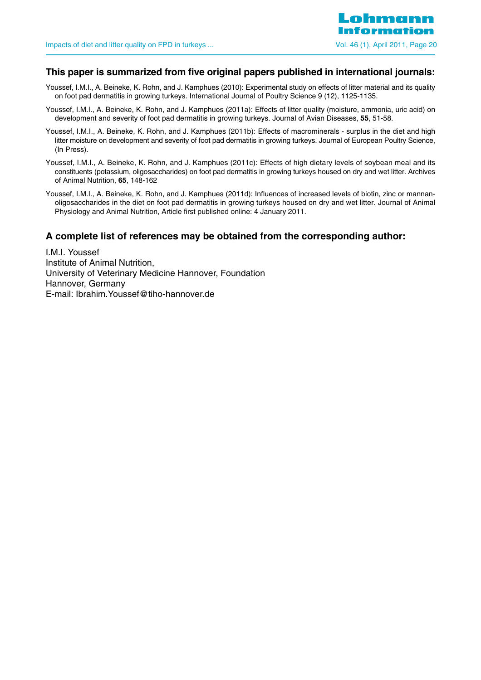#### **This paper is summarized from five original papers published in international journals:**

- Youssef, I.M.I., A. Beineke, K. Rohn, and J. Kamphues (2010): Experimental study on effects of litter material and its quality on foot pad dermatitis in growing turkeys. International Journal of Poultry Science 9 (12), 1125-1135.
- Youssef, I.M.I., A. Beineke, K. Rohn, and J. Kamphues (2011a): Effects of litter quality (moisture, ammonia, uric acid) on development and severity of foot pad dermatitis in growing turkeys. Journal of Avian Diseases, **55**, 51-58.
- Youssef, I.M.I., A. Beineke, K. Rohn, and J. Kamphues (2011b): Effects of macrominerals surplus in the diet and high litter moisture on development and severity of foot pad dermatitis in growing turkeys. Journal of European Poultry Science, (In Press).
- Youssef, I.M.I., A. Beineke, K. Rohn, and J. Kamphues (2011c): Effects of high dietary levels of soybean meal and its constituents (potassium, oligosaccharides) on foot pad dermatitis in growing turkeys housed on dry and wet litter. Archives of Animal Nutrition, **65**, 148-162
- Youssef, I.M.I., A. Beineke, K. Rohn, and J. Kamphues (2011d): Influences of increased levels of biotin, zinc or mannanoligosaccharides in the diet on foot pad dermatitis in growing turkeys housed on dry and wet litter. Journal of Animal Physiology and Animal Nutrition, Article first published online: 4 January 2011.

#### **A complete list of references may be obtained from the corresponding author:**

I.M.I. Youssef Institute of Animal Nutrition, University of Veterinary Medicine Hannover, Foundation Hannover, Germany E-mail: Ibrahim.Youssef@tiho-hannover.de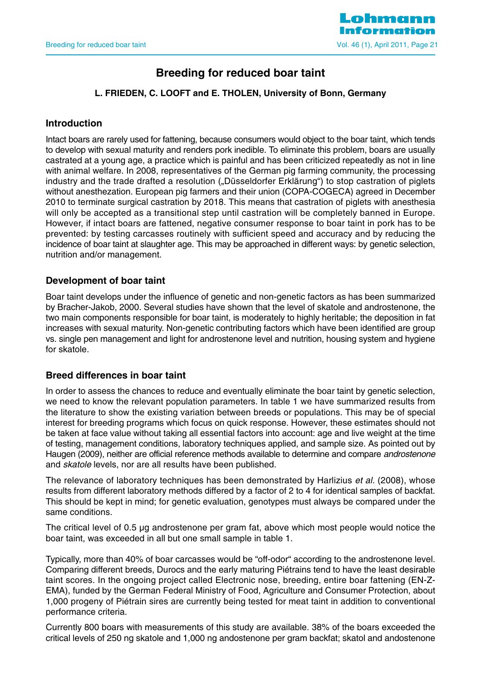

## **Breeding for reduced boar taint**

## **L. FRIEDEN, C. LOOFT and E. THOLEN, University of Bonn, Germany**

#### **Introduction**

Intact boars are rarely used for fattening, because consumers would object to the boar taint, which tends to develop with sexual maturity and renders pork inedible. To eliminate this problem, boars are usually castrated at a young age, a practice which is painful and has been criticized repeatedly as not in line with animal welfare. In 2008, representatives of the German pig farming community, the processing industry and the trade drafted a resolution ("Düsseldorfer Erklärung") to stop castration of piglets without anesthezation. European pig farmers and their union (COPA-COGECA) agreed in December 2010 to terminate surgical castration by 2018. This means that castration of piglets with anesthesia will only be accepted as a transitional step until castration will be completely banned in Europe. However, if intact boars are fattened, negative consumer response to boar taint in pork has to be prevented: by testing carcasses routinely with sufficient speed and accuracy and by reducing the incidence of boar taint at slaughter age. This may be approached in different ways: by genetic selection, nutrition and/or management.

## **Development of boar taint**

Boar taint develops under the influence of genetic and non-genetic factors as has been summarized by Bracher-Jakob, 2000. Several studies have shown that the level of skatole and androstenone, the two main components responsible for boar taint, is moderately to highly heritable; the deposition in fat increases with sexual maturity. Non-genetic contributing factors which have been identified are group vs. single pen management and light for androstenone level and nutrition, housing system and hygiene for skatole.

## **Breed differences in boar taint**

In order to assess the chances to reduce and eventually eliminate the boar taint by genetic selection, we need to know the relevant population parameters. In table 1 we have summarized results from the literature to show the existing variation between breeds or populations. This may be of special interest for breeding programs which focus on quick response. However, these estimates should not be taken at face value without taking all essential factors into account: age and live weight at the time of testing, management conditions, laboratory techniques applied, and sample size. As pointed out by Haugen (2009), neither are official reference methods available to determine and compare androstenone and skatole levels, nor are all results have been published.

The relevance of laboratory techniques has been demonstrated by Harlizius *et al.* (2008), whose results from different laboratory methods differed by a factor of 2 to 4 for identical samples of backfat. This should be kept in mind; for genetic evaluation, genotypes must always be compared under the same conditions.

The critical level of 0.5 µg androstenone per gram fat, above which most people would notice the boar taint, was exceeded in all but one small sample in table 1.

Typically, more than 40% of boar carcasses would be "off-odor" according to the androstenone level. Comparing different breeds, Durocs and the early maturing Piétrains tend to have the least desirable taint scores. In the ongoing project called Electronic nose, breeding, entire boar fattening (EN-Z-EMA), funded by the German Federal Ministry of Food, Agriculture and Consumer Protection, about 1,000 progeny of Piétrain sires are currently being tested for meat taint in addition to conventional performance criteria.

Currently 800 boars with measurements of this study are available. 38% of the boars exceeded the critical levels of 250 ng skatole and 1,000 ng andostenone per gram backfat; skatol and andostenone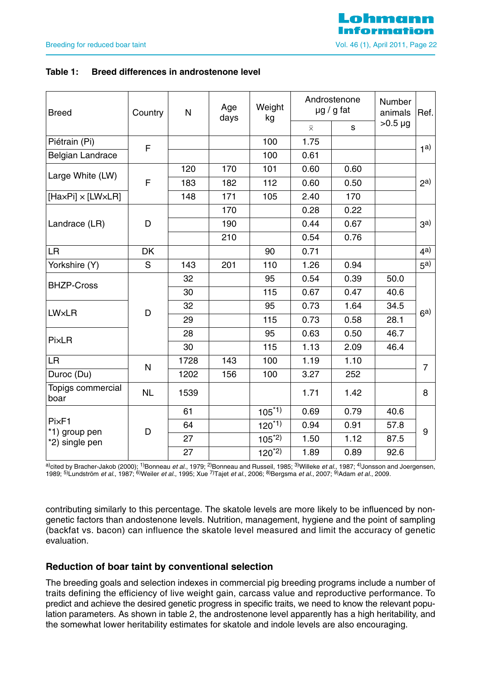## **Table 1: Breed differences in androstenone level**

| <b>Breed</b>                    | Country       | $\mathsf{N}$ | Age<br>days | Weight<br>kg |                | Androstenone<br>$\mu$ g / g fat | Number<br>animals | Ref.           |
|---------------------------------|---------------|--------------|-------------|--------------|----------------|---------------------------------|-------------------|----------------|
|                                 |               |              |             |              | $\bar{\times}$ | S                               | $>0.5 \mu g$      |                |
| Piétrain (Pi)                   | F             |              |             | 100          | 1.75           |                                 |                   | 1 <sup>a</sup> |
| <b>Belgian Landrace</b>         |               |              |             | 100          | 0.61           |                                 |                   |                |
| Large White (LW)                |               | 120          | 170         | 101          | 0.60           | 0.60                            |                   |                |
|                                 | F             | 183          | 182         | 112          | 0.60           | 0.50                            |                   | $2^{a)}$       |
| $[HaxPi] \times [LW \times LR]$ |               | 148          | 171         | 105          | 2.40           | 170                             |                   |                |
|                                 |               |              | 170         |              | 0.28           | 0.22                            |                   |                |
| Landrace (LR)                   | D             |              | 190         |              | 0.44           | 0.67                            |                   | 3a)            |
|                                 |               |              | 210         |              | 0.54           | 0.76                            |                   |                |
| <b>LR</b>                       | <b>DK</b>     |              |             | 90           | 0.71           |                                 |                   | 4 <sup>a</sup> |
| Yorkshire (Y)                   | ${\mathsf S}$ | 143          | 201         | 110          | 1.26           | 0.94                            |                   | 5 <sup>a</sup> |
| <b>BHZP-Cross</b>               |               | 32           |             | 95           | 0.54           | 0.39                            | 50.0              |                |
|                                 |               | 30           |             | 115          | 0.67           | 0.47                            | 40.6              |                |
|                                 | D             | 32           |             | 95           | 0.73           | 1.64                            | 34.5              |                |
| <b>LWxLR</b>                    |               | 29           |             | 115          | 0.73           | 0.58                            | 28.1              | 6a)            |
| <b>PixLR</b>                    |               | 28           |             | 95           | 0.63           | 0.50                            | 46.7              |                |
|                                 |               | 30           |             | 115          | 1.13           | 2.09                            | 46.4              |                |
| <b>LR</b>                       |               | 1728         | 143         | 100          | 1.19           | 1.10                            |                   | $\overline{7}$ |
| Duroc (Du)                      | ${\sf N}$     | 1202         | 156         | 100          | 3.27           | 252                             |                   |                |
| Topigs commercial<br>boar       | <b>NL</b>     | 1539         |             |              | 1.71           | 1.42                            |                   | 8              |
|                                 |               | 61           |             | $105^{*1}$   | 0.69           | 0.79                            | 40.6              |                |
| PixF1                           |               | 64           |             | $120^{*1}$   | 0.94           | 0.91                            | 57.8              |                |
| *1) group pen<br>*2) single pen | D             | 27           |             | $105^{2})$   | 1.50           | 1.12                            | 87.5              | 9              |
|                                 |               | 27           |             | $120^{2})$   | 1.89           | 0.89                            | 92.6              |                |

<sup>a)</sup>cited by Bracher-Jakob (2000); <sup>1)</sup>Bonneau *et al.*, 1979; <sup>2)</sup>Bonneau and Russeil, 1985; <sup>3)</sup>Willeke *et al.*, 1987; <sup>4)</sup>Jonsson and Joergensen, 1989; <sup>5)</sup>Lundström *et al.*, 1987; <sup>6)</sup>Weiler *et al.*, 1995; Xue <sup>7)</sup>Tajet *et al.*, 2006; <sup>8)</sup>Bergsma *et al.*, 2007; <sup>9)</sup>Adam *et al.*, 2009.

contributing similarly to this percentage. The skatole levels are more likely to be influenced by nongenetic factors than andostenone levels. Nutrition, management, hygiene and the point of sampling (backfat vs. bacon) can influence the skatole level measured and limit the accuracy of genetic evaluation.

## **Reduction of boar taint by conventional selection**

The breeding goals and selection indexes in commercial pig breeding programs include a number of traits defining the efficiency of live weight gain, carcass value and reproductive performance. To predict and achieve the desired genetic progress in specific traits, we need to know the relevant population parameters. As shown in table 2, the androstenone level apparently has a high heritability, and the somewhat lower heritability estimates for skatole and indole levels are also encouraging.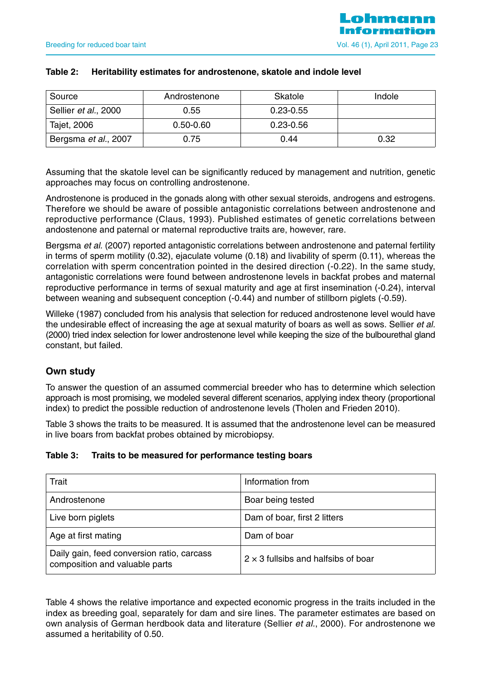| Source               | Androstenone  | Skatole       | Indole |
|----------------------|---------------|---------------|--------|
| Sellier et al., 2000 | 0.55          | $0.23 - 0.55$ |        |
| Tajet, 2006          | $0.50 - 0.60$ | 0.23-0.56     |        |
| Bergsma et al., 2007 | 0.75          | 0.44          | 0.32   |

#### **Table 2: Heritability estimates for androstenone, skatole and indole level**

Assuming that the skatole level can be significantly reduced by management and nutrition, genetic approaches may focus on controlling androstenone.

Androstenone is produced in the gonads along with other sexual steroids, androgens and estrogens. Therefore we should be aware of possible antagonistic correlations between androstenone and reproductive performance (Claus, 1993). Published estimates of genetic correlations between andostenone and paternal or maternal reproductive traits are, however, rare.

Bergsma et al. (2007) reported antagonistic correlations between androstenone and paternal fertility in terms of sperm motility (0.32), ejaculate volume (0.18) and livability of sperm (0.11), whereas the correlation with sperm concentration pointed in the desired direction (-0.22). In the same study, antagonistic correlations were found between androstenone levels in backfat probes and maternal reproductive performance in terms of sexual maturity and age at first insemination (-0.24), interval between weaning and subsequent conception (-0.44) and number of stillborn piglets (-0.59).

Willeke (1987) concluded from his analysis that selection for reduced androstenone level would have the undesirable effect of increasing the age at sexual maturity of boars as well as sows. Sellier *et al.* (2000) tried index selection for lower androstenone level while keeping the size of the bulbourethal gland constant, but failed.

## **Own study**

To answer the question of an assumed commercial breeder who has to determine which selection approach is most promising, we modeled several different scenarios, applying index theory (proportional index) to predict the possible reduction of androstenone levels (Tholen and Frieden 2010).

Table 3 shows the traits to be measured. It is assumed that the androstenone level can be measured in live boars from backfat probes obtained by microbiopsy.

#### **Table 3: Traits to be measured for performance testing boars**

| Trait                                                                        | Information from                           |
|------------------------------------------------------------------------------|--------------------------------------------|
| Androstenone                                                                 | Boar being tested                          |
| Live born piglets                                                            | Dam of boar, first 2 litters               |
| Age at first mating                                                          | Dam of boar                                |
| Daily gain, feed conversion ratio, carcass<br>composition and valuable parts | $2 \times 3$ fullsibs and halfsibs of boar |

Table 4 shows the relative importance and expected economic progress in the traits included in the index as breeding goal, separately for dam and sire lines. The parameter estimates are based on own analysis of German herdbook data and literature (Sellier et al., 2000). For androstenone we assumed a heritability of 0.50.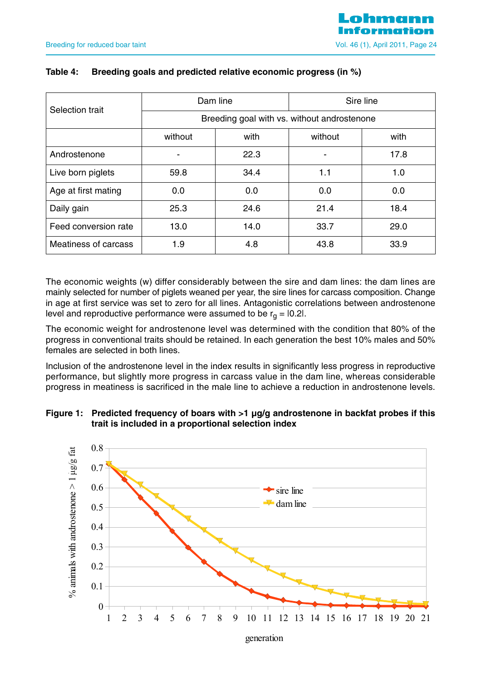| Selection trait      |                                             | Dam line | Sire line |      |  |  |  |
|----------------------|---------------------------------------------|----------|-----------|------|--|--|--|
|                      | Breeding goal with vs. without androstenone |          |           |      |  |  |  |
|                      | without                                     | with     | without   | with |  |  |  |
| Androstenone         |                                             | 22.3     |           | 17.8 |  |  |  |
| Live born piglets    | 59.8                                        | 34.4     | 1.1       | 1.0  |  |  |  |
| Age at first mating  | 0.0                                         | 0.0      | 0.0       | 0.0  |  |  |  |
| Daily gain           | 25.3                                        | 24.6     | 21.4      | 18.4 |  |  |  |
| Feed conversion rate | 13.0                                        | 14.0     | 33.7      | 29.0 |  |  |  |
| Meatiness of carcass | 1.9                                         | 4.8      | 43.8      | 33.9 |  |  |  |

#### **Table 4: Breeding goals and predicted relative economic progress (in %)**

The economic weights (w) differ considerably between the sire and dam lines: the dam lines are mainly selected for number of piglets weaned per year, the sire lines for carcass composition. Change in age at first service was set to zero for all lines. Antagonistic correlations between androstenone level and reproductive performance were assumed to be  $r_{\alpha} = 0.2$ .

The economic weight for androstenone level was determined with the condition that 80% of the progress in conventional traits should be retained. In each generation the best 10% males and 50% females are selected in both lines.

Inclusion of the androstenone level in the index results in significantly less progress in reproductive performance, but slightly more progress in carcass value in the dam line, whereas considerable progress in meatiness is sacrificed in the male line to achieve a reduction in androstenone levels.

#### **Figure 1: Predicted frequency of boars with >1 µg/g androstenone in backfat probes if this trait is included in a proportional selection index**



generation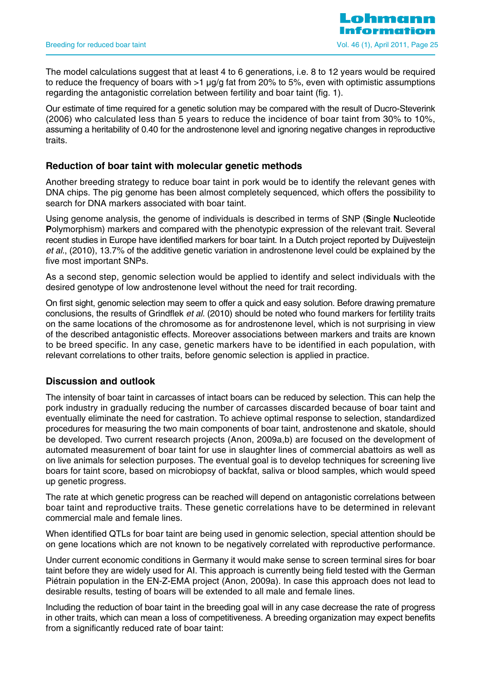

The model calculations suggest that at least 4 to 6 generations, i.e. 8 to 12 years would be required to reduce the frequency of boars with >1 µg/g fat from 20% to 5%, even with optimistic assumptions regarding the antagonistic correlation between fertility and boar taint (fig. 1).

Our estimate of time required for a genetic solution may be compared with the result of Ducro-Steverink (2006) who calculated less than 5 years to reduce the incidence of boar taint from 30% to 10%, assuming a heritability of 0.40 for the androstenone level and ignoring negative changes in reproductive traits.

#### **Reduction of boar taint with molecular genetic methods**

Another breeding strategy to reduce boar taint in pork would be to identify the relevant genes with DNA chips. The pig genome has been almost completely sequenced, which offers the possibility to search for DNA markers associated with boar taint.

Using genome analysis, the genome of individuals is described in terms of SNP (**S**ingle **N**ucleotide **P**olymorphism) markers and compared with the phenotypic expression of the relevant trait. Several recent studies in Europe have identified markers for boar taint. In a Dutch project reported by Duijvesteijn et al., (2010), 13.7% of the additive genetic variation in androstenone level could be explained by the five most important SNPs.

As a second step, genomic selection would be applied to identify and select individuals with the desired genotype of low androstenone level without the need for trait recording.

On first sight, genomic selection may seem to offer a quick and easy solution. Before drawing premature conclusions, the results of Grindflek et al. (2010) should be noted who found markers for fertility traits on the same locations of the chromosome as for androstenone level, which is not surprising in view of the described antagonistic effects. Moreover associations between markers and traits are known to be breed specific. In any case, genetic markers have to be identified in each population, with relevant correlations to other traits, before genomic selection is applied in practice.

#### **Discussion and outlook**

The intensity of boar taint in carcasses of intact boars can be reduced by selection. This can help the pork industry in gradually reducing the number of carcasses discarded because of boar taint and eventually eliminate the need for castration. To achieve optimal response to selection, standardized procedures for measuring the two main components of boar taint, androstenone and skatole, should be developed. Two current research projects (Anon, 2009a,b) are focused on the development of automated measurement of boar taint for use in slaughter lines of commercial abattoirs as well as on live animals for selection purposes. The eventual goal is to develop techniques for screening live boars for taint score, based on microbiopsy of backfat, saliva or blood samples, which would speed up genetic progress.

The rate at which genetic progress can be reached will depend on antagonistic correlations between boar taint and reproductive traits. These genetic correlations have to be determined in relevant commercial male and female lines.

When identified QTLs for boar taint are being used in genomic selection, special attention should be on gene locations which are not known to be negatively correlated with reproductive performance.

Under current economic conditions in Germany it would make sense to screen terminal sires for boar taint before they are widely used for AI. This approach is currently being field tested with the German Piétrain population in the EN-Z-EMA project (Anon, 2009a). In case this approach does not lead to desirable results, testing of boars will be extended to all male and female lines.

Including the reduction of boar taint in the breeding goal will in any case decrease the rate of progress in other traits, which can mean a loss of competitiveness. A breeding organization may expect benefits from a significantly reduced rate of boar taint: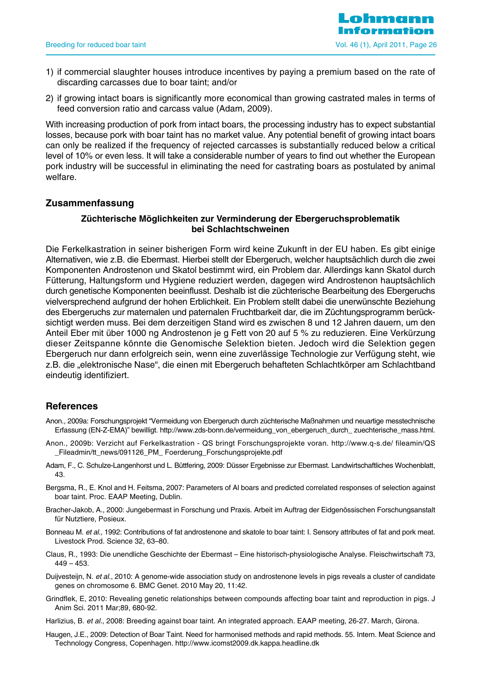

- 1) if commercial slaughter houses introduce incentives by paying a premium based on the rate of discarding carcasses due to boar taint; and/or
- 2) if growing intact boars is significantly more economical than growing castrated males in terms of feed conversion ratio and carcass value (Adam, 2009).

With increasing production of pork from intact boars, the processing industry has to expect substantial losses, because pork with boar taint has no market value. Any potential benefit of growing intact boars can only be realized if the frequency of rejected carcasses is substantially reduced below a critical level of 10% or even less. It will take a considerable number of years to find out whether the European pork industry will be successful in eliminating the need for castrating boars as postulated by animal welfare.

#### **Zusammenfassung**

#### **Züchterische Möglichkeiten zur Verminderung der Ebergeruchsproblematik bei Schlachtschweinen**

Die Ferkelkastration in seiner bisherigen Form wird keine Zukunft in der EU haben. Es gibt einige Alternativen, wie z.B. die Ebermast. Hierbei stellt der Ebergeruch, welcher hauptsächlich durch die zwei Komponenten Androstenon und Skatol bestimmt wird, ein Problem dar. Allerdings kann Skatol durch Fütterung, Haltungsform und Hygiene reduziert werden, dagegen wird Androstenon hauptsächlich durch genetische Komponenten beeinflusst. Deshalb ist die züchterische Bearbeitung des Ebergeruchs vielversprechend aufgrund der hohen Erblichkeit. Ein Problem stellt dabei die unerwünschte Beziehung des Ebergeruchs zur maternalen und paternalen Fruchtbarkeit dar, die im Züchtungsprogramm berücksichtigt werden muss. Bei dem derzeitigen Stand wird es zwischen 8 und 12 Jahren dauern, um den Anteil Eber mit über 1000 ng Androstenon je g Fett von 20 auf 5 % zu reduzieren. Eine Verkürzung dieser Zeitspanne könnte die Genomische Selektion bieten. Jedoch wird die Selektion gegen Ebergeruch nur dann erfolgreich sein, wenn eine zuverlässige Technologie zur Verfügung steht, wie z.B. die "elektronische Nase", die einen mit Ebergeruch behafteten Schlachtkörper am Schlachtband eindeutig identifiziert.

#### **References**

- Anon., 2009a: Forschungsprojekt "Vermeidung von Ebergeruch durch züchterische Maßnahmen und neuartige messtechnische Erfassung (EN-Z-EMA)" bewilligt. http://www.zds-bonn.de/vermeidung\_von\_ebergeruch\_durch\_ zuechterische\_mass.html.
- Anon., 2009b: Verzicht auf Ferkelkastration QS bringt Forschungsprojekte voran. http://www.q-s.de/ fileamin/QS \_Fileadmin/tt\_news/091126\_PM\_ Foerderung\_Forschungsprojekte.pdf
- Adam, F., C. Schulze-Langenhorst und L. Büttfering, 2009: Düsser Ergebnisse zur Ebermast. Landwirtschaftliches Wochenblatt, 43.
- Bergsma, R., E. Knol and H. Feitsma, 2007: Parameters of Al boars and predicted correlated responses of selection against boar taint. Proc. EAAP Meeting, Dublin.
- Bracher-Jakob, A., 2000: Jungebermast in Forschung und Praxis. Arbeit im Auftrag der Eidgenössischen Forschungsanstalt für Nutztiere, Posieux.
- Bonneau M. et al., 1992: Contributions of fat androstenone and skatole to boar taint: I. Sensory attributes of fat and pork meat. Livestock Prod. Science 32, 63–80.
- Claus, R., 1993: Die unendliche Geschichte der Ebermast Eine historisch-physiologische Analyse. Fleischwirtschaft 73,  $449 - 453$ .
- Duijvesteijn, N. et al., 2010: A genome-wide association study on androstenone levels in pigs reveals a cluster of candidate genes on chromosome 6. BMC Genet. 2010 May 20, 11:42.
- Grindflek, E, 2010: Revealing genetic relationships between compounds affecting boar taint and reproduction in pigs. J Anim Sci. 2011 Mar;89, 680-92.
- Harlizius, B. et al., 2008: Breeding against boar taint. An integrated approach. EAAP meeting, 26-27. March, Girona.
- Haugen, J.E., 2009: Detection of Boar Taint. Need for harmonised methods and rapid methods. 55. Intern. Meat Science and Technology Congress, Copenhagen. http://www.icomst2009.dk.kappa.headline.dk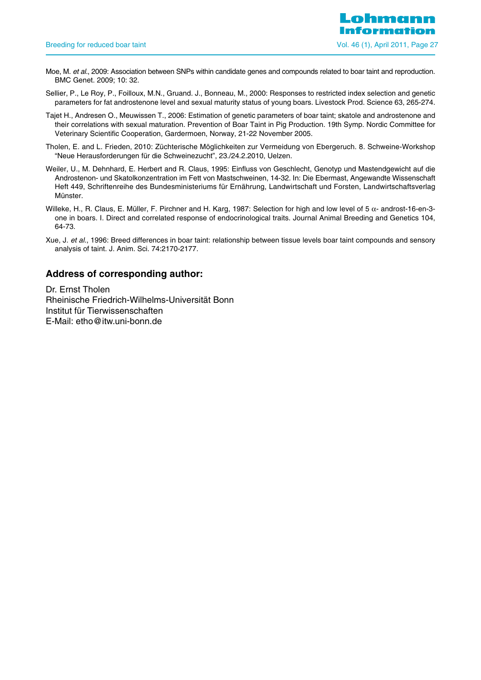- Moe, M. et al., 2009: Association between SNPs within candidate genes and compounds related to boar taint and reproduction. BMC Genet. 2009; 10: 32.
- Sellier, P., Le Roy, P., Foilloux, M.N., Gruand. J., Bonneau, M., 2000: Responses to restricted index selection and genetic parameters for fat androstenone level and sexual maturity status of young boars. Livestock Prod. Science 63, 265-274.
- Tajet H., Andresen O., Meuwissen T., 2006: Estimation of genetic parameters of boar taint; skatole and androstenone and their correlations with sexual maturation. Prevention of Boar Taint in Pig Production. 19th Symp. Nordic Committee for Veterinary Scientific Cooperation, Gardermoen, Norway, 21-22 November 2005.
- Tholen, E. and L. Frieden, 2010: Züchterische Möglichkeiten zur Vermeidung von Ebergeruch. 8. Schweine-Workshop "Neue Herausforderungen für die Schweinezucht", 23./24.2.2010, Uelzen.
- Weiler, U., M. Dehnhard, E. Herbert and R. Claus, 1995: Einfluss von Geschlecht, Genotyp und Mastendgewicht auf die Androstenon- und Skatolkonzentration im Fett von Mastschweinen, 14-32. In: Die Ebermast, Angewandte Wissenschaft Heft 449, Schriftenreihe des Bundesministeriums für Ernährung, Landwirtschaft und Forsten, Landwirtschaftsverlag Münster.
- Willeke, H., R. Claus, E. Müller, F. Pirchner and H. Karg, 1987: Selection for high and low level of 5 α- androst-16-en-3 one in boars. I. Direct and correlated response of endocrinological traits. Journal Animal Breeding and Genetics 104, 64-73.
- Xue, J. et al., 1996: Breed differences in boar taint: relationship between tissue levels boar taint compounds and sensory analysis of taint. J. Anim. Sci. 74:2170-2177.

#### **Address of corresponding author:**

Dr. Ernst Tholen Rheinische Friedrich-Wilhelms-Universität Bonn Institut für Tierwissenschaften E-Mail: etho@itw.uni-bonn.de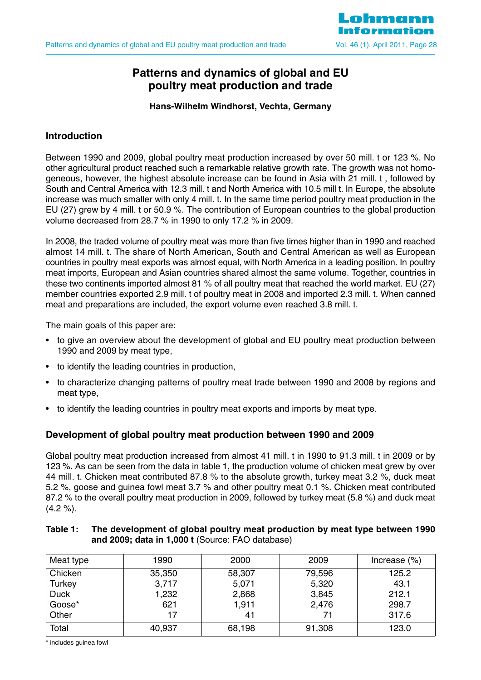

## **Patterns and dynamics of global and EU poultry meat production and trade**

#### **Hans-Wilhelm Windhorst, Vechta, Germany**

#### **Introduction**

Between 1990 and 2009, global poultry meat production increased by over 50 mill. t or 123 %. No other agricultural product reached such a remarkable relative growth rate. The growth was not homogeneous, however, the highest absolute increase can be found in Asia with 21 mill. t , followed by South and Central America with 12.3 mill. t and North America with 10.5 mill t. In Europe, the absolute increase was much smaller with only 4 mill. t. In the same time period poultry meat production in the EU (27) grew by 4 mill. t or 50.9 %. The contribution of European countries to the global production volume decreased from 28.7 % in 1990 to only 17.2 % in 2009.

In 2008, the traded volume of poultry meat was more than five times higher than in 1990 and reached almost 14 mill. t. The share of North American, South and Central American as well as European countries in poultry meat exports was almost equal, with North America in a leading position. In poultry meat imports, European and Asian countries shared almost the same volume. Together, countries in these two continents imported almost 81 % of all poultry meat that reached the world market. EU (27) member countries exported 2.9 mill. t of poultry meat in 2008 and imported 2.3 mill. t. When canned meat and preparations are included, the export volume even reached 3.8 mill. t.

The main goals of this paper are:

- to give an overview about the development of global and EU poultry meat production between 1990 and 2009 by meat type,
- to identify the leading countries in production,
- to characterize changing patterns of poultry meat trade between 1990 and 2008 by regions and meat type,
- to identify the leading countries in poultry meat exports and imports by meat type.

#### **Development of global poultry meat production between 1990 and 2009**

Global poultry meat production increased from almost 41 mill. t in 1990 to 91.3 mill. t in 2009 or by 123 %. As can be seen from the data in table 1, the production volume of chicken meat grew by over 44 mill. t. Chicken meat contributed 87.8 % to the absolute growth, turkey meat 3.2 %, duck meat 5.2 %, goose and guinea fowl meat 3.7 % and other poultry meat 0.1 %. Chicken meat contributed 87.2 % to the overall poultry meat production in 2009, followed by turkey meat (5.8 %) and duck meat  $(4.2 %).$ 

| Table 1: | The development of global poultry meat production by meat type between 1990 |
|----------|-----------------------------------------------------------------------------|
|          | and 2009; data in 1,000 t (Source: FAO database)                            |

| Meat type   | 1990   | 2000   | 2009   | Increase $(\%)$ |
|-------------|--------|--------|--------|-----------------|
| Chicken     | 35,350 | 58,307 | 79,596 | 125.2           |
| Turkey      | 3,717  | 5,071  | 5,320  | 43.1            |
| <b>Duck</b> | 1,232  | 2,868  | 3,845  | 212.1           |
| Goose*      | 621    | 1,911  | 2,476  | 298.7           |
| Other       | 17     | 41     | 71     | 317.6           |
| Total       | 40,937 | 68,198 | 91,308 | 123.0           |

\* includes guinea fowl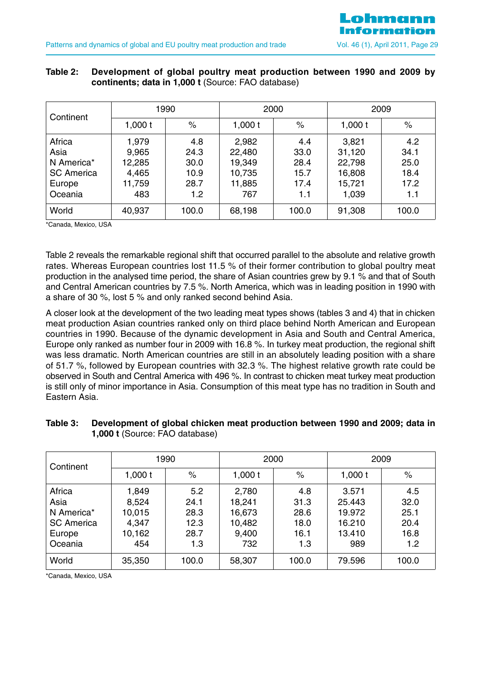

#### **Table 2: Development of global poultry meat production between 1990 and 2009 by continents; data in 1,000 t** (Source: FAO database)

| Continent         | 1990      |       | 2000      |       | 2009      |       |
|-------------------|-----------|-------|-----------|-------|-----------|-------|
|                   | $1,000$ t | $\%$  | 1,000 $t$ | $\%$  | 1,000 $t$ | $\%$  |
| Africa            | 1,979     | 4.8   | 2,982     | 4.4   | 3,821     | 4.2   |
| Asia              | 9,965     | 24.3  | 22,480    | 33.0  | 31,120    | 34.1  |
| N America*        | 12,285    | 30.0  | 19,349    | 28.4  | 22,798    | 25.0  |
| <b>SC America</b> | 4,465     | 10.9  | 10,735    | 15.7  | 16,808    | 18.4  |
| Europe            | 11,759    | 28.7  | 11,885    | 17.4  | 15,721    | 17.2  |
| Oceania           | 483       | 1.2   | 767       | 1.1   | 1,039     | 1.1   |
| World             | 40,937    | 100.0 | 68,198    | 100.0 | 91,308    | 100.0 |

\*Canada, Mexico, USA

Table 2 reveals the remarkable regional shift that occurred parallel to the absolute and relative growth rates. Whereas European countries lost 11.5 % of their former contribution to global poultry meat production in the analysed time period, the share of Asian countries grew by 9.1 % and that of South and Central American countries by 7.5 %. North America, which was in leading position in 1990 with a share of 30 %, lost 5 % and only ranked second behind Asia.

A closer look at the development of the two leading meat types shows (tables 3 and 4) that in chicken meat production Asian countries ranked only on third place behind North American and European countries in 1990. Because of the dynamic development in Asia and South and Central America, Europe only ranked as number four in 2009 with 16.8 %. In turkey meat production, the regional shift was less dramatic. North American countries are still in an absolutely leading position with a share of 51.7 %, followed by European countries with 32.3 %. The highest relative growth rate could be observed in South and Central America with 496 %. In contrast to chicken meat turkey meat production is still only of minor importance in Asia. Consumption of this meat type has no tradition in South and Eastern Asia.

| Continent         | 1990      |       | 2000    |       | 2009      |       |
|-------------------|-----------|-------|---------|-------|-----------|-------|
|                   | $1,000$ t | $\%$  | 1,000 t | $\%$  | 1,000 $t$ | $\%$  |
| Africa            | 1,849     | 5.2   | 2,780   | 4.8   | 3.571     | 4.5   |
| Asia              | 8,524     | 24.1  | 18,241  | 31.3  | 25.443    | 32.0  |
| N America*        | 10,015    | 28.3  | 16,673  | 28.6  | 19.972    | 25.1  |
| <b>SC America</b> | 4,347     | 12.3  | 10,482  | 18.0  | 16.210    | 20.4  |
| Europe            | 10,162    | 28.7  | 9,400   | 16.1  | 13.410    | 16.8  |
| Oceania           | 454       | 1.3   | 732     | 1.3   | 989       | 1.2   |
| World             | 35,350    | 100.0 | 58,307  | 100.0 | 79.596    | 100.0 |

#### **Table 3: Development of global chicken meat production between 1990 and 2009; data in 1,000 t** (Source: FAO database)

\*Canada, Mexico, USA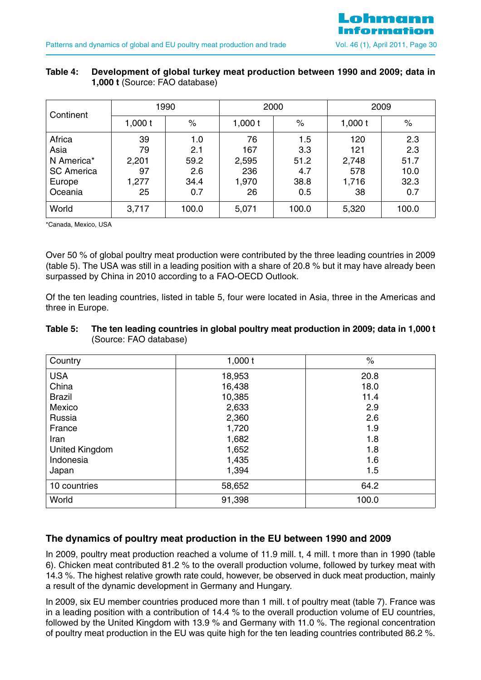#### **Table 4: Development of global turkey meat production between 1990 and 2009; data in 1,000 t** (Source: FAO database)

| Continent         | 1990      |       | 2000      |       | 2009      |       |
|-------------------|-----------|-------|-----------|-------|-----------|-------|
|                   | $1,000$ t | $\%$  | 1,000 $t$ | $\%$  | 1,000 $t$ | $\%$  |
| Africa            | 39        | 1.0   | 76        | 1.5   | 120       | 2.3   |
| Asia              | 79        | 2.1   | 167       | 3.3   | 121       | 2.3   |
| N America*        | 2,201     | 59.2  | 2,595     | 51.2  | 2,748     | 51.7  |
| <b>SC America</b> | 97        | 2.6   | 236       | 4.7   | 578       | 10.0  |
| Europe            | 1,277     | 34.4  | 1,970     | 38.8  | 1,716     | 32.3  |
| Oceania           | 25        | 0.7   | 26        | 0.5   | 38        | 0.7   |
| World             | 3,717     | 100.0 | 5,071     | 100.0 | 5,320     | 100.0 |

\*Canada, Mexico, USA

Over 50 % of global poultry meat production were contributed by the three leading countries in 2009 (table 5). The USA was still in a leading position with a share of 20.8 % but it may have already been surpassed by China in 2010 according to a FAO-OECD Outlook.

Of the ten leading countries, listed in table 5, four were located in Asia, three in the Americas and three in Europe.

#### **Table 5: The ten leading countries in global poultry meat production in 2009; data in 1,000 t** (Source: FAO database)

| Country        | 1,000 t | $\%$  |
|----------------|---------|-------|
| <b>USA</b>     | 18,953  | 20.8  |
| China          | 16,438  | 18.0  |
| <b>Brazil</b>  | 10,385  | 11.4  |
| Mexico         | 2,633   | 2.9   |
| Russia         | 2,360   | 2.6   |
| France         | 1,720   | 1.9   |
| Iran           | 1,682   | 1.8   |
| United Kingdom | 1,652   | 1.8   |
| Indonesia      | 1,435   | 1.6   |
| Japan          | 1,394   | 1.5   |
| 10 countries   | 58,652  | 64.2  |
| World          | 91,398  | 100.0 |

## **The dynamics of poultry meat production in the EU between 1990 and 2009**

In 2009, poultry meat production reached a volume of 11.9 mill. t, 4 mill. t more than in 1990 (table 6). Chicken meat contributed 81.2 % to the overall production volume, followed by turkey meat with 14.3 %. The highest relative growth rate could, however, be observed in duck meat production, mainly a result of the dynamic development in Germany and Hungary.

In 2009, six EU member countries produced more than 1 mill. t of poultry meat (table 7). France was in a leading position with a contribution of 14.4 % to the overall production volume of EU countries, followed by the United Kingdom with 13.9 % and Germany with 11.0 %. The regional concentration of poultry meat production in the EU was quite high for the ten leading countries contributed 86.2 %.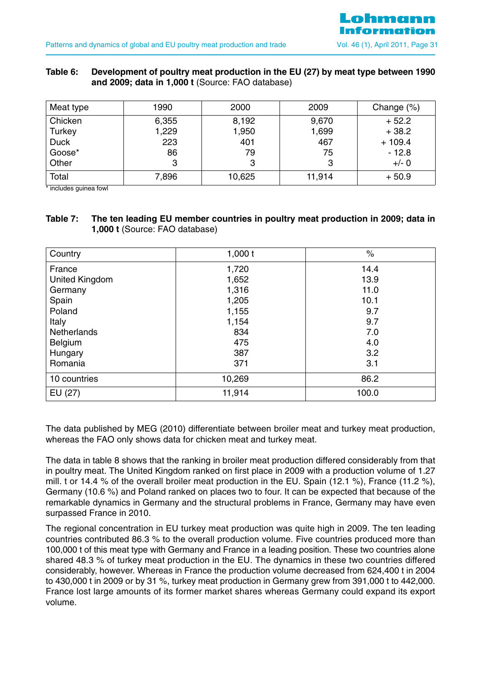

#### **Table 6: Development of poultry meat production in the EU (27) by meat type between 1990 and 2009; data in 1,000 t** (Source: FAO database)

| Meat type   | 1990  | 2000   | 2009   | Change $(\%)$ |
|-------------|-------|--------|--------|---------------|
| Chicken     | 6,355 | 8,192  | 9,670  | $+52.2$       |
| Turkey      | 1,229 | 1,950  | 1,699  | $+38.2$       |
| <b>Duck</b> | 223   | 401    | 467    | $+109.4$      |
| Goose*      | 86    | 79     | 75     | $-12.8$       |
| Other       | 3     | 3      | 3      | $+/- 0$       |
| Total       | 7,896 | 10,625 | 11,914 | $+50.9$       |

\* includes guinea fowl

#### **Table 7: The ten leading EU member countries in poultry meat production in 2009; data in 1,000 t** (Source: FAO database)

| Country            | 1,000 t | $\%$  |
|--------------------|---------|-------|
| France             | 1,720   | 14.4  |
| United Kingdom     | 1,652   | 13.9  |
| Germany            | 1,316   | 11.0  |
| Spain              | 1,205   | 10.1  |
| Poland             | 1,155   | 9.7   |
| Italy              | 1,154   | 9.7   |
| <b>Netherlands</b> | 834     | 7.0   |
| Belgium            | 475     | 4.0   |
| Hungary            | 387     | 3.2   |
| Romania            | 371     | 3.1   |
| 10 countries       | 10,269  | 86.2  |
| EU (27)            | 11,914  | 100.0 |

The data published by MEG (2010) differentiate between broiler meat and turkey meat production, whereas the FAO only shows data for chicken meat and turkey meat.

The data in table 8 shows that the ranking in broiler meat production differed considerably from that in poultry meat. The United Kingdom ranked on first place in 2009 with a production volume of 1.27 mill. t or 14.4 % of the overall broiler meat production in the EU. Spain (12.1 %), France (11.2 %), Germany (10.6 %) and Poland ranked on places two to four. It can be expected that because of the remarkable dynamics in Germany and the structural problems in France, Germany may have even surpassed France in 2010.

The regional concentration in EU turkey meat production was quite high in 2009. The ten leading countries contributed 86.3 % to the overall production volume. Five countries produced more than 100,000 t of this meat type with Germany and France in a leading position. These two countries alone shared 48.3 % of turkey meat production in the EU. The dynamics in these two countries differed considerably, however. Whereas in France the production volume decreased from 624,400 t in 2004 to 430,000 t in 2009 or by 31 %, turkey meat production in Germany grew from 391,000 t to 442,000. France lost large amounts of its former market shares whereas Germany could expand its export volume.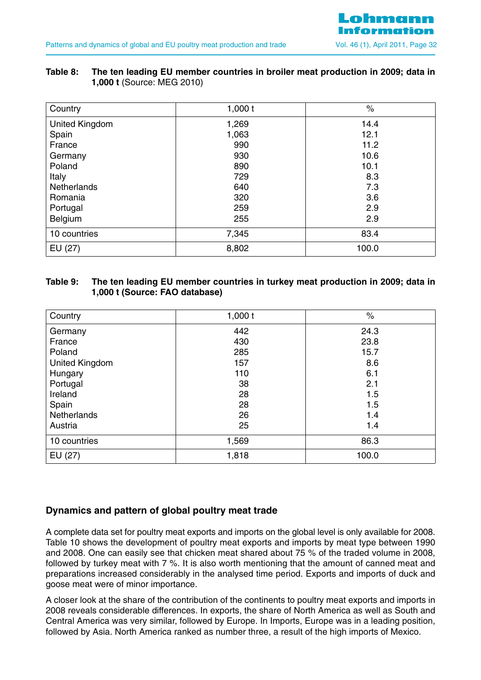

#### **Table 8: The ten leading EU member countries in broiler meat production in 2009; data in 1,000 t** (Source: MEG 2010)

| Country               | 1,000 t | $\%$  |
|-----------------------|---------|-------|
| <b>United Kingdom</b> | 1,269   | 14.4  |
| Spain                 | 1,063   | 12.1  |
| France                | 990     | 11.2  |
| Germany               | 930     | 10.6  |
| Poland                | 890     | 10.1  |
| Italy                 | 729     | 8.3   |
| <b>Netherlands</b>    | 640     | 7.3   |
| Romania               | 320     | 3.6   |
| Portugal              | 259     | 2.9   |
| Belgium               | 255     | 2.9   |
| 10 countries          | 7,345   | 83.4  |
| EU (27)               | 8,802   | 100.0 |

#### **Table 9: The ten leading EU member countries in turkey meat production in 2009; data in 1,000 t (Source: FAO database)**

| Country        | 1,000 t | $\%$  |
|----------------|---------|-------|
| Germany        | 442     | 24.3  |
| France         | 430     | 23.8  |
| Poland         | 285     | 15.7  |
| United Kingdom | 157     | 8.6   |
| Hungary        | 110     | 6.1   |
| Portugal       | 38      | 2.1   |
| Ireland        | 28      | 1.5   |
| Spain          | 28      | 1.5   |
| Netherlands    | 26      | 1.4   |
| Austria        | 25      | 1.4   |
| 10 countries   | 1,569   | 86.3  |
| EU (27)        | 1,818   | 100.0 |

## **Dynamics and pattern of global poultry meat trade**

A complete data set for poultry meat exports and imports on the global level is only available for 2008. Table 10 shows the development of poultry meat exports and imports by meat type between 1990 and 2008. One can easily see that chicken meat shared about 75 % of the traded volume in 2008, followed by turkey meat with 7 %. It is also worth mentioning that the amount of canned meat and preparations increased considerably in the analysed time period. Exports and imports of duck and goose meat were of minor importance.

A closer look at the share of the contribution of the continents to poultry meat exports and imports in 2008 reveals considerable differences. In exports, the share of North America as well as South and Central America was very similar, followed by Europe. In Imports, Europe was in a leading position, followed by Asia. North America ranked as number three, a result of the high imports of Mexico.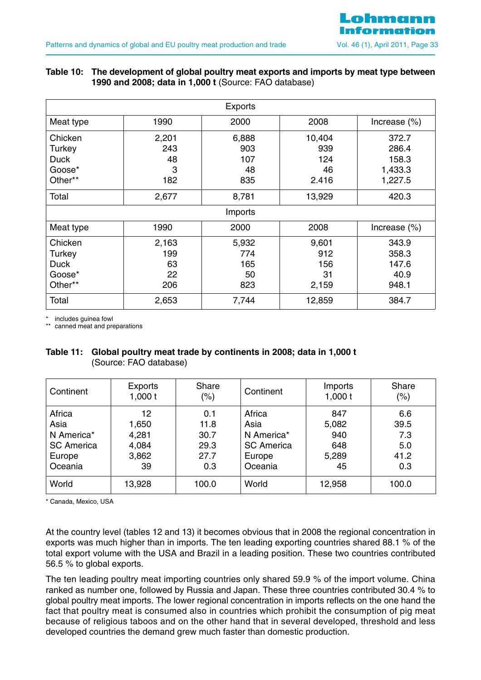

#### **Table 10: The development of global poultry meat exports and imports by meat type between 1990 and 2008; data in 1,000 t** (Source: FAO database)

|             |         | <b>Exports</b> |        |                 |
|-------------|---------|----------------|--------|-----------------|
| Meat type   | 1990    | 2000           | 2008   | Increase $(\%)$ |
| Chicken     | 2,201   | 6,888          | 10,404 | 372.7           |
| Turkey      | 243     | 903            | 939    | 286.4           |
| <b>Duck</b> | 48      | 107            | 124    | 158.3           |
| Goose*      | 3       | 48             | 46     | 1,433.3         |
| Other**     | 182     | 835            | 2.416  | 1,227.5         |
| Total       | 2,677   | 8,781          | 13,929 | 420.3           |
|             | Imports |                |        |                 |
| Meat type   | 1990    | 2000           | 2008   | Increase $(\%)$ |
| Chicken     | 2,163   | 5,932          | 9,601  | 343.9           |
| Turkey      | 199     | 774            | 912    | 358.3           |
| <b>Duck</b> | 63      | 165            | 156    | 147.6           |
| Goose*      | 22      | 50             | 31     | 40.9            |
| Other**     | 206     | 823            | 2,159  | 948.1           |
| Total       | 2,653   | 7,744          | 12,859 | 384.7           |

\* includes guinea fowl

\*\* canned meat and preparations

#### **Table 11: Global poultry meat trade by continents in 2008; data in 1,000 t**  (Source: FAO database)

| Continent         | Exports<br>1,000t | Share<br>(%) | Continent         | Imports<br>1,000 t | Share<br>$(\% )$ |
|-------------------|-------------------|--------------|-------------------|--------------------|------------------|
| Africa            | 12                | 0.1          | Africa            | 847                | 6.6              |
| Asia              | 1,650             | 11.8         | Asia              | 5,082              | 39.5             |
| N America*        | 4,281             | 30.7         | N America*        | 940                | 7.3              |
| <b>SC America</b> | 4,084             | 29.3         | <b>SC America</b> | 648                | 5.0              |
| Europe            | 3,862             | 27.7         | Europe            | 5,289              | 41.2             |
| Oceania           | 39                | 0.3          | Oceania           | 45                 | 0.3              |
| World             | 13,928            | 100.0        | World             | 12,958             | 100.0            |

\* Canada, Mexico, USA

At the country level (tables 12 and 13) it becomes obvious that in 2008 the regional concentration in exports was much higher than in imports. The ten leading exporting countries shared 88.1 % of the total export volume with the USA and Brazil in a leading position. These two countries contributed 56.5 % to global exports.

The ten leading poultry meat importing countries only shared 59.9 % of the import volume. China ranked as number one, followed by Russia and Japan. These three countries contributed 30.4 % to global poultry meat imports. The lower regional concentration in imports reflects on the one hand the fact that poultry meat is consumed also in countries which prohibit the consumption of pig meat because of religious taboos and on the other hand that in several developed, threshold and less developed countries the demand grew much faster than domestic production.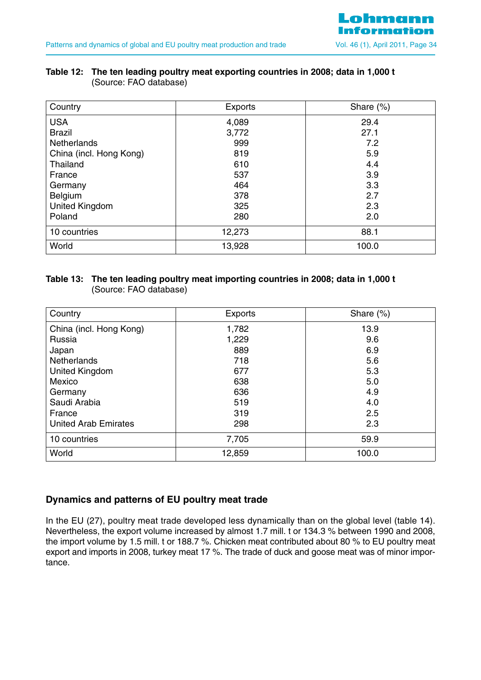

#### **Table 12: The ten leading poultry meat exporting countries in 2008; data in 1,000 t**  (Source: FAO database)

| Country                 | <b>Exports</b> | Share $(\%)$ |
|-------------------------|----------------|--------------|
| <b>USA</b>              | 4,089          | 29.4         |
| <b>Brazil</b>           | 3,772          | 27.1         |
| <b>Netherlands</b>      | 999            | 7.2          |
| China (incl. Hong Kong) | 819            | 5.9          |
| Thailand                | 610            | 4.4          |
| France                  | 537            | 3.9          |
| Germany                 | 464            | 3.3          |
| Belgium                 | 378            | 2.7          |
| United Kingdom          | 325            | 2.3          |
| Poland                  | 280            | 2.0          |
| 10 countries            | 12,273         | 88.1         |
| World                   | 13,928         | 100.0        |

## **Table 13: The ten leading poultry meat importing countries in 2008; data in 1,000 t** (Source: FAO database)

| Country                     | <b>Exports</b> | Share $(\%)$ |
|-----------------------------|----------------|--------------|
| China (incl. Hong Kong)     | 1,782          | 13.9         |
| Russia                      | 1,229          | 9.6          |
| Japan                       | 889            | 6.9          |
| <b>Netherlands</b>          | 718            | 5.6          |
| United Kingdom              | 677            | 5.3          |
| Mexico                      | 638            | 5.0          |
| Germany                     | 636            | 4.9          |
| Saudi Arabia                | 519            | 4.0          |
| France                      | 319            | 2.5          |
| <b>United Arab Emirates</b> | 298            | 2.3          |
| 10 countries                | 7,705          | 59.9         |
| World                       | 12,859         | 100.0        |

## **Dynamics and patterns of EU poultry meat trade**

In the EU (27), poultry meat trade developed less dynamically than on the global level (table 14). Nevertheless, the export volume increased by almost 1.7 mill. t or 134.3 % between 1990 and 2008, the import volume by 1.5 mill. t or 188.7 %. Chicken meat contributed about 80 % to EU poultry meat export and imports in 2008, turkey meat 17 %. The trade of duck and goose meat was of minor importance.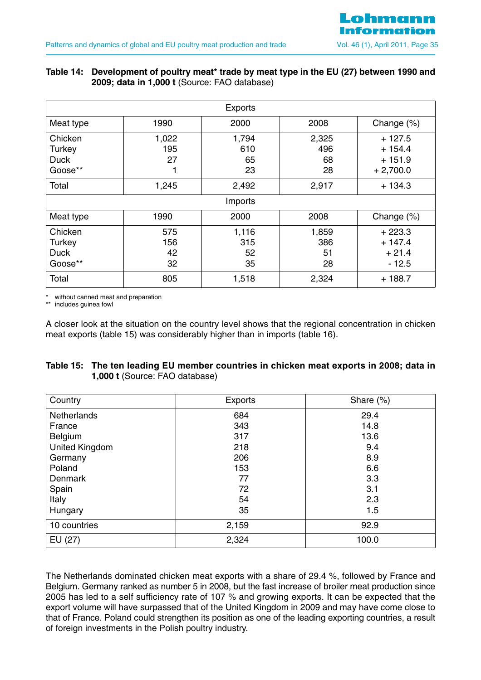

#### **Table 14: Development of poultry meat\* trade by meat type in the EU (27) between 1990 and 2009; data in 1,000 t** (Source: FAO database)

|             |       | <b>Exports</b> |       |               |
|-------------|-------|----------------|-------|---------------|
| Meat type   | 1990  | 2000           | 2008  | Change $(\%)$ |
| Chicken     | 1,022 | 1,794          | 2,325 | $+127.5$      |
| Turkey      | 195   | 610            | 496   | $+154.4$      |
| <b>Duck</b> | 27    | 65             | 68    | $+151.9$      |
| Goose**     |       | 23             | 28    | $+2,700.0$    |
| Total       | 1,245 | 2,492          | 2,917 | $+134.3$      |
|             |       | Imports        |       |               |
| Meat type   | 1990  | 2000           | 2008  | Change $(\%)$ |
| Chicken     | 575   | 1,116          | 1,859 | $+223.3$      |
| Turkey      | 156   | 315            | 386   | $+147.4$      |
| <b>Duck</b> | 42    | 52             | 51    | $+21.4$       |
| Goose**     | 32    | 35             | 28    | $-12.5$       |
| Total       | 805   | 1,518          | 2,324 | $+188.7$      |

\* without canned meat and preparation

\*\* includes guinea fowl

A closer look at the situation on the country level shows that the regional concentration in chicken meat exports (table 15) was considerably higher than in imports (table 16).

| Table 15: The ten leading EU member countries in chicken meat exports in 2008; data in |
|----------------------------------------------------------------------------------------|
| <b>1,000 t</b> (Source: FAO database)                                                  |

| Country            | <b>Exports</b> | Share $(\%)$ |
|--------------------|----------------|--------------|
| <b>Netherlands</b> | 684            | 29.4         |
| France             | 343            | 14.8         |
| Belgium            | 317            | 13.6         |
| United Kingdom     | 218            | 9.4          |
| Germany            | 206            | 8.9          |
| Poland             | 153            | 6.6          |
| Denmark            | 77             | 3.3          |
| Spain              | 72             | 3.1          |
| Italy              | 54             | 2.3          |
| Hungary            | 35             | 1.5          |
| 10 countries       | 2,159          | 92.9         |
| EU (27)            | 2,324          | 100.0        |

The Netherlands dominated chicken meat exports with a share of 29.4 %, followed by France and Belgium. Germany ranked as number 5 in 2008, but the fast increase of broiler meat production since 2005 has led to a self sufficiency rate of 107 % and growing exports. It can be expected that the export volume will have surpassed that of the United Kingdom in 2009 and may have come close to that of France. Poland could strengthen its position as one of the leading exporting countries, a result of foreign investments in the Polish poultry industry.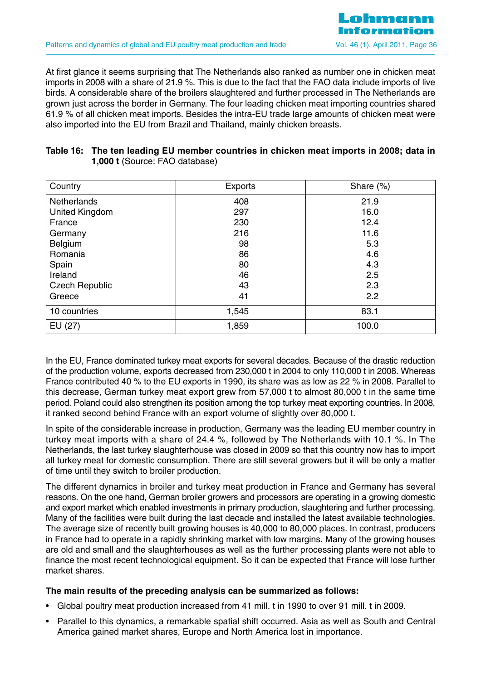At first glance it seems surprising that The Netherlands also ranked as number one in chicken meat imports in 2008 with a share of 21.9 %. This is due to the fact that the FAO data include imports of live birds. A considerable share of the broilers slaughtered and further processed in The Netherlands are grown just across the border in Germany. The four leading chicken meat importing countries shared 61.9 % of all chicken meat imports. Besides the intra-EU trade large amounts of chicken meat were also imported into the EU from Brazil and Thailand, mainly chicken breasts.

| Country               | <b>Exports</b> | Share $(\%)$ |
|-----------------------|----------------|--------------|
| <b>Netherlands</b>    | 408            | 21.9         |
| United Kingdom        | 297            | 16.0         |
| France                | 230            | 12.4         |
| Germany               | 216            | 11.6         |
| Belgium               | 98             | 5.3          |
| Romania               | 86             | 4.6          |
| Spain                 | 80             | 4.3          |
| Ireland               | 46             | 2.5          |
| <b>Czech Republic</b> | 43             | 2.3          |
| Greece                | 41             | 2.2          |
| 10 countries          | 1,545          | 83.1         |
| EU (27)               | 1,859          | 100.0        |

| Table 16: The ten leading EU member countries in chicken meat imports in 2008; data in |
|----------------------------------------------------------------------------------------|
| <b>1,000 t</b> (Source: FAO database)                                                  |

In the EU, France dominated turkey meat exports for several decades. Because of the drastic reduction of the production volume, exports decreased from 230,000 t in 2004 to only 110,000 t in 2008. Whereas France contributed 40 % to the EU exports in 1990, its share was as low as 22 % in 2008. Parallel to this decrease, German turkey meat export grew from 57,000 t to almost 80,000 t in the same time period. Poland could also strengthen its position among the top turkey meat exporting countries. In 2008, it ranked second behind France with an export volume of slightly over 80,000 t.

In spite of the considerable increase in production, Germany was the leading EU member country in turkey meat imports with a share of 24.4 %, followed by The Netherlands with 10.1 %. In The Netherlands, the last turkey slaughterhouse was closed in 2009 so that this country now has to import all turkey meat for domestic consumption. There are still several growers but it will be only a matter of time until they switch to broiler production.

The different dynamics in broiler and turkey meat production in France and Germany has several reasons. On the one hand, German broiler growers and processors are operating in a growing domestic and export market which enabled investments in primary production, slaughtering and further processing. Many of the facilities were built during the last decade and installed the latest available technologies. The average size of recently built growing houses is 40,000 to 80,000 places. In contrast, producers in France had to operate in a rapidly shrinking market with low margins. Many of the growing houses are old and small and the slaughterhouses as well as the further processing plants were not able to finance the most recent technological equipment. So it can be expected that France will lose further market shares.

#### **The main results of the preceding analysis can be summarized as follows:**

- Global poultry meat production increased from 41 mill. t in 1990 to over 91 mill. t in 2009.
- Parallel to this dynamics, a remarkable spatial shift occurred. Asia as well as South and Central America gained market shares, Europe and North America lost in importance.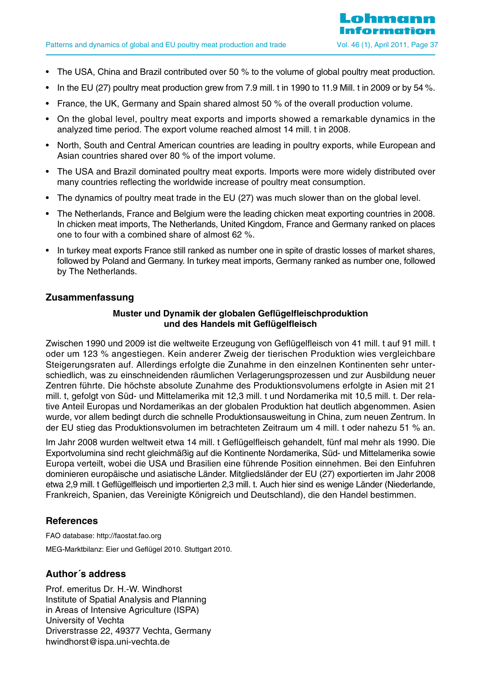- The USA, China and Brazil contributed over 50 % to the volume of global poultry meat production.
- In the EU (27) poultry meat production grew from 7.9 mill. t in 1990 to 11.9 Mill. t in 2009 or by 54 %.
- France, the UK, Germany and Spain shared almost 50 % of the overall production volume.
- On the global level, poultry meat exports and imports showed a remarkable dynamics in the analyzed time period. The export volume reached almost 14 mill. t in 2008.
- North, South and Central American countries are leading in poultry exports, while European and Asian countries shared over 80 % of the import volume.
- The USA and Brazil dominated poultry meat exports. Imports were more widely distributed over many countries reflecting the worldwide increase of poultry meat consumption.
- The dynamics of poultry meat trade in the EU (27) was much slower than on the global level.
- The Netherlands, France and Belgium were the leading chicken meat exporting countries in 2008. In chicken meat imports, The Netherlands, United Kingdom, France and Germany ranked on places one to four with a combined share of almost 62 %.
- In turkey meat exports France still ranked as number one in spite of drastic losses of market shares, followed by Poland and Germany. In turkey meat imports, Germany ranked as number one, followed by The Netherlands.

## **Zusammenfassung**

#### **Muster und Dynamik der globalen Geflügelfleischproduktion und des Handels mit Geflügelfleisch**

Zwischen 1990 und 2009 ist die weltweite Erzeugung von Geflügelfleisch von 41 mill. t auf 91 mill. t oder um 123 % angestiegen. Kein anderer Zweig der tierischen Produktion wies vergleichbare Steigerungsraten auf. Allerdings erfolgte die Zunahme in den einzelnen Kontinenten sehr unterschiedlich, was zu einschneidenden räumlichen Verlagerungsprozessen und zur Ausbildung neuer Zentren führte. Die höchste absolute Zunahme des Produktionsvolumens erfolgte in Asien mit 21 mill. t, gefolgt von Süd- und Mittelamerika mit 12,3 mill. t und Nordamerika mit 10,5 mill. t. Der relative Anteil Europas und Nordamerikas an der globalen Produktion hat deutlich abgenommen. Asien wurde, vor allem bedingt durch die schnelle Produktionsausweitung in China, zum neuen Zentrum. In der EU stieg das Produktionsvolumen im betrachteten Zeitraum um 4 mill. t oder nahezu 51 % an.

Im Jahr 2008 wurden weltweit etwa 14 mill. t Geflügelfleisch gehandelt, fünf mal mehr als 1990. Die Exportvolumina sind recht gleichmäßig auf die Kontinente Nordamerika, Süd- und Mittelamerika sowie Europa verteilt, wobei die USA und Brasilien eine führende Position einnehmen. Bei den Einfuhren dominieren europäische und asiatische Länder. Mitgliedsländer der EU (27) exportierten im Jahr 2008 etwa 2,9 mill. t Geflügelfleisch und importierten 2,3 mill. t. Auch hier sind es wenige Länder (Niederlande, Frankreich, Spanien, das Vereinigte Königreich und Deutschland), die den Handel bestimmen.

## **References**

FAO database: http://faostat.fao.org MEG-Marktbilanz: Eier und Geflügel 2010. Stuttgart 2010.

## **Author´s address**

Prof. emeritus Dr. H.-W. Windhorst Institute of Spatial Analysis and Planning in Areas of Intensive Agriculture (ISPA) University of Vechta Driverstrasse 22, 49377 Vechta, Germany hwindhorst@ispa.uni-vechta.de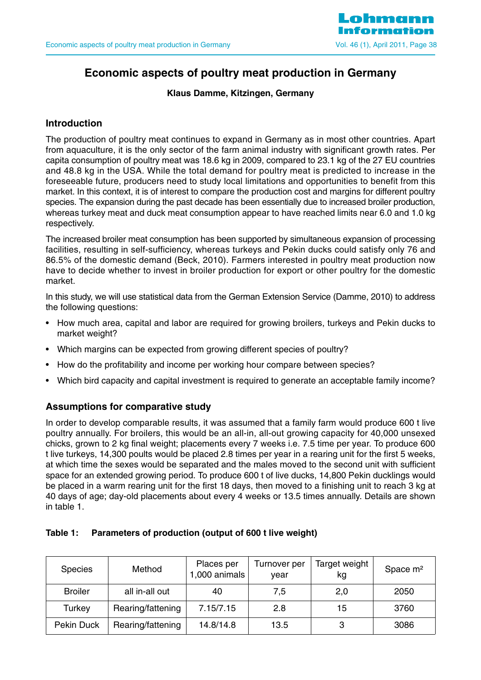

## **Economic aspects of poultry meat production in Germany**

#### **Klaus Damme, Kitzingen, Germany**

## **Introduction**

The production of poultry meat continues to expand in Germany as in most other countries. Apart from aquaculture, it is the only sector of the farm animal industry with significant growth rates. Per capita consumption of poultry meat was 18.6 kg in 2009, compared to 23.1 kg of the 27 EU countries and 48.8 kg in the USA. While the total demand for poultry meat is predicted to increase in the foreseeable future, producers need to study local limitations and opportunities to benefit from this market. In this context, it is of interest to compare the production cost and margins for different poultry species. The expansion during the past decade has been essentially due to increased broiler production, whereas turkey meat and duck meat consumption appear to have reached limits near 6.0 and 1.0 kg respectively.

The increased broiler meat consumption has been supported by simultaneous expansion of processing facilities, resulting in self-sufficiency, whereas turkeys and Pekin ducks could satisfy only 76 and 86.5% of the domestic demand (Beck, 2010). Farmers interested in poultry meat production now have to decide whether to invest in broiler production for export or other poultry for the domestic market.

In this study, we will use statistical data from the German Extension Service (Damme, 2010) to address the following questions:

- How much area, capital and labor are required for growing broilers, turkeys and Pekin ducks to market weight?
- Which margins can be expected from growing different species of poultry?
- How do the profitability and income per working hour compare between species?
- Which bird capacity and capital investment is required to generate an acceptable family income?

#### **Assumptions for comparative study**

In order to develop comparable results, it was assumed that a family farm would produce 600 t live poultry annually. For broilers, this would be an all-in, all-out growing capacity for 40,000 unsexed chicks, grown to 2 kg final weight; placements every 7 weeks i.e. 7.5 time per year. To produce 600 t live turkeys, 14,300 poults would be placed 2.8 times per year in a rearing unit for the first 5 weeks, at which time the sexes would be separated and the males moved to the second unit with sufficient space for an extended growing period. To produce 600 t of live ducks, 14,800 Pekin ducklings would be placed in a warm rearing unit for the first 18 days, then moved to a finishing unit to reach 3 kg at 40 days of age; day-old placements about every 4 weeks or 13.5 times annually. Details are shown in table 1.

| <b>Species</b>    | Method            | Places per<br>1,000 animals | Turnover per<br>vear | Target weight<br>kg | Space $m2$ |
|-------------------|-------------------|-----------------------------|----------------------|---------------------|------------|
| <b>Broiler</b>    | all in-all out    | 40                          | 7,5                  | 2,0                 | 2050       |
| Turkey            | Rearing/fattening | 7.15/7.15                   | 2.8                  | 15                  | 3760       |
| <b>Pekin Duck</b> | Rearing/fattening | 14.8/14.8                   | 13.5                 | 3                   | 3086       |

#### **Table 1: Parameters of production (output of 600 t live weight)**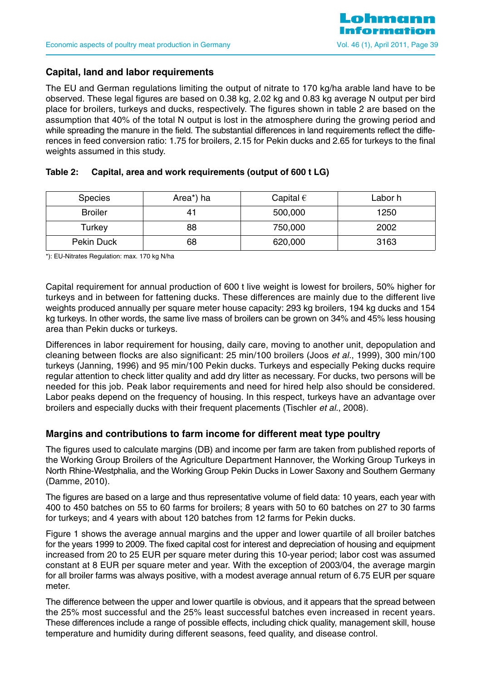## **Capital, land and labor requirements**

The EU and German regulations limiting the output of nitrate to 170 kg/ha arable land have to be observed. These legal figures are based on 0.38 kg, 2.02 kg and 0.83 kg average N output per bird place for broilers, turkeys and ducks, respectively. The figures shown in table 2 are based on the assumption that 40% of the total N output is lost in the atmosphere during the growing period and while spreading the manure in the field. The substantial differences in land requirements reflect the differences in feed conversion ratio: 1.75 for broilers, 2.15 for Pekin ducks and 2.65 for turkeys to the final weights assumed in this study.

#### **Table 2: Capital, area and work requirements (output of 600 t LG)**

| <b>Species</b>    | Area <sup>*</sup> ) ha | Capital $\epsilon$ | Labor h |
|-------------------|------------------------|--------------------|---------|
| <b>Broiler</b>    | 41                     | 500,000            | 1250    |
| Turkey            | 88                     | 750,000            | 2002    |
| <b>Pekin Duck</b> | 68                     | 620,000            | 3163    |

\*): EU-Nitrates Regulation: max. 170 kg N/ha

Capital requirement for annual production of 600 t live weight is lowest for broilers, 50% higher for turkeys and in between for fattening ducks. These differences are mainly due to the different live weights produced annually per square meter house capacity: 293 kg broilers, 194 kg ducks and 154 kg turkeys. In other words, the same live mass of broilers can be grown on 34% and 45% less housing area than Pekin ducks or turkeys.

Differences in labor requirement for housing, daily care, moving to another unit, depopulation and cleaning between flocks are also significant: 25 min/100 broilers (Joos et al., 1999), 300 min/100 turkeys (Janning, 1996) and 95 min/100 Pekin ducks. Turkeys and especially Peking ducks require regular attention to check litter quality and add dry litter as necessary. For ducks, two persons will be needed for this job. Peak labor requirements and need for hired help also should be considered. Labor peaks depend on the frequency of housing. In this respect, turkeys have an advantage over broilers and especially ducks with their frequent placements (Tischler et al., 2008).

#### **Margins and contributions to farm income for different meat type poultry**

The figures used to calculate margins (DB) and income per farm are taken from published reports of the Working Group Broilers of the Agriculture Department Hannover, the Working Group Turkeys in North Rhine-Westphalia, and the Working Group Pekin Ducks in Lower Saxony and Southern Germany (Damme, 2010).

The figures are based on a large and thus representative volume of field data: 10 years, each year with 400 to 450 batches on 55 to 60 farms for broilers; 8 years with 50 to 60 batches on 27 to 30 farms for turkeys; and 4 years with about 120 batches from 12 farms for Pekin ducks.

Figure 1 shows the average annual margins and the upper and lower quartile of all broiler batches for the years 1999 to 2009. The fixed capital cost for interest and depreciation of housing and equipment increased from 20 to 25 EUR per square meter during this 10-year period; labor cost was assumed constant at 8 EUR per square meter and year. With the exception of 2003/04, the average margin for all broiler farms was always positive, with a modest average annual return of 6.75 EUR per square meter.

The difference between the upper and lower quartile is obvious, and it appears that the spread between the 25% most successful and the 25% least successful batches even increased in recent years. These differences include a range of possible effects, including chick quality, management skill, house temperature and humidity during different seasons, feed quality, and disease control.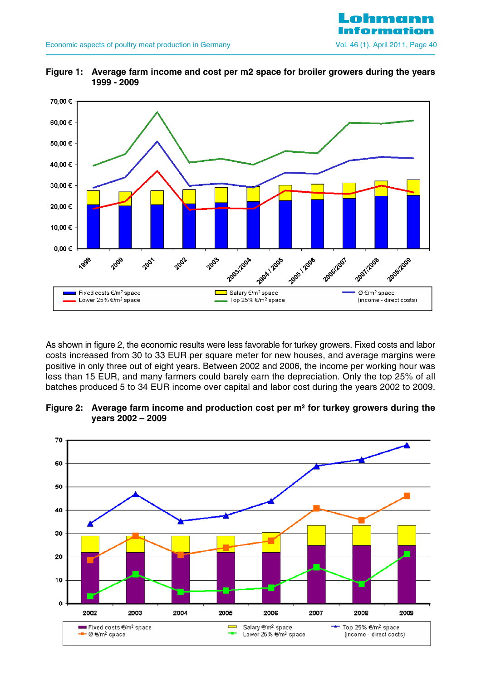



<u>ohmann</u>

As shown in figure 2, the economic results were less favorable for turkey growers. Fixed costs and labor costs increased from 30 to 33 EUR per square meter for new houses, and average margins were positive in only three out of eight years. Between 2002 and 2006, the income per working hour was less than 15 EUR, and many farmers could barely earn the depreciation. Only the top 25% of all batches produced 5 to 34 EUR income over capital and labor cost during the years 2002 to 2009.

**Figure 2: Average farm income and production cost per m² for turkey growers during the years 2002 – 2009** 

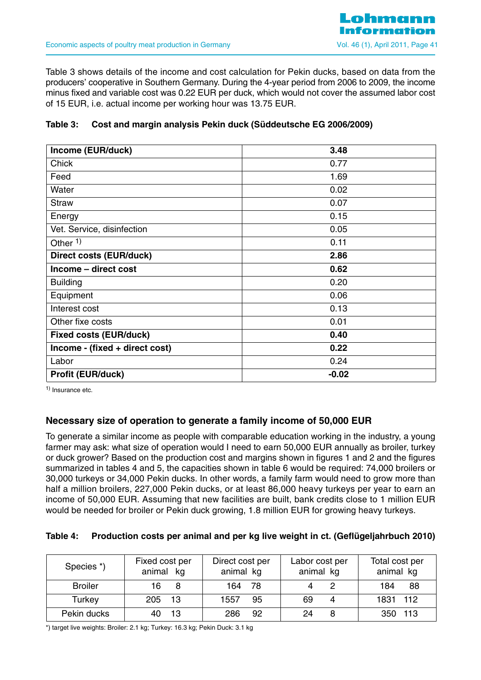Table 3 shows details of the income and cost calculation for Pekin ducks, based on data from the producers' cooperative in Southern Germany. During the 4-year period from 2006 to 2009, the income minus fixed and variable cost was 0.22 EUR per duck, which would not cover the assumed labor cost of 15 EUR, i.e. actual income per working hour was 13.75 EUR.

#### **Table 3: Cost and margin analysis Pekin duck (Süddeutsche EG 2006/2009)**

| Income (EUR/duck)              | 3.48    |
|--------------------------------|---------|
| Chick                          | 0.77    |
| Feed                           | 1.69    |
| Water                          | 0.02    |
| <b>Straw</b>                   | 0.07    |
| Energy                         | 0.15    |
| Vet. Service, disinfection     | 0.05    |
| Other $1$ )                    | 0.11    |
| <b>Direct costs (EUR/duck)</b> | 2.86    |
| Income - direct cost           | 0.62    |
| <b>Building</b>                | 0.20    |
| Equipment                      | 0.06    |
| Interest cost                  | 0.13    |
| Other fixe costs               | 0.01    |
| <b>Fixed costs (EUR/duck)</b>  | 0.40    |
| Income - (fixed + direct cost) | 0.22    |
| Labor                          | 0.24    |
| <b>Profit (EUR/duck)</b>       | $-0.02$ |

1) Insurance etc.

## **Necessary size of operation to generate a family income of 50,000 EUR**

To generate a similar income as people with comparable education working in the industry, a young farmer may ask: what size of operation would I need to earn 50,000 EUR annually as broiler, turkey or duck grower? Based on the production cost and margins shown in figures 1 and 2 and the figures summarized in tables 4 and 5, the capacities shown in table 6 would be required: 74,000 broilers or 30,000 turkeys or 34,000 Pekin ducks. In other words, a family farm would need to grow more than half a million broilers, 227,000 Pekin ducks, or at least 86,000 heavy turkeys per year to earn an income of 50,000 EUR. Assuming that new facilities are built, bank credits close to 1 million EUR would be needed for broiler or Pekin duck growing, 1.8 million EUR for growing heavy turkeys.

#### **Table 4: Production costs per animal and per kg live weight in ct. (Geflügeljahrbuch 2010)**

| Species *)     | Fixed cost per<br>animal kg | Direct cost per<br>animal kg | Labor cost per<br>animal kg | Total cost per<br>animal kg |
|----------------|-----------------------------|------------------------------|-----------------------------|-----------------------------|
| <b>Broiler</b> | 16<br>8                     | 164 78                       |                             | 88<br>184                   |
| Turkey         | 205 13                      | 95<br>1557                   | 69                          | 1831 112                    |
| Pekin ducks    | 13                          | 286<br>92                    | 24                          | 350 113                     |

\*) target live weights: Broiler: 2.1 kg; Turkey: 16.3 kg; Pekin Duck: 3.1 kg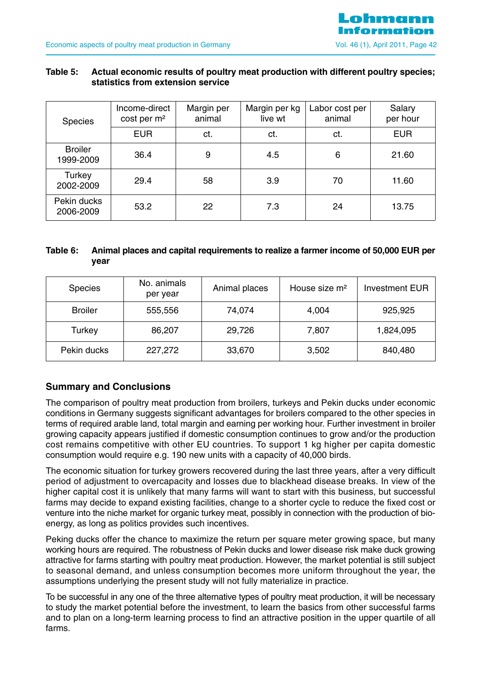#### **Table 5: Actual economic results of poultry meat production with different poultry species; statistics from extension service**

| <b>Species</b>              | Income-direct<br>$cost$ per $m2$ | Margin per<br>animal | Margin per kg<br>live wt | Labor cost per<br>animal | Salary<br>per hour |
|-----------------------------|----------------------------------|----------------------|--------------------------|--------------------------|--------------------|
|                             | <b>EUR</b>                       | ct.                  | ct.                      | ct.                      | <b>EUR</b>         |
| <b>Broiler</b><br>1999-2009 | 36.4                             | 9                    | 4.5                      | 6                        | 21.60              |
| Turkey<br>2002-2009         | 29.4                             | 58                   | 3.9                      | 70                       | 11.60              |
| Pekin ducks<br>2006-2009    | 53.2                             | 22                   | 7.3                      | 24                       | 13.75              |

#### **Table 6: Animal places and capital requirements to realize a farmer income of 50,000 EUR per year**

| <b>Species</b> | No. animals<br>per year | Animal places | House size m <sup>2</sup> | <b>Investment EUR</b> |
|----------------|-------------------------|---------------|---------------------------|-----------------------|
| <b>Broiler</b> | 555,556                 | 74,074        | 4,004                     | 925,925               |
| Turkey         | 86,207                  | 29,726        | 7,807                     | 1,824,095             |
| Pekin ducks    | 227,272                 | 33,670        | 3,502                     | 840,480               |

## **Summary and Conclusions**

The comparison of poultry meat production from broilers, turkeys and Pekin ducks under economic conditions in Germany suggests significant advantages for broilers compared to the other species in terms of required arable land, total margin and earning per working hour. Further investment in broiler growing capacity appears justified if domestic consumption continues to grow and/or the production cost remains competitive with other EU countries. To support 1 kg higher per capita domestic consumption would require e.g. 190 new units with a capacity of 40,000 birds.

The economic situation for turkey growers recovered during the last three years, after a very difficult period of adjustment to overcapacity and losses due to blackhead disease breaks. In view of the higher capital cost it is unlikely that many farms will want to start with this business, but successful farms may decide to expand existing facilities, change to a shorter cycle to reduce the fixed cost or venture into the niche market for organic turkey meat, possibly in connection with the production of bioenergy, as long as politics provides such incentives.

Peking ducks offer the chance to maximize the return per square meter growing space, but many working hours are required. The robustness of Pekin ducks and lower disease risk make duck growing attractive for farms starting with poultry meat production. However, the market potential is still subject to seasonal demand, and unless consumption becomes more uniform throughout the year, the assumptions underlying the present study will not fully materialize in practice.

To be successful in any one of the three alternative types of poultry meat production, it will be necessary to study the market potential before the investment, to learn the basics from other successful farms and to plan on a long-term learning process to find an attractive position in the upper quartile of all farms.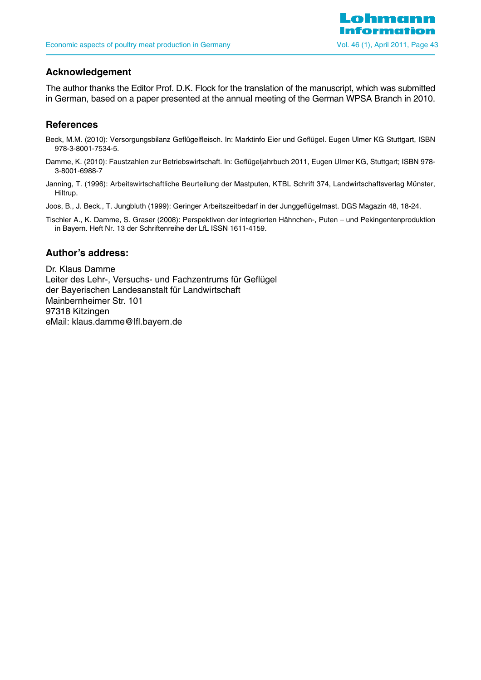

## **Acknowledgement**

The author thanks the Editor Prof. D.K. Flock for the translation of the manuscript, which was submitted in German, based on a paper presented at the annual meeting of the German WPSA Branch in 2010.

#### **References**

- Beck, M.M. (2010): Versorgungsbilanz Geflügelfleisch. In: Marktinfo Eier und Geflügel. Eugen Ulmer KG Stuttgart, ISBN 978-3-8001-7534-5.
- Damme, K. (2010): Faustzahlen zur Betriebswirtschaft. In: Geflügeljahrbuch 2011, Eugen Ulmer KG, Stuttgart; ISBN 978- 3-8001-6988-7
- Janning, T. (1996): Arbeitswirtschaftliche Beurteilung der Mastputen, KTBL Schrift 374, Landwirtschaftsverlag Münster, Hiltrup.

Joos, B., J. Beck., T. Jungbluth (1999): Geringer Arbeitszeitbedarf in der Junggeflügelmast. DGS Magazin 48, 18-24.

Tischler A., K. Damme, S. Graser (2008): Perspektiven der integrierten Hähnchen-, Puten – und Pekingentenproduktion in Bayern. Heft Nr. 13 der Schriftenreihe der LfL ISSN 1611-4159.

#### **Author's address:**

Dr. Klaus Damme Leiter des Lehr-, Versuchs- und Fachzentrums für Geflügel der Bayerischen Landesanstalt für Landwirtschaft Mainbernheimer Str. 101 97318 Kitzingen eMail: klaus.damme@lfl.bayern.de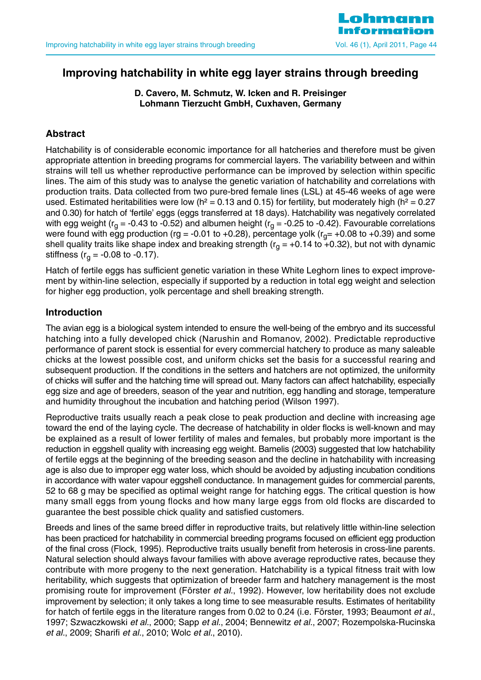

## **Improving hatchability in white egg layer strains through breeding**

#### **D. Cavero, M. Schmutz, W. Icken and R. Preisinger Lohmann Tierzucht GmbH, Cuxhaven, Germany**

## **Abstract**

Hatchability is of considerable economic importance for all hatcheries and therefore must be given appropriate attention in breeding programs for commercial layers. The variability between and within strains will tell us whether reproductive performance can be improved by selection within specific lines. The aim of this study was to analyse the genetic variation of hatchability and correlations with production traits. Data collected from two pure-bred female lines (LSL) at 45-46 weeks of age were used. Estimated heritabilities were low ( $h^2 = 0.13$  and 0.15) for fertility, but moderately high ( $h^2 = 0.27$ and 0.30) for hatch of 'fertile' eggs (eggs transferred at 18 days). Hatchability was negatively correlated with egg weight ( $r<sub>q</sub> = -0.43$  to -0.52) and albumen height ( $r<sub>q</sub> = -0.25$  to -0.42). Favourable correlations were found with egg production (rg = -0.01 to +0.28), percentage yolk ( $r<sub>q</sub>$  = +0.08 to +0.39) and some shell quality traits like shape index and breaking strength ( $r<sub>q</sub> = +0.14$  to  $+0.32$ ), but not with dynamic stiffness ( $r_{\text{q}} = -0.08$  to  $-0.17$ ).

Hatch of fertile eggs has sufficient genetic variation in these White Leghorn lines to expect improvement by within-line selection, especially if supported by a reduction in total egg weight and selection for higher egg production, yolk percentage and shell breaking strength.

#### **Introduction**

The avian egg is a biological system intended to ensure the well-being of the embryo and its successful hatching into a fully developed chick (Narushin and Romanov, 2002). Predictable reproductive performance of parent stock is essential for every commercial hatchery to produce as many saleable chicks at the lowest possible cost, and uniform chicks set the basis for a successful rearing and subsequent production. If the conditions in the setters and hatchers are not optimized, the uniformity of chicks will suffer and the hatching time will spread out. Many factors can affect hatchability, especially egg size and age of breeders, season of the year and nutrition, egg handling and storage, temperature and humidity throughout the incubation and hatching period (Wilson 1997).

Reproductive traits usually reach a peak close to peak production and decline with increasing age toward the end of the laying cycle. The decrease of hatchability in older flocks is well-known and may be explained as a result of lower fertility of males and females, but probably more important is the reduction in eggshell quality with increasing egg weight. Bamelis (2003) suggested that low hatchability of fertile eggs at the beginning of the breeding season and the decline in hatchability with increasing age is also due to improper egg water loss, which should be avoided by adjusting incubation conditions in accordance with water vapour eggshell conductance. In management guides for commercial parents, 52 to 68 g may be specified as optimal weight range for hatching eggs. The critical question is how many small eggs from young flocks and how many large eggs from old flocks are discarded to guarantee the best possible chick quality and satisfied customers.

Breeds and lines of the same breed differ in reproductive traits, but relatively little within-line selection has been practiced for hatchability in commercial breeding programs focused on efficient egg production of the final cross (Flock, 1995). Reproductive traits usually benefit from heterosis in cross-line parents. Natural selection should always favour families with above average reproductive rates, because they contribute with more progeny to the next generation. Hatchability is a typical fitness trait with low heritability, which suggests that optimization of breeder farm and hatchery management is the most promising route for improvement (Förster et al., 1992). However, low heritability does not exclude improvement by selection; it only takes a long time to see measurable results. Estimates of heritability for hatch of fertile eggs in the literature ranges from 0.02 to 0.24 (i.e. Förster, 1993; Beaumont et al., 1997; Szwaczkowski et al., 2000; Sapp et al., 2004; Bennewitz et al., 2007; Rozempolska-Rucinska et al., 2009; Sharifi et al., 2010; Wolc et al., 2010).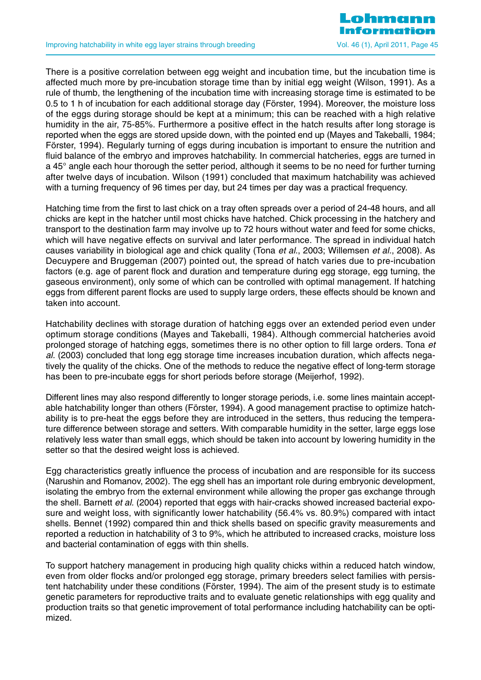Improving hatchability in white egg layer strains through breeding Vol. 46 (1), April 2011, Page 45



There is a positive correlation between egg weight and incubation time, but the incubation time is affected much more by pre-incubation storage time than by initial egg weight (Wilson, 1991). As a rule of thumb, the lengthening of the incubation time with increasing storage time is estimated to be 0.5 to 1 h of incubation for each additional storage day (Förster, 1994). Moreover, the moisture loss of the eggs during storage should be kept at a minimum; this can be reached with a high relative humidity in the air, 75-85%. Furthermore a positive effect in the hatch results after long storage is reported when the eggs are stored upside down, with the pointed end up (Mayes and Takeballi, 1984; Förster, 1994). Regularly turning of eggs during incubation is important to ensure the nutrition and fluid balance of the embryo and improves hatchability. In commercial hatcheries, eggs are turned in a 45° angle each hour thorough the setter period, although it seems to be no need for further turning after twelve days of incubation. Wilson (1991) concluded that maximum hatchability was achieved with a turning frequency of 96 times per day, but 24 times per day was a practical frequency.

Hatching time from the first to last chick on a tray often spreads over a period of 24-48 hours, and all chicks are kept in the hatcher until most chicks have hatched. Chick processing in the hatchery and transport to the destination farm may involve up to 72 hours without water and feed for some chicks, which will have negative effects on survival and later performance. The spread in individual hatch causes variability in biological age and chick quality (Tona et al., 2003; Willemsen et al., 2008). As Decuypere and Bruggeman (2007) pointed out, the spread of hatch varies due to pre-incubation factors (e.g. age of parent flock and duration and temperature during egg storage, egg turning, the gaseous environment), only some of which can be controlled with optimal management. If hatching eggs from different parent flocks are used to supply large orders, these effects should be known and taken into account.

Hatchability declines with storage duration of hatching eggs over an extended period even under optimum storage conditions (Mayes and Takeballi, 1984). Although commercial hatcheries avoid prolonged storage of hatching eggs, sometimes there is no other option to fill large orders. Tona et al. (2003) concluded that long egg storage time increases incubation duration, which affects negatively the quality of the chicks. One of the methods to reduce the negative effect of long-term storage has been to pre-incubate eggs for short periods before storage (Meijerhof, 1992).

Different lines may also respond differently to longer storage periods, i.e. some lines maintain acceptable hatchability longer than others (Förster, 1994). A good management practise to optimize hatchability is to pre-heat the eggs before they are introduced in the setters, thus reducing the temperature difference between storage and setters. With comparable humidity in the setter, large eggs lose relatively less water than small eggs, which should be taken into account by lowering humidity in the setter so that the desired weight loss is achieved.

Egg characteristics greatly influence the process of incubation and are responsible for its success (Narushin and Romanov, 2002). The egg shell has an important role during embryonic development, isolating the embryo from the external environment while allowing the proper gas exchange through the shell. Barnett et al. (2004) reported that eggs with hair-cracks showed increased bacterial exposure and weight loss, with significantly lower hatchability (56.4% vs. 80.9%) compared with intact shells. Bennet (1992) compared thin and thick shells based on specific gravity measurements and reported a reduction in hatchability of 3 to 9%, which he attributed to increased cracks, moisture loss and bacterial contamination of eggs with thin shells.

To support hatchery management in producing high quality chicks within a reduced hatch window, even from older flocks and/or prolonged egg storage, primary breeders select families with persistent hatchability under these conditions (Förster, 1994). The aim of the present study is to estimate genetic parameters for reproductive traits and to evaluate genetic relationships with egg quality and production traits so that genetic improvement of total performance including hatchability can be optimized.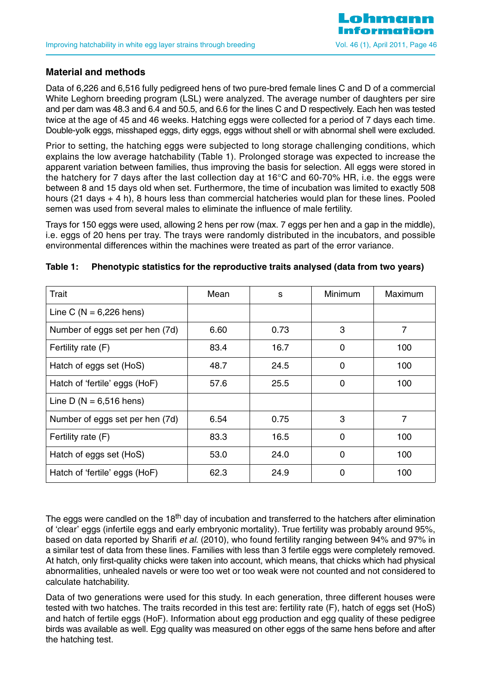

#### **Material and methods**

Data of 6,226 and 6,516 fully pedigreed hens of two pure-bred female lines C and D of a commercial White Leghorn breeding program (LSL) were analyzed. The average number of daughters per sire and per dam was 48.3 and 6.4 and 50.5, and 6.6 for the lines C and D respectively. Each hen was tested twice at the age of 45 and 46 weeks. Hatching eggs were collected for a period of 7 days each time. Double-yolk eggs, misshaped eggs, dirty eggs, eggs without shell or with abnormal shell were excluded.

Prior to setting, the hatching eggs were subjected to long storage challenging conditions, which explains the low average hatchability (Table 1). Prolonged storage was expected to increase the apparent variation between families, thus improving the basis for selection. All eggs were stored in the hatchery for 7 days after the last collection day at 16°C and 60-70% HR, i.e. the eggs were between 8 and 15 days old when set. Furthermore, the time of incubation was limited to exactly 508 hours (21 days + 4 h), 8 hours less than commercial hatcheries would plan for these lines. Pooled semen was used from several males to eliminate the influence of male fertility.

Trays for 150 eggs were used, allowing 2 hens per row (max. 7 eggs per hen and a gap in the middle), i.e. eggs of 20 hens per tray. The trays were randomly distributed in the incubators, and possible environmental differences within the machines were treated as part of the error variance.

| Trait                           | Mean | S    | Minimum  | <b>Maximum</b> |
|---------------------------------|------|------|----------|----------------|
| Line C ( $N = 6,226$ hens)      |      |      |          |                |
| Number of eggs set per hen (7d) | 6.60 | 0.73 | 3        | 7              |
| Fertility rate (F)              | 83.4 | 16.7 | 0        | 100            |
| Hatch of eggs set (HoS)         | 48.7 | 24.5 | $\Omega$ | 100            |
| Hatch of 'fertile' eggs (HoF)   | 57.6 | 25.5 | $\Omega$ | 100            |
| Line D ( $N = 6,516$ hens)      |      |      |          |                |
| Number of eggs set per hen (7d) | 6.54 | 0.75 | 3        | 7              |
| Fertility rate (F)              | 83.3 | 16.5 | $\Omega$ | 100            |
| Hatch of eggs set (HoS)         | 53.0 | 24.0 | $\Omega$ | 100            |
| Hatch of 'fertile' eggs (HoF)   | 62.3 | 24.9 | $\Omega$ | 100            |

|  |  |  | Table 1: Phenotypic statistics for the reproductive traits analysed (data from two years) |  |
|--|--|--|-------------------------------------------------------------------------------------------|--|
|--|--|--|-------------------------------------------------------------------------------------------|--|

The eggs were candled on the 18<sup>th</sup> day of incubation and transferred to the hatchers after elimination of 'clear' eggs (infertile eggs and early embryonic mortality). True fertility was probably around 95%, based on data reported by Sharifi et al. (2010), who found fertility ranging between 94% and 97% in a similar test of data from these lines. Families with less than 3 fertile eggs were completely removed. At hatch, only first-quality chicks were taken into account, which means, that chicks which had physical abnormalities, unhealed navels or were too wet or too weak were not counted and not considered to calculate hatchability.

Data of two generations were used for this study. In each generation, three different houses were tested with two hatches. The traits recorded in this test are: fertility rate (F), hatch of eggs set (HoS) and hatch of fertile eggs (HoF). Information about egg production and egg quality of these pedigree birds was available as well. Egg quality was measured on other eggs of the same hens before and after the hatching test.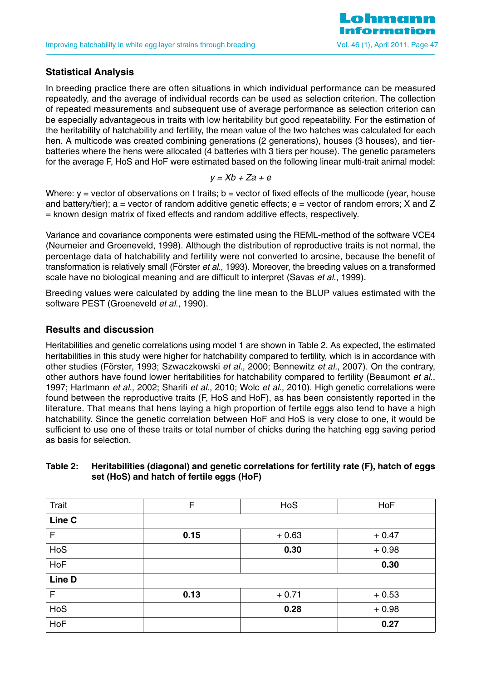

#### **Statistical Analysis**

In breeding practice there are often situations in which individual performance can be measured repeatedly, and the average of individual records can be used as selection criterion. The collection of repeated measurements and subsequent use of average performance as selection criterion can be especially advantageous in traits with low heritability but good repeatability. For the estimation of the heritability of hatchability and fertility, the mean value of the two hatches was calculated for each hen. A multicode was created combining generations (2 generations), houses (3 houses), and tierbatteries where the hens were allocated (4 batteries with 3 tiers per house). The genetic parameters for the average F, HoS and HoF were estimated based on the following linear multi-trait animal model:

#### $v = Xb + Za + e$

Where:  $v =$  vector of observations on t traits;  $b =$  vector of fixed effects of the multicode (year, house and battery/tier); a = vector of random additive genetic effects; e = vector of random errors; X and Z = known design matrix of fixed effects and random additive effects, respectively.

Variance and covariance components were estimated using the REML-method of the software VCE4 (Neumeier and Groeneveld, 1998). Although the distribution of reproductive traits is not normal, the percentage data of hatchability and fertility were not converted to arcsine, because the benefit of transformation is relatively small (Förster et al., 1993). Moreover, the breeding values on a transformed scale have no biological meaning and are difficult to interpret (Savas et al., 1999).

Breeding values were calculated by adding the line mean to the BLUP values estimated with the software PEST (Groeneveld *et al.*, 1990).

#### **Results and discussion**

Heritabilities and genetic correlations using model 1 are shown in Table 2. As expected, the estimated heritabilities in this study were higher for hatchability compared to fertility, which is in accordance with other studies (Förster, 1993; Szwaczkowski et al., 2000; Bennewitz et al., 2007). On the contrary, other authors have found lower heritabilities for hatchability compared to fertility (Beaumont et al., 1997; Hartmann et al., 2002; Sharifi et al., 2010; Wolc et al., 2010). High genetic correlations were found between the reproductive traits (F, HoS and HoF), as has been consistently reported in the literature. That means that hens laying a high proportion of fertile eggs also tend to have a high hatchability. Since the genetic correlation between HoF and HoS is very close to one, it would be sufficient to use one of these traits or total number of chicks during the hatching egg saving period as basis for selection.

#### **Table 2: Heritabilities (diagonal) and genetic correlations for fertility rate (F), hatch of eggs set (HoS) and hatch of fertile eggs (HoF)**

| Trait  | F    | HoS     | <b>HoF</b> |
|--------|------|---------|------------|
| Line C |      |         |            |
| F      | 0.15 | $+0.63$ | $+0.47$    |
| HoS    |      | 0.30    | $+0.98$    |
| HoF    |      |         | 0.30       |
| Line D |      |         |            |
| F      | 0.13 | $+0.71$ | $+0.53$    |
| HoS    |      | 0.28    | $+0.98$    |
| HoF    |      |         | 0.27       |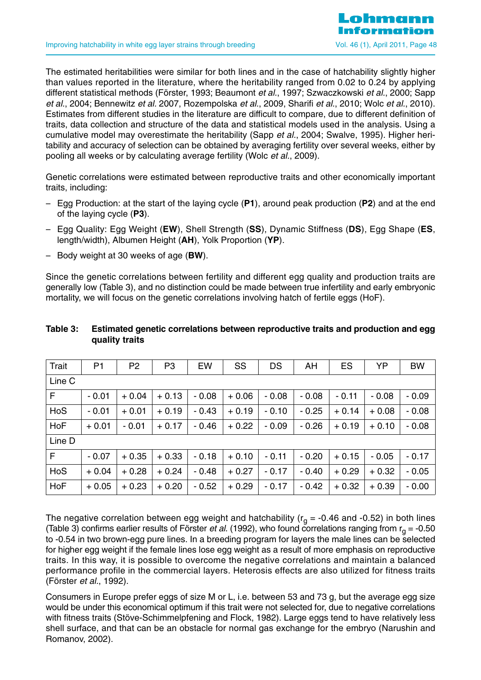The estimated heritabilities were similar for both lines and in the case of hatchability slightly higher than values reported in the literature, where the heritability ranged from 0.02 to 0.24 by applying different statistical methods (Förster, 1993; Beaumont et al., 1997; Szwaczkowski et al., 2000; Sapp et al., 2004; Bennewitz et al. 2007, Rozempolska et al., 2009, Sharifi et al., 2010; Wolc et al., 2010). Estimates from different studies in the literature are difficult to compare, due to different definition of traits, data collection and structure of the data and statistical models used in the analysis. Using a cumulative model may overestimate the heritability (Sapp et al., 2004; Swalve, 1995). Higher heritability and accuracy of selection can be obtained by averaging fertility over several weeks, either by pooling all weeks or by calculating average fertility (Wolc et al., 2009).

Genetic correlations were estimated between reproductive traits and other economically important traits, including:

- Egg Production: at the start of the laying cycle (**P1**), around peak production (**P2**) and at the end of the laying cycle (**P3**).
- Egg Quality: Egg Weight (**EW**), Shell Strength (**SS**), Dynamic Stiffness (**DS**), Egg Shape (**ES**, length/width), Albumen Height (**AH**), Yolk Proportion (**YP**).
- Body weight at 30 weeks of age (**BW**).

Since the genetic correlations between fertility and different egg quality and production traits are generally low (Table 3), and no distinction could be made between true infertility and early embryonic mortality, we will focus on the genetic correlations involving hatch of fertile eggs (HoF).

| Trait      | P <sub>1</sub> | P <sub>2</sub> | P <sub>3</sub> | EW      | SS      | DS      | AH      | ES      | YP      | <b>BW</b> |
|------------|----------------|----------------|----------------|---------|---------|---------|---------|---------|---------|-----------|
| Line C     |                |                |                |         |         |         |         |         |         |           |
| F          | $-0.01$        | $+0.04$        | $+0.13$        | $-0.08$ | $+0.06$ | $-0.08$ | $-0.08$ | $-0.11$ | $-0.08$ | $-0.09$   |
| HoS        | $-0.01$        | $+0.01$        | $+0.19$        | $-0.43$ | $+0.19$ | $-0.10$ | $-0.25$ | $+0.14$ | $+0.08$ | $-0.08$   |
| <b>HoF</b> | $+0.01$        | $-0.01$        | $+0.17$        | $-0.46$ | $+0.22$ | $-0.09$ | $-0.26$ | $+0.19$ | $+0.10$ | $-0.08$   |
| Line D     |                |                |                |         |         |         |         |         |         |           |
| F          | $-0.07$        | $+0.35$        | $+0.33$        | $-0.18$ | $+0.10$ | $-0.11$ | $-0.20$ | $+0.15$ | $-0.05$ | $-0.17$   |
| HoS        | $+0.04$        | $+0.28$        | $+0.24$        | $-0.48$ | $+0.27$ | $-0.17$ | $-0.40$ | $+0.29$ | $+0.32$ | $-0.05$   |
| HoF        | $+0.05$        | $+0.23$        | $+0.20$        | $-0.52$ | $+0.29$ | $-0.17$ | $-0.42$ | $+0.32$ | $+0.39$ | $-0.00$   |

#### **Table 3: Estimated genetic correlations between reproductive traits and production and egg quality traits**

The negative correlation between egg weight and hatchability ( $r<sub>q</sub> = -0.46$  and -0.52) in both lines (Table 3) confirms earlier results of Förster et al. (1992), who found correlations ranging from  $r<sub>0</sub> = -0.50$ to -0.54 in two brown-egg pure lines. In a breeding program for layers the male lines can be selected for higher egg weight if the female lines lose egg weight as a result of more emphasis on reproductive traits. In this way, it is possible to overcome the negative correlations and maintain a balanced performance profile in the commercial layers. Heterosis effects are also utilized for fitness traits (Förster et al., 1992).

Consumers in Europe prefer eggs of size M or L, i.e. between 53 and 73 g, but the average egg size would be under this economical optimum if this trait were not selected for, due to negative correlations with fitness traits (Stöve-Schimmelpfening and Flock, 1982). Large eggs tend to have relatively less shell surface, and that can be an obstacle for normal gas exchange for the embryo (Narushin and Romanov, 2002).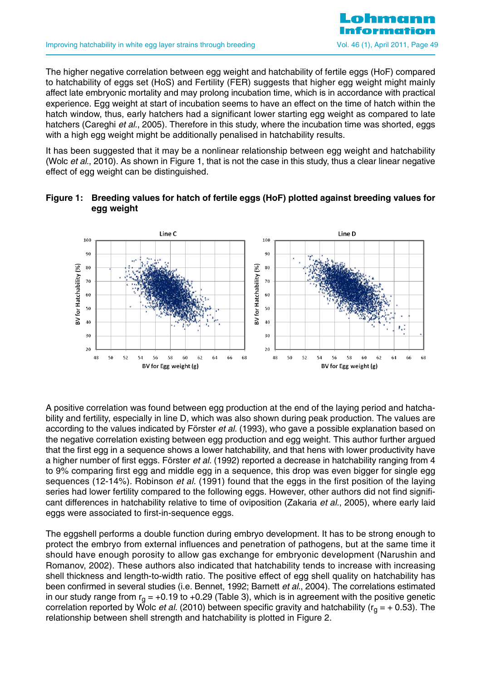

The higher negative correlation between egg weight and hatchability of fertile eggs (HoF) compared to hatchability of eggs set (HoS) and Fertility (FER) suggests that higher egg weight might mainly affect late embryonic mortality and may prolong incubation time, which is in accordance with practical experience. Egg weight at start of incubation seems to have an effect on the time of hatch within the hatch window, thus, early hatchers had a significant lower starting egg weight as compared to late hatchers (Careghi et al., 2005). Therefore in this study, where the incubation time was shorted, eggs with a high egg weight might be additionally penalised in hatchability results.

It has been suggested that it may be a nonlinear relationship between egg weight and hatchability (Wolc et al., 2010). As shown in Figure 1, that is not the case in this study, thus a clear linear negative effect of egg weight can be distinguished.

## **Figure 1: Breeding values for hatch of fertile eggs (HoF) plotted against breeding values for egg weight**



A positive correlation was found between egg production at the end of the laying period and hatchability and fertility, especially in line D, which was also shown during peak production. The values are according to the values indicated by Förster et al. (1993), who gave a possible explanation based on the negative correlation existing between egg production and egg weight. This author further argued that the first egg in a sequence shows a lower hatchability, and that hens with lower productivity have a higher number of first eggs. Förster et al. (1992) reported a decrease in hatchability ranging from 4 to 9% comparing first egg and middle egg in a sequence, this drop was even bigger for single egg sequences (12-14%). Robinson et al. (1991) found that the eggs in the first position of the laying series had lower fertility compared to the following eggs. However, other authors did not find significant differences in hatchability relative to time of oviposition (Zakaria et al., 2005), where early laid eggs were associated to first-in-sequence eggs.

The eggshell performs a double function during embryo development. It has to be strong enough to protect the embryo from external influences and penetration of pathogens, but at the same time it should have enough porosity to allow gas exchange for embryonic development (Narushin and Romanov, 2002). These authors also indicated that hatchability tends to increase with increasing shell thickness and length-to-width ratio. The positive effect of egg shell quality on hatchability has been confirmed in several studies (i.e. Bennet, 1992; Barnett et al., 2004). The correlations estimated in our study range from  $r<sub>0</sub> = +0.19$  to +0.29 (Table 3), which is in agreement with the positive genetic correlation reported by Wolc et al. (2010) between specific gravity and hatchability ( $r<sub>0</sub> = +0.53$ ). The relationship between shell strength and hatchability is plotted in Figure 2.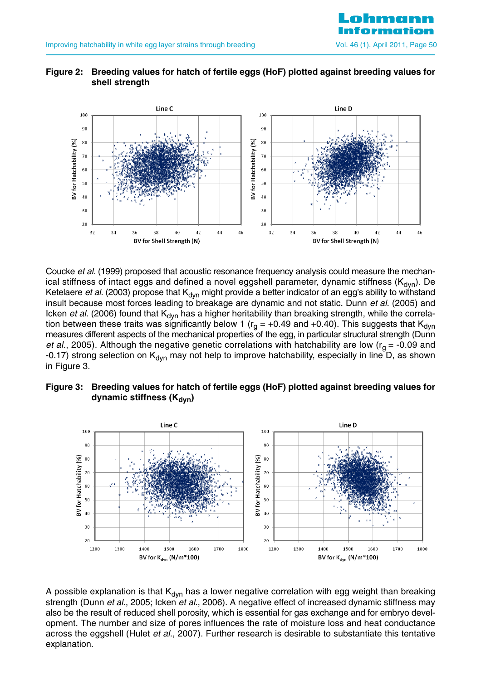





Coucke et al. (1999) proposed that acoustic resonance frequency analysis could measure the mechanical stiffness of intact eggs and defined a novel eggshell parameter, dynamic stiffness  $(K_{\text{dyn}})$ . De Ketelaere et al. (2003) propose that  $K_{dyn}$  might provide a better indicator of an egg's ability to withstand insult because most forces leading to breakage are dynamic and not static. Dunn et al. (2005) and Icken et al. (2006) found that  $K_{dyn}$  has a higher heritability than breaking strength, while the correlation between these traits was significantly below 1 ( $r<sub>q</sub> = +0.49$  and +0.40). This suggests that  $K<sub>dyn</sub>$ measures different aspects of the mechanical properties of the egg, in particular structural strength (Dunn et al., 2005). Although the negative genetic correlations with hatchability are low ( $r<sub>q</sub> = -0.09$  and -0.17) strong selection on  $K_{dyn}$  may not help to improve hatchability, especially in line D, as shown in Figure 3.





A possible explanation is that  $K_{dyn}$  has a lower negative correlation with egg weight than breaking strength (Dunn et al., 2005; Icken et al., 2006). A negative effect of increased dynamic stiffness may also be the result of reduced shell porosity, which is essential for gas exchange and for embryo development. The number and size of pores influences the rate of moisture loss and heat conductance across the eggshell (Hulet et al., 2007). Further research is desirable to substantiate this tentative explanation.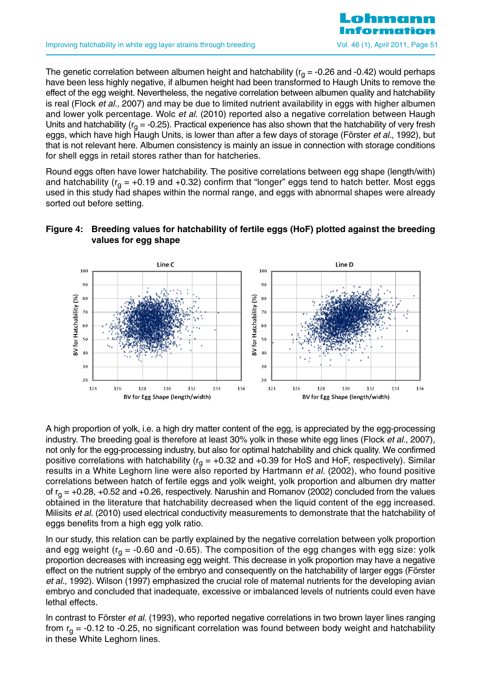

The genetic correlation between albumen height and hatchability ( $r<sub>q</sub> = -0.26$  and -0.42) would perhaps have been less highly negative, if albumen height had been transformed to Haugh Units to remove the effect of the egg weight. Nevertheless, the negative correlation between albumen quality and hatchability is real (Flock et al., 2007) and may be due to limited nutrient availability in eggs with higher albumen and lower yolk percentage. Wolc et al. (2010) reported also a negative correlation between Haugh Units and hatchability ( $r_{q}$  = -0.25). Practical experience has also shown that the hatchability of very fresh eggs, which have high Haugh Units, is lower than after a few days of storage (Förster et al., 1992), but that is not relevant here. Albumen consistency is mainly an issue in connection with storage conditions for shell eggs in retail stores rather than for hatcheries.

Round eggs often have lower hatchability. The positive correlations between egg shape (length/with) and hatchability ( $r_q$  = +0.19 and +0.32) confirm that "longer" eggs tend to hatch better. Most eggs used in this study had shapes within the normal range, and eggs with abnormal shapes were already sorted out before setting.



## **Figure 4: Breeding values for hatchability of fertile eggs (HoF) plotted against the breeding values for egg shape**

A high proportion of yolk, i.e. a high dry matter content of the egg, is appreciated by the egg-processing industry. The breeding goal is therefore at least 30% yolk in these white egg lines (Flock et al., 2007), not only for the egg-processing industry, but also for optimal hatchability and chick quality. We confirmed positive correlations with hatchability ( $r<sub>q</sub> = +0.32$  and  $+0.39$  for HoS and HoF, respectively). Similar results in a White Leghorn line were also reported by Hartmann *et al.* (2002), who found positive correlations between hatch of fertile eggs and yolk weight, yolk proportion and albumen dry matter of  $r<sub>0</sub> = +0.28, +0.52$  and +0.26, respectively. Narushin and Romanov (2002) concluded from the values obtained in the literature that hatchability decreased when the liquid content of the egg increased. Milisits et al. (2010) used electrical conductivity measurements to demonstrate that the hatchability of eggs benefits from a high egg yolk ratio.

In our study, this relation can be partly explained by the negative correlation between yolk proportion and egg weight ( $r_q$  = -0.60 and -0.65). The composition of the egg changes with egg size: yolk proportion decreases with increasing egg weight. This decrease in yolk proportion may have a negative effect on the nutrient supply of the embryo and consequently on the hatchability of larger eggs (Förster et al., 1992). Wilson (1997) emphasized the crucial role of maternal nutrients for the developing avian embryo and concluded that inadequate, excessive or imbalanced levels of nutrients could even have lethal effects.

In contrast to Förster et al. (1993), who reported negative correlations in two brown layer lines ranging from  $r_{q}$  = -0.12 to -0.25, no significant correlation was found between body weight and hatchability in these White Leghorn lines.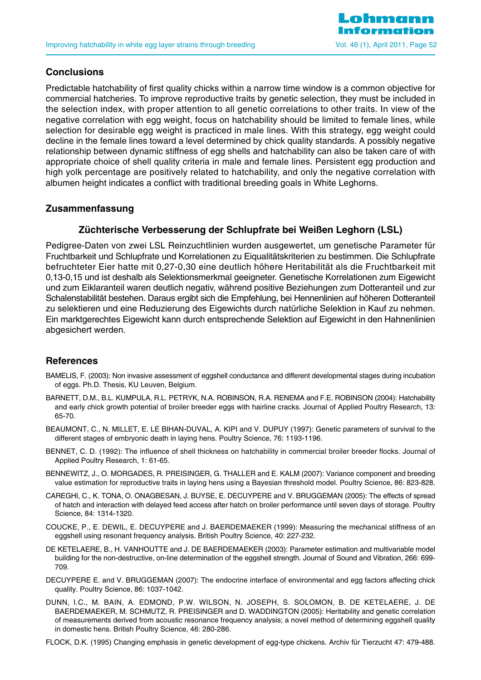

## **Conclusions**

Predictable hatchability of first quality chicks within a narrow time window is a common objective for commercial hatcheries. To improve reproductive traits by genetic selection, they must be included in the selection index, with proper attention to all genetic correlations to other traits. In view of the negative correlation with egg weight, focus on hatchability should be limited to female lines, while selection for desirable egg weight is practiced in male lines. With this strategy, egg weight could decline in the female lines toward a level determined by chick quality standards. A possibly negative relationship between dynamic stiffness of egg shells and hatchability can also be taken care of with appropriate choice of shell quality criteria in male and female lines. Persistent egg production and high yolk percentage are positively related to hatchability, and only the negative correlation with albumen height indicates a conflict with traditional breeding goals in White Leghorns.

## **Zusammenfassung**

## **Züchterische Verbesserung der Schlupfrate bei Weißen Leghorn (LSL)**

Pedigree-Daten von zwei LSL Reinzuchtlinien wurden ausgewertet, um genetische Parameter für Fruchtbarkeit und Schlupfrate und Korrelationen zu Eiqualitätskriterien zu bestimmen. Die Schlupfrate befruchteter Eier hatte mit 0,27-0,30 eine deutlich höhere Heritabilität als die Fruchtbarkeit mit 0,13-0,15 und ist deshalb als Selektionsmerkmal geeigneter. Genetische Korrelationen zum Eigewicht und zum Eiklaranteil waren deutlich negativ, während positive Beziehungen zum Dotteranteil und zur Schalenstabilität bestehen. Daraus ergibt sich die Empfehlung, bei Hennenlinien auf höheren Dotteranteil zu selektieren und eine Reduzierung des Eigewichts durch natürliche Selektion in Kauf zu nehmen. Ein marktgerechtes Eigewicht kann durch entsprechende Selektion auf Eigewicht in den Hahnenlinien abgesichert werden.

## **References**

- BAMELIS, F. (2003): Non invasive assessment of eggshell conductance and different developmental stages during incubation of eggs. Ph.D. Thesis, KU Leuven, Belgium.
- BARNETT, D.M., B.L. KUMPULA, R.L. PETRYK, N.A. ROBINSON, R.A. RENEMA and F.E. ROBINSON (2004): Hatchability and early chick growth potential of broiler breeder eggs with hairline cracks. Journal of Applied Poultry Research, 13: 65-70.
- BEAUMONT, C., N. MILLET, E. LE BIHAN-DUVAL, A. KIPI and V. DUPUY (1997): Genetic parameters of survival to the different stages of embryonic death in laying hens. Poultry Science, 76: 1193-1196.
- BENNET, C. D. (1992): The influence of shell thickness on hatchability in commercial broiler breeder flocks. Journal of Applied Poultry Research, 1: 61-65.
- BENNEWITZ, J., O. MORGADES, R. PREISINGER, G. THALLER and E. KALM (2007): Variance component and breeding value estimation for reproductive traits in laying hens using a Bayesian threshold model. Poultry Science, 86: 823-828.
- CAREGHI, C., K. TONA, O. ONAGBESAN, J. BUYSE, E. DECUYPERE and V. BRUGGEMAN (2005): The effects of spread of hatch and interaction with delayed feed access after hatch on broiler performance until seven days of storage. Poultry Science, 84: 1314-1320.
- COUCKE, P., E. DEWIL, E. DECUYPERE and J. BAERDEMAEKER (1999): Measuring the mechanical stiffness of an eggshell using resonant frequency analysis. British Poultry Science, 40: 227-232.
- DE KETELAERE, B., H. VANHOUTTE and J. DE BAERDEMAEKER (2003): Parameter estimation and multivariable model building for the non-destructive, on-line determination of the eggshell strength. Journal of Sound and Vibration, 266: 699- 709.
- DECUYPERE E. and V. BRUGGEMAN (2007): The endocrine interface of environmental and egg factors affecting chick quality. Poultry Science, 86: 1037-1042.
- DUNN, I.C., M. BAIN, A. EDMOND, P.W. WILSON, N. JOSEPH, S. SOLOMON, B. DE KETELAERE, J. DE BAERDEMAEKER, M. SCHMUTZ, R. PREISINGER and D. WADDINGTON (2005): Heritability and genetic correlation of measurements derived from acoustic resonance frequency analysis; a novel method of determining eggshell quality in domestic hens. British Poultry Science, 46: 280-286.

FLOCK, D.K. (1995) Changing emphasis in genetic development of egg-type chickens. Archiv für Tierzucht 47: 479-488.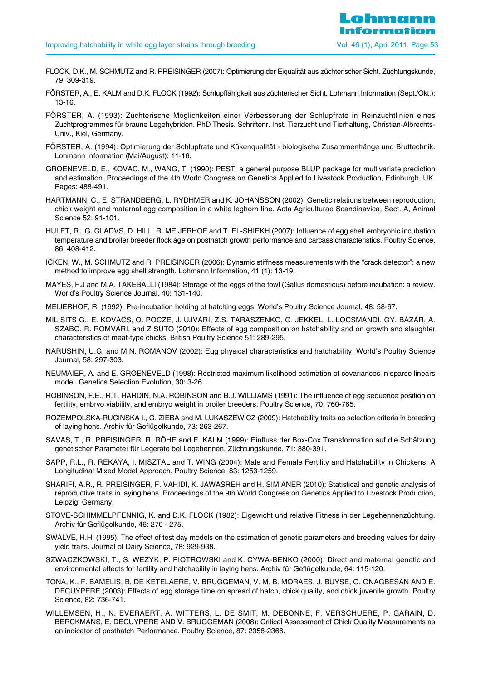- FLOCK, D.K., M. SCHMUTZ and R. PREISINGER (2007): Optimierung der Eiqualität aus züchterischer Sicht. Züchtungskunde, 79: 309-319.
- FÖRSTER, A., E. KALM and D.K. FLOCK (1992): Schlupffähigkeit aus züchterischer Sicht. Lohmann Information (Sept./Okt.): 13-16.
- FÖRSTER, A. (1993): Züchterische Möglichkeiten einer Verbesserung der Schlupfrate in Reinzuchtlinien eines Zuchtprogrammes für braune Legehybriden. PhD Thesis. Schriftenr. Inst. Tierzucht und Tierhaltung, Christian-Albrechts-Univ., Kiel, Germany.
- FÖRSTER, A. (1994): Optimierung der Schlupfrate und Kükenqualität biologische Zusammenhänge und Bruttechnik. Lohmann Information (Mai/August): 11-16.
- GROENEVELD, E., KOVAC, M., WANG, T. (1990): PEST, a general purpose BLUP package for multivariate prediction and estimation. Proceedings of the 4th World Congress on Genetics Applied to Livestock Production, Edinburgh, UK. Pages: 488-491.
- HARTMANN, C., E. STRANDBERG, L. RYDHMER and K. JOHANSSON (2002): Genetic relations between reproduction, chick weight and maternal egg composition in a white leghorn line. Acta Agriculturae Scandinavica, Sect. A, Animal Science 52: 91-101.
- HULET, R., G. GLADVS, D. HILL, R. MEIJERHOF and T. EL-SHIEKH (2007): Influence of egg shell embryonic incubation temperature and broiler breeder flock age on posthatch growth performance and carcass characteristics. Poultry Science, 86: 408-412.
- ICKEN, W., M. SCHMUTZ and R. PREISINGER (2006): Dynamic stiffness measurements with the "crack detector": a new method to improve egg shell strength. Lohmann Information, 41 (1): 13-19.
- MAYES, F.J and M.A. TAKEBALLI (1984): Storage of the eggs of the fowl (Gallus domesticus) before incubation: a review. World's Poultry Science Journal, 40: 131-140.
- MEIJERHOF, R. (1992): Pre-incubation holding of hatching eggs. World's Poultry Science Journal, 48: 58-67.
- MILISITS G., E. KOVÁCS, O. POCZE, J. UJVÁRI, Z.S. TARASZENKÓ, G. JEKKEL, L. LOCSMÁNDI, GY. BÁZÁR, A. SZABÓ, R. ROMVÁRI, and Z SÜTO (2010): Effects of egg composition on hatchability and on growth and slaughter characteristics of meat-type chicks. British Poultry Science 51: 289-295.
- NARUSHIN, U.G. and M.N. ROMANOV (2002): Egg physical characteristics and hatchability. World's Poultry Science Journal, 58: 297-303.
- NEUMAIER, A. and E. GROENEVELD (1998): Restricted maximum likelihood estimation of covariances in sparse linears model. Genetics Selection Evolution, 30: 3-26.
- ROBINSON, F.E., R.T. HARDIN, N.A. ROBINSON and B.J. WILLIAMS (1991): The influence of egg sequence position on fertility, embryo viability, and embryo weight in broiler breeders. Poultry Science, 70: 760-765.
- ROZEMPOLSKA-RUCINSKA I., G. ZIEBA and M. LUKASZEWICZ (2009): Hatchability traits as selection criteria in breeding of laying hens. Archiv für Geflügelkunde, 73: 263-267.
- SAVAS, T., R. PREISINGER, R. RÖHE and E. KALM (1999): Einfluss der Box-Cox Transformation auf die Schätzung genetischer Parameter für Legerate bei Legehennen. Züchtungskunde, 71: 380-391.
- SAPP, R.L., R. REKAYA, I. MISZTAL and T. WING (2004): Male and Female Fertility and Hatchability in Chickens: A Longitudinal Mixed Model Approach. Poultry Science, 83: 1253-1259.
- SHARIFI, A.R., R. PREISINGER, F. VAHIDI, K. JAWASREH and H. SIMIANER (2010): Statistical and genetic analysis of reproductive traits in laying hens. Proceedings of the 9th World Congress on Genetics Applied to Livestock Production, Leipzig, Germany.
- STOVE-SCHIMMELPFENNIG, K. and D.K. FLOCK (1982): Eigewicht und relative Fitness in der Legehennenzüchtung. Archiv für Geflügelkunde, 46: 270 - 275.
- SWALVE, H.H. (1995): The effect of test day models on the estimation of genetic parameters and breeding values for dairy yield traits. Journal of Dairy Science, 78: 929-938.
- SZWACZKOWSKI, T., S. WEZYK, P. PIOTROWSKI and K. CYWA-BENKO (2000): Direct and maternal genetic and environmental effects for fertility and hatchability in laying hens. Archiv für Geflügelkunde, 64: 115-120.
- TONA, K., F. BAMELIS, B. DE KETELAERE, V. BRUGGEMAN, V. M. B. MORAES, J. BUYSE, O. ONAGBESAN AND E. DECUYPERE (2003): Effects of egg storage time on spread of hatch, chick quality, and chick juvenile growth. Poultry Science, 82: 736-741.
- WILLEMSEN, H., N. EVERAERT, A. WITTERS, L. DE SMIT, M. DEBONNE, F. VERSCHUERE, P. GARAIN, D. BERCKMANS, E. DECUYPERE AND V. BRUGGEMAN (2008): Critical Assessment of Chick Quality Measurements as an indicator of posthatch Performance. Poultry Science, 87: 2358-2366.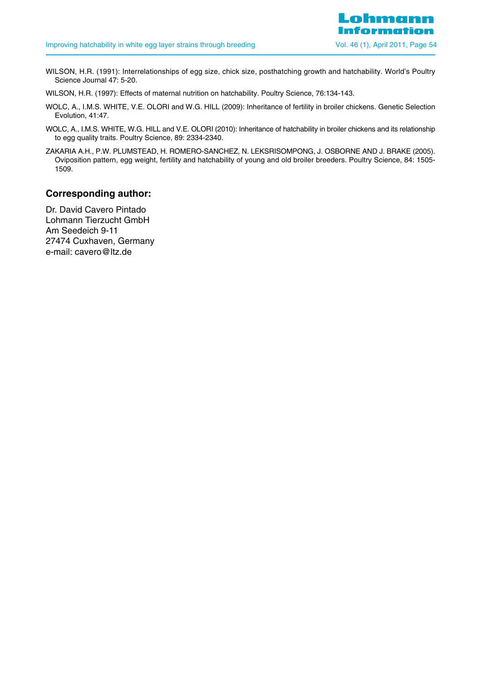- WILSON, H.R. (1991): Interrelationships of egg size, chick size, posthatching growth and hatchability. World's Poultry Science Journal 47: 5-20.
- WILSON, H.R. (1997): Effects of maternal nutrition on hatchability. Poultry Science, 76:134-143.
- WOLC, A., I.M.S. WHITE, V.E. OLORI and W.G. HILL (2009): Inheritance of fertility in broiler chickens. Genetic Selection Evolution, 41:47.
- WOLC, A., I.M.S. WHITE, W.G. HILL and V.E. OLORI (2010): Inheritance of hatchability in broiler chickens and its relationship to egg quality traits. Poultry Science, 89: 2334-2340.
- ZAKARIA A.H., P.W. PLUMSTEAD, H. ROMERO-SANCHEZ, N. LEKSRISOMPONG, J. OSBORNE AND J. BRAKE (2005). Oviposition pattern, egg weight, fertility and hatchability of young and old broiler breeders. Poultry Science, 84: 1505- 1509.

#### **Corresponding author:**

Dr. David Cavero Pintado Lohmann Tierzucht GmbH Am Seedeich 9-11 27474 Cuxhaven, Germany e-mail: cavero@ltz.de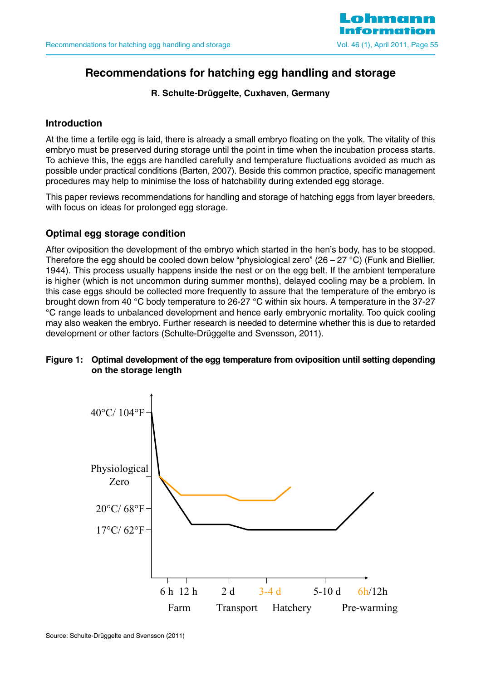

## **Recommendations for hatching egg handling and storage**

#### **R. Schulte-Drüggelte, Cuxhaven, Germany**

#### **Introduction**

At the time a fertile egg is laid, there is already a small embryo floating on the yolk. The vitality of this embryo must be preserved during storage until the point in time when the incubation process starts. To achieve this, the eggs are handled carefully and temperature fluctuations avoided as much as possible under practical conditions (Barten, 2007). Beside this common practice, specific management procedures may help to minimise the loss of hatchability during extended egg storage.

This paper reviews recommendations for handling and storage of hatching eggs from layer breeders, with focus on ideas for prolonged egg storage.

## **Optimal egg storage condition**

After oviposition the development of the embryo which started in the hen's body, has to be stopped. Therefore the egg should be cooled down below "physiological zero" (26 – 27 °C) (Funk and Biellier, 1944). This process usually happens inside the nest or on the egg belt. If the ambient temperature is higher (which is not uncommon during summer months), delayed cooling may be a problem. In this case eggs should be collected more frequently to assure that the temperature of the embryo is brought down from 40 °C body temperature to 26-27 °C within six hours. A temperature in the 37-27 °C range leads to unbalanced development and hence early embryonic mortality. Too quick cooling may also weaken the embryo. Further research is needed to determine whether this is due to retarded development or other factors (Schulte-Drüggelte and Svensson, 2011).

#### **Figure 1: Optimal development of the egg temperature from oviposition until setting depending on the storage length**

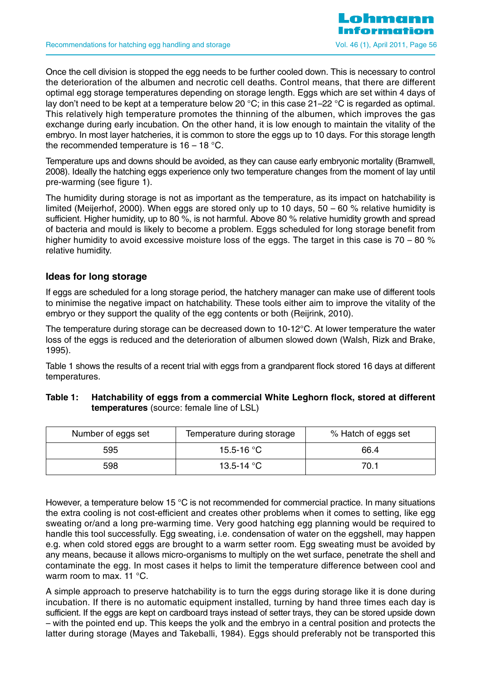Once the cell division is stopped the egg needs to be further cooled down. This is necessary to control the deterioration of the albumen and necrotic cell deaths. Control means, that there are different optimal egg storage temperatures depending on storage length. Eggs which are set within 4 days of lay don't need to be kept at a temperature below 20 °C; in this case 21–22 °C is regarded as optimal. This relatively high temperature promotes the thinning of the albumen, which improves the gas exchange during early incubation. On the other hand, it is low enough to maintain the vitality of the embryo. In most layer hatcheries, it is common to store the eggs up to 10 days. For this storage length the recommended temperature is  $16 - 18$  °C.

Temperature ups and downs should be avoided, as they can cause early embryonic mortality (Bramwell, 2008). Ideally the hatching eggs experience only two temperature changes from the moment of lay until pre-warming (see figure 1).

The humidity during storage is not as important as the temperature, as its impact on hatchability is limited (Meijerhof, 2000). When eggs are stored only up to 10 days,  $50 - 60$  % relative humidity is sufficient. Higher humidity, up to 80 %, is not harmful. Above 80 % relative humidity growth and spread of bacteria and mould is likely to become a problem. Eggs scheduled for long storage benefit from higher humidity to avoid excessive moisture loss of the eggs. The target in this case is  $70 - 80 \%$ relative humidity.

#### **Ideas for long storage**

If eggs are scheduled for a long storage period, the hatchery manager can make use of different tools to minimise the negative impact on hatchability. These tools either aim to improve the vitality of the embryo or they support the quality of the egg contents or both (Reijrink, 2010).

The temperature during storage can be decreased down to 10-12°C. At lower temperature the water loss of the eggs is reduced and the deterioration of albumen slowed down (Walsh, Rizk and Brake, 1995).

Table 1 shows the results of a recent trial with eggs from a grandparent flock stored 16 days at different temperatures.

| Number of eggs set | Temperature during storage | % Hatch of eggs set |
|--------------------|----------------------------|---------------------|
| 595                | 15.5-16 $^{\circ}$ C       | 66.4                |
| 598                | 13.5-14 °C                 | 70.1                |

#### **Table 1: Hatchability of eggs from a commercial White Leghorn flock, stored at different temperatures** (source: female line of LSL)

However, a temperature below 15 °C is not recommended for commercial practice. In many situations the extra cooling is not cost-efficient and creates other problems when it comes to setting, like egg sweating or/and a long pre-warming time. Very good hatching egg planning would be required to handle this tool successfully. Egg sweating, i.e. condensation of water on the eggshell, may happen e.g. when cold stored eggs are brought to a warm setter room. Egg sweating must be avoided by any means, because it allows micro-organisms to multiply on the wet surface, penetrate the shell and contaminate the egg. In most cases it helps to limit the temperature difference between cool and warm room to max. 11 °C.

A simple approach to preserve hatchability is to turn the eggs during storage like it is done during incubation. If there is no automatic equipment installed, turning by hand three times each day is sufficient. If the eggs are kept on cardboard trays instead of setter trays, they can be stored upside down – with the pointed end up. This keeps the yolk and the embryo in a central position and protects the latter during storage (Mayes and Takeballi, 1984). Eggs should preferably not be transported this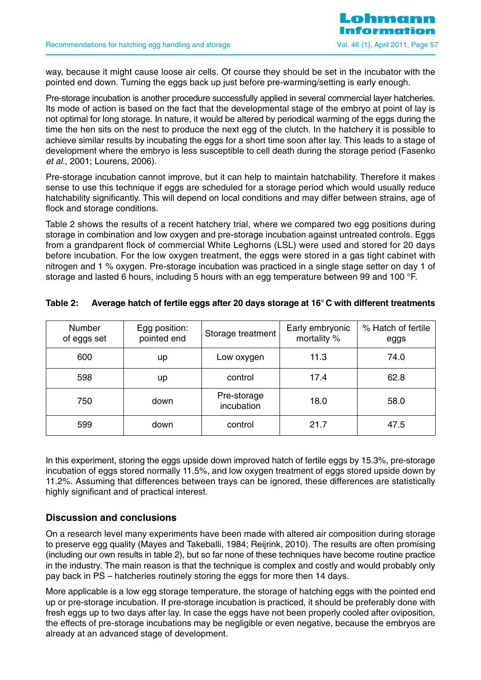way, because it might cause loose air cells. Of course they should be set in the incubator with the pointed end down. Turning the eggs back up just before pre-warming/setting is early enough.

Pre-storage incubation is another procedure successfully applied in several commercial layer hatcheries. Its mode of action is based on the fact that the developmental stage of the embryo at point of lay is not optimal for long storage. In nature, it would be altered by periodical warming of the eggs during the time the hen sits on the nest to produce the next egg of the clutch. In the hatchery it is possible to achieve similar results by incubating the eggs for a short time soon after lay. This leads to a stage of development where the embryo is less susceptible to cell death during the storage period (Fasenko et al., 2001; Lourens, 2006).

Pre-storage incubation cannot improve, but it can help to maintain hatchability. Therefore it makes sense to use this technique if eggs are scheduled for a storage period which would usually reduce hatchability significantly. This will depend on local conditions and may differ between strains, age of flock and storage conditions.

Table 2 shows the results of a recent hatchery trial, where we compared two egg positions during storage in combination and low oxygen and pre-storage incubation against untreated controls. Eggs from a grandparent flock of commercial White Leghorns (LSL) were used and stored for 20 days before incubation. For the low oxygen treatment, the eggs were stored in a gas tight cabinet with nitrogen and 1 % oxygen. Pre-storage incubation was practiced in a single stage setter on day 1 of storage and lasted 6 hours, including 5 hours with an egg temperature between 99 and 100 °F.

| <b>Number</b><br>of eggs set | Egg position:<br>pointed end | Storage treatment         | Early embryonic<br>mortality % | % Hatch of fertile<br>eggs |
|------------------------------|------------------------------|---------------------------|--------------------------------|----------------------------|
| 600                          | up                           | Low oxygen                | 11.3                           | 74.0                       |
| 598                          | up                           | control                   | 17.4                           | 62.8                       |
| 750                          | down                         | Pre-storage<br>incubation | 18.0                           | 58.0                       |
| 599                          | down                         | control                   | 21.7                           | 47.5                       |

## **Table 2: Average hatch of fertile eggs after 20 days storage at 16°C with different treatments**

In this experiment, storing the eggs upside down improved hatch of fertile eggs by 15.3%, pre-storage incubation of eggs stored normally 11.5%, and low oxygen treatment of eggs stored upside down by 11.2%. Assuming that differences between trays can be ignored, these differences are statistically highly significant and of practical interest.

#### **Discussion and conclusions**

On a research level many experiments have been made with altered air composition during storage to preserve egg quality (Mayes and Takeballi, 1984; Reijrink, 2010). The results are often promising (including our own results in table 2), but so far none of these techniques have become routine practice in the industry. The main reason is that the technique is complex and costly and would probably only pay back in PS – hatcheries routinely storing the eggs for more then 14 days.

More applicable is a low egg storage temperature, the storage of hatching eggs with the pointed end up or pre-storage incubation. If pre-storage incubation is practiced, it should be preferably done with fresh eggs up to two days after lay. In case the eggs have not been properly cooled after oviposition, the effects of pre-storage incubations may be negligible or even negative, because the embryos are already at an advanced stage of development.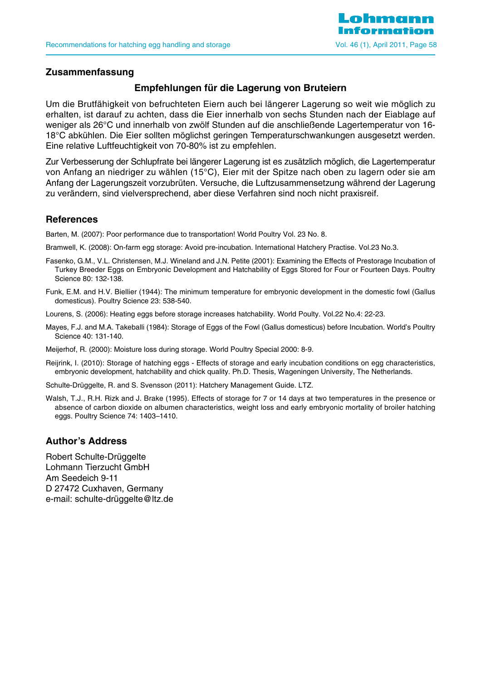

#### **Zusammenfassung**

## **Empfehlungen für die Lagerung von Bruteiern**

Um die Brutfähigkeit von befruchteten Eiern auch bei längerer Lagerung so weit wie möglich zu erhalten, ist darauf zu achten, dass die Eier innerhalb von sechs Stunden nach der Eiablage auf weniger als 26°C und innerhalb von zwölf Stunden auf die anschließende Lagertemperatur von 16- 18°C abkühlen. Die Eier sollten möglichst geringen Temperaturschwankungen ausgesetzt werden. Eine relative Luftfeuchtigkeit von 70-80% ist zu empfehlen.

Zur Verbesserung der Schlupfrate bei längerer Lagerung ist es zusätzlich möglich, die Lagertemperatur von Anfang an niedriger zu wählen (15°C), Eier mit der Spitze nach oben zu lagern oder sie am Anfang der Lagerungszeit vorzubrüten. Versuche, die Luftzusammensetzung während der Lagerung zu verändern, sind vielversprechend, aber diese Verfahren sind noch nicht praxisreif.

#### **References**

Barten, M. (2007): Poor performance due to transportation! World Poultry Vol. 23 No. 8.

Bramwell, K. (2008): On-farm egg storage: Avoid pre-incubation. International Hatchery Practise. Vol.23 No.3.

- Fasenko, G.M., V.L. Christensen, M.J. Wineland and J.N. Petite (2001): Examining the Effects of Prestorage Incubation of Turkey Breeder Eggs on Embryonic Development and Hatchability of Eggs Stored for Four or Fourteen Days. Poultry Science 80: 132-138.
- Funk, E.M. and H.V. Biellier (1944): The minimum temperature for embryonic development in the domestic fowl (Gallus domesticus). Poultry Science 23: 538-540.
- Lourens, S. (2006): Heating eggs before storage increases hatchability. World Poulty. Vol.22 No.4: 22-23.
- Mayes, F.J. and M.A. Takeballi (1984): Storage of Eggs of the Fowl (Gallus domesticus) before Incubation. World's Poultry Science 40: 131-140.

Meijerhof, R. (2000): Moisture loss during storage. World Poultry Special 2000: 8-9.

Reijrink, I. (2010): Storage of hatching eggs - Effects of storage and early incubation conditions on egg characteristics, embryonic development, hatchability and chick quality. Ph.D. Thesis, Wageningen University, The Netherlands.

Schulte-Drüggelte, R. and S. Svensson (2011): Hatchery Management Guide. LTZ.

Walsh, T.J., R.H. Rizk and J. Brake (1995). Effects of storage for 7 or 14 days at two temperatures in the presence or absence of carbon dioxide on albumen characteristics, weight loss and early embryonic mortality of broiler hatching eggs. Poultry Science 74: 1403–1410.

#### **Author's Address**

Robert Schulte-Drüggelte Lohmann Tierzucht GmbH Am Seedeich 9-11 D 27472 Cuxhaven, Germany e-mail: schulte-drüggelte@ltz.de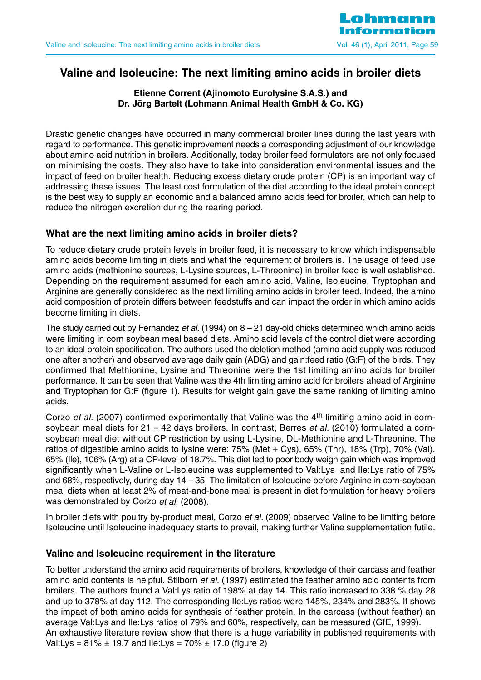

## **Valine and Isoleucine: The next limiting amino acids in broiler diets**

## **Etienne Corrent (Ajinomoto Eurolysine S.A.S.) and Dr. Jörg Bartelt (Lohmann Animal Health GmbH & Co. KG)**

Drastic genetic changes have occurred in many commercial broiler lines during the last years with regard to performance. This genetic improvement needs a corresponding adjustment of our knowledge about amino acid nutrition in broilers. Additionally, today broiler feed formulators are not only focused on minimising the costs. They also have to take into consideration environmental issues and the impact of feed on broiler health. Reducing excess dietary crude protein (CP) is an important way of addressing these issues. The least cost formulation of the diet according to the ideal protein concept is the best way to supply an economic and a balanced amino acids feed for broiler, which can help to reduce the nitrogen excretion during the rearing period.

## **What are the next limiting amino acids in broiler diets?**

To reduce dietary crude protein levels in broiler feed, it is necessary to know which indispensable amino acids become limiting in diets and what the requirement of broilers is. The usage of feed use amino acids (methionine sources, L-Lysine sources, L-Threonine) in broiler feed is well established. Depending on the requirement assumed for each amino acid, Valine, Isoleucine, Tryptophan and Arginine are generally considered as the next limiting amino acids in broiler feed. Indeed, the amino acid composition of protein differs between feedstuffs and can impact the order in which amino acids become limiting in diets.

The study carried out by Fernandez et al. (1994) on  $8 - 21$  day-old chicks determined which amino acids were limiting in corn soybean meal based diets. Amino acid levels of the control diet were according to an ideal protein specification. The authors used the deletion method (amino acid supply was reduced one after another) and observed average daily gain (ADG) and gain:feed ratio (G:F) of the birds. They confirmed that Methionine, Lysine and Threonine were the 1st limiting amino acids for broiler performance. It can be seen that Valine was the 4th limiting amino acid for broilers ahead of Arginine and Tryptophan for G:F (figure 1). Results for weight gain gave the same ranking of limiting amino acids.

Corzo et al. (2007) confirmed experimentally that Valine was the  $4<sup>th</sup>$  limiting amino acid in cornsoybean meal diets for 21 – 42 days broilers. In contrast, Berres et al. (2010) formulated a cornsoybean meal diet without CP restriction by using L-Lysine, DL-Methionine and L-Threonine. The ratios of digestible amino acids to lysine were: 75% (Met + Cys), 65% (Thr), 18% (Trp), 70% (Val), 65% (Ile), 106% (Arg) at a CP-level of 18.7%. This diet led to poor body weigh gain which was improved significantly when L-Valine or L-Isoleucine was supplemented to Val:Lys and Ile:Lys ratio of 75% and 68%, respectively, during day 14 – 35. The limitation of Isoleucine before Arginine in corn-soybean meal diets when at least 2% of meat-and-bone meal is present in diet formulation for heavy broilers was demonstrated by Corzo et al. (2008).

In broiler diets with poultry by-product meal. Corzo et al. (2009) observed Valine to be limiting before Isoleucine until Isoleucine inadequacy starts to prevail, making further Valine supplementation futile.

#### **Valine and Isoleucine requirement in the literature**

To better understand the amino acid requirements of broilers, knowledge of their carcass and feather amino acid contents is helpful. Stilborn *et al.* (1997) estimated the feather amino acid contents from broilers. The authors found a Val:Lys ratio of 198% at day 14. This ratio increased to 338 % day 28 and up to 378% at day 112. The corresponding Ile:Lys ratios were 145%, 234% and 283%. It shows the impact of both amino acids for synthesis of feather protein. In the carcass (without feather) an average Val:Lys and Ile:Lys ratios of 79% and 60%, respectively, can be measured (GfE, 1999). An exhaustive literature review show that there is a huge variability in published requirements with Val:Lys =  $81\% \pm 19.7$  and Ile:Lys =  $70\% \pm 17.0$  (figure 2)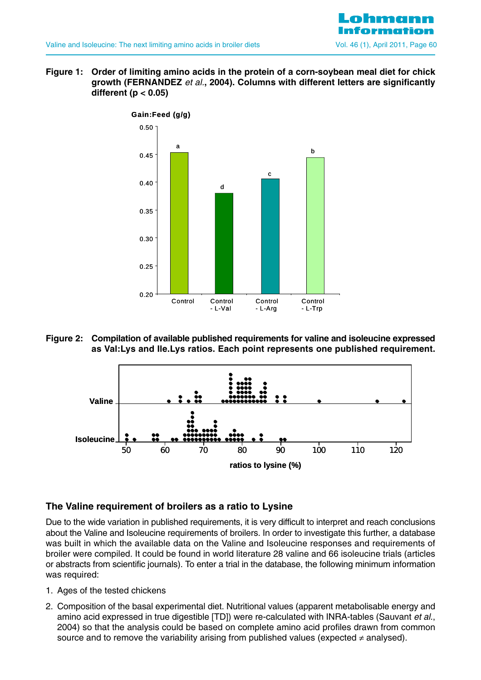

**Figure 1: Order of limiting amino acids in the protein of a corn-soybean meal diet for chick growth (FERNANDEZ** et al.**, 2004). Columns with different letters are significantly different (p < 0.05)**



**Figure 2: Compilation of available published requirements for valine and isoleucine expressed as Val:Lys and Ile.Lys ratios. Each point represents one published requirement.**



## **The Valine requirement of broilers as a ratio to Lysine**

Due to the wide variation in published requirements, it is very difficult to interpret and reach conclusions about the Valine and Isoleucine requirements of broilers. In order to investigate this further, a database was built in which the available data on the Valine and Isoleucine responses and requirements of broiler were compiled. It could be found in world literature 28 valine and 66 isoleucine trials (articles or abstracts from scientific journals). To enter a trial in the database, the following minimum information was required:

- 1. Ages of the tested chickens
- 2. Composition of the basal experimental diet. Nutritional values (apparent metabolisable energy and amino acid expressed in true digestible [TD]) were re-calculated with INRA-tables (Sauvant et al., 2004) so that the analysis could be based on complete amino acid profiles drawn from common source and to remove the variability arising from published values (expected  $\neq$  analysed).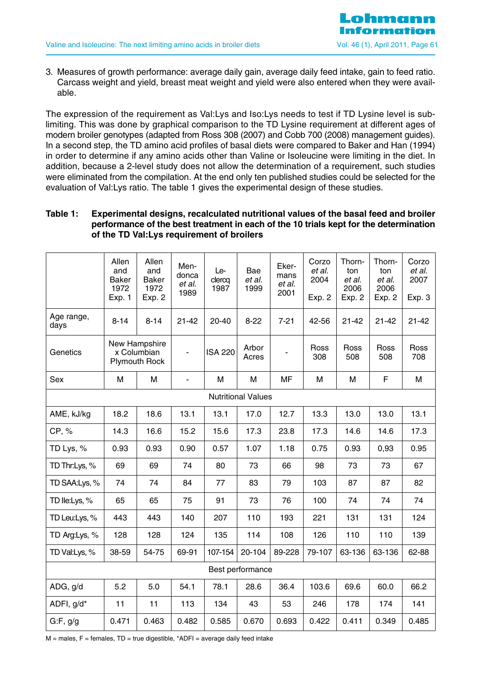

3. Measures of growth performance: average daily gain, average daily feed intake, gain to feed ratio. Carcass weight and yield, breast meat weight and yield were also entered when they were available.

The expression of the requirement as Val:Lys and Iso:Lys needs to test if TD Lysine level is sublimiting. This was done by graphical comparison to the TD Lysine requirement at different ages of modern broiler genotypes (adapted from Ross 308 (2007) and Cobb 700 (2008) management guides). In a second step, the TD amino acid profiles of basal diets were compared to Baker and Han (1994) in order to determine if any amino acids other than Valine or Isoleucine were limiting in the diet. In addition, because a 2-level study does not allow the determination of a requirement, such studies were eliminated from the compilation. At the end only ten published studies could be selected for the evaluation of Val:Lys ratio. The table 1 gives the experimental design of these studies.

#### **Table 1: Experimental designs, recalculated nutritional values of the basal feed and broiler performance of the best treatment in each of the 10 trials kept for the determination of the TD Val:Lys requirement of broilers**

|                           | Allen<br>and<br><b>Baker</b><br>1972<br><b>Exp. 1</b> | Allen<br>and<br>Baker<br>1972<br>Exp. 2              | Men-<br>donca<br>et al.<br>1989 | Le-<br>clercq<br>1987 | Bae<br>et al.<br>1999 | Eker-<br>mans<br>et al.<br>2001 | Corzo<br>et al.<br>2004<br>Exp. 2 | Thorn-<br>ton<br>et al.<br>2006<br>Exp. 2 | Thorn-<br>ton<br>et al.<br>2006<br>Exp. 2 | Corzo<br>et al.<br>2007<br>Exp. 3 |
|---------------------------|-------------------------------------------------------|------------------------------------------------------|---------------------------------|-----------------------|-----------------------|---------------------------------|-----------------------------------|-------------------------------------------|-------------------------------------------|-----------------------------------|
| Age range,<br>days        | $8 - 14$                                              | $8 - 14$                                             | $21 - 42$                       | 20-40                 | $8 - 22$              | $7 - 21$                        | 42-56                             | $21 - 42$                                 | $21 - 42$                                 | $21 - 42$                         |
| Genetics                  |                                                       | New Hampshire<br>x Columbian<br><b>Plymouth Rock</b> | $\blacksquare$                  | <b>ISA 220</b>        | Arbor<br>Acres        |                                 | Ross<br>308                       | Ross<br>508                               | Ross<br>508                               | Ross<br>708                       |
| Sex                       | M                                                     | M                                                    | $\blacksquare$                  | M                     | M                     | <b>MF</b>                       | М                                 | M                                         | F                                         | M                                 |
| <b>Nutritional Values</b> |                                                       |                                                      |                                 |                       |                       |                                 |                                   |                                           |                                           |                                   |
| AME, kJ/kg                | 18.2                                                  | 18.6                                                 | 13.1                            | 13.1                  | 17.0                  | 12.7                            | 13.3                              | 13.0                                      | 13.0                                      | 13.1                              |
| CP, %                     | 14.3                                                  | 16.6                                                 | 15.2                            | 15.6                  | 17.3                  | 23.8                            | 17.3                              | 14.6                                      | 14.6                                      | 17.3                              |
| TD Lys, %                 | 0.93                                                  | 0.93                                                 | 0.90                            | 0.57                  | 1.07                  | 1.18                            | 0.75                              | 0.93                                      | 0,93                                      | 0.95                              |
| TD Thr:Lys, %             | 69                                                    | 69                                                   | 74                              | 80                    | 73                    | 66                              | 98                                | 73                                        | 73                                        | 67                                |
| TD SAA:Lys, %             | 74                                                    | 74                                                   | 84                              | 77                    | 83                    | 79                              | 103                               | 87                                        | 87                                        | 82                                |
| TD IIe:Lys, %             | 65                                                    | 65                                                   | 75                              | 91                    | 73                    | 76                              | 100                               | 74                                        | 74                                        | 74                                |
| TD Leu:Lys, %             | 443                                                   | 443                                                  | 140                             | 207                   | 110                   | 193                             | 221                               | 131                                       | 131                                       | 124                               |
| TD Arg:Lys, %             | 128                                                   | 128                                                  | 124                             | 135                   | 114                   | 108                             | 126                               | 110                                       | 110                                       | 139                               |
| TD Val:Lys, %             | 38-59                                                 | 54-75                                                | 69-91                           | 107-154               | 20-104                | 89-228                          | 79-107                            | 63-136                                    | 63-136                                    | 62-88                             |
| Best performance          |                                                       |                                                      |                                 |                       |                       |                                 |                                   |                                           |                                           |                                   |
| ADG, g/d                  | 5.2                                                   | 5.0                                                  | 54.1                            | 78.1                  | 28.6                  | 36.4                            | 103.6                             | 69.6                                      | 60.0                                      | 66.2                              |
| ADFI, g/d*                | 11                                                    | 11                                                   | 113                             | 134                   | 43                    | 53                              | 246                               | 178                                       | 174                                       | 141                               |
| G:F, g/g                  | 0.471                                                 | 0.463                                                | 0.482                           | 0.585                 | 0.670                 | 0.693                           | 0.422                             | 0.411                                     | 0.349                                     | 0.485                             |

 $M$  = males,  $F$  = females,  $TD$  = true digestible, \*ADFI = average daily feed intake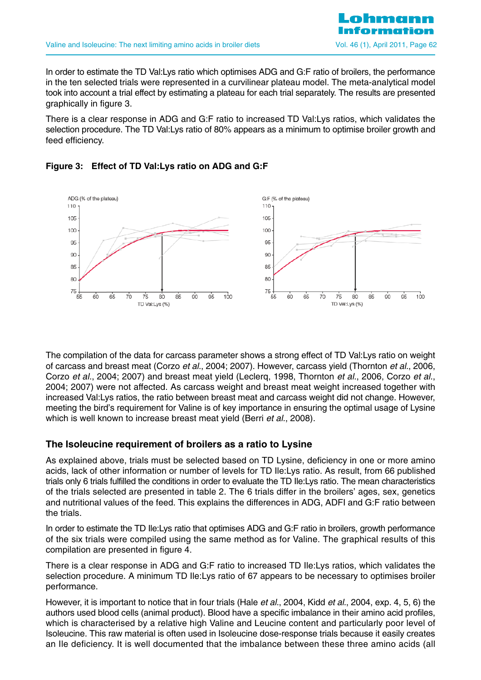In order to estimate the TD Val:Lys ratio which optimises ADG and G:F ratio of broilers, the performance in the ten selected trials were represented in a curvilinear plateau model. The meta-analytical model took into account a trial effect by estimating a plateau for each trial separately. The results are presented graphically in figure 3.

There is a clear response in ADG and G:F ratio to increased TD Val:Lys ratios, which validates the selection procedure. The TD Val:Lys ratio of 80% appears as a minimum to optimise broiler growth and feed efficiency.





The compilation of the data for carcass parameter shows a strong effect of TD Val:Lys ratio on weight of carcass and breast meat (Corzo et al., 2004; 2007). However, carcass yield (Thornton et al., 2006, Corzo et al., 2004; 2007) and breast meat yield (Leclerg, 1998, Thornton et al., 2006, Corzo et al., 2004; 2007) were not affected. As carcass weight and breast meat weight increased together with increased Val:Lys ratios, the ratio between breast meat and carcass weight did not change. However, meeting the bird's requirement for Valine is of key importance in ensuring the optimal usage of Lysine which is well known to increase breast meat yield (Berri et al., 2008).

## **The Isoleucine requirement of broilers as a ratio to Lysine**

As explained above, trials must be selected based on TD Lysine, deficiency in one or more amino acids, lack of other information or number of levels for TD Ile:Lys ratio. As result, from 66 published trials only 6 trials fulfilled the conditions in order to evaluate the TD Ile:Lys ratio. The mean characteristics of the trials selected are presented in table 2. The 6 trials differ in the broilers' ages, sex, genetics and nutritional values of the feed. This explains the differences in ADG, ADFI and G:F ratio between the trials.

In order to estimate the TD Ile:Lys ratio that optimises ADG and G:F ratio in broilers, growth performance of the six trials were compiled using the same method as for Valine. The graphical results of this compilation are presented in figure 4.

There is a clear response in ADG and G:F ratio to increased TD Ile:Lys ratios, which validates the selection procedure. A minimum TD Ile:Lys ratio of 67 appears to be necessary to optimises broiler performance.

However, it is important to notice that in four trials (Hale *et al.*, 2004, Kidd *et al.*, 2004, exp. 4, 5, 6) the authors used blood cells (animal product). Blood have a specific imbalance in their amino acid profiles, which is characterised by a relative high Valine and Leucine content and particularly poor level of Isoleucine. This raw material is often used in Isoleucine dose-response trials because it easily creates an Ile deficiency. It is well documented that the imbalance between these three amino acids (all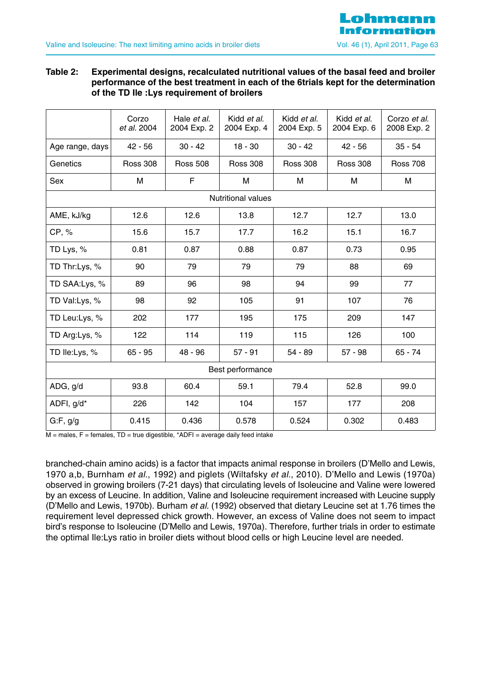#### **Table 2: Experimental designs, recalculated nutritional values of the basal feed and broiler performance of the best treatment in each of the 6trials kept for the determination of the TD Ile :Lys requirement of broilers**

|                           | Corzo<br>et al. 2004 | Hale et al.<br>2004 Exp. 2 | Kidd et al.<br>2004 Exp. 4 | Kidd et al.<br>2004 Exp. 5 | Kidd et al.<br>2004 Exp. 6 | Corzo et al.<br>2008 Exp. 2 |  |
|---------------------------|----------------------|----------------------------|----------------------------|----------------------------|----------------------------|-----------------------------|--|
| Age range, days           | $42 - 56$            | $30 - 42$                  | $18 - 30$                  | $30 - 42$                  | $42 - 56$                  | $35 - 54$                   |  |
| Genetics                  | <b>Ross 308</b>      | <b>Ross 508</b>            | <b>Ross 308</b>            | <b>Ross 308</b>            | <b>Ross 308</b>            | <b>Ross 708</b>             |  |
| Sex                       | Μ                    |                            | м                          | м                          | м                          | М                           |  |
| <b>Nutritional values</b> |                      |                            |                            |                            |                            |                             |  |
| AME, kJ/kg                | 12.6                 | 12.6                       | 13.8                       | 12.7                       | 12.7                       | 13.0                        |  |
| CP, %                     | 15.6                 | 15.7                       | 17.7                       | 16.2                       | 15.1                       | 16.7                        |  |
| TD Lys, %                 | 0.81                 | 0.87                       | 0.88                       | 0.87                       | 0.73                       | 0.95                        |  |
| TD Thr:Lys, %             | 90                   | 79                         | 79                         | 79                         | 88                         | 69                          |  |
| TD SAA:Lys, %             | 89                   | 96                         | 98                         | 94                         | 99                         | 77                          |  |
| TD Val:Lys, %             | 98                   | 92                         | 105                        | 91                         | 107                        | 76                          |  |
| TD Leu:Lys, %             | 202                  | 177                        | 195                        | 175                        | 209                        | 147                         |  |
| TD Arg:Lys, %             | 122                  | 114                        | 119                        | 115                        | 126                        | 100                         |  |
| TD Ile:Lys, %             | $65 - 95$            |                            | $57 - 91$                  | 54 - 89                    |                            | $65 - 74$                   |  |
| Best performance          |                      |                            |                            |                            |                            |                             |  |
| ADG, g/d                  | 93.8                 | 60.4                       | 59.1                       | 79.4                       | 52.8                       | 99.0                        |  |
| ADFI, g/d*                | 226                  |                            | 104                        | 157                        | 177                        | 208                         |  |
| G:F, g/g<br>0.415         |                      | 0.436                      | 0.578                      | 0.524                      | 0.302                      | 0.483                       |  |

 $M =$  males,  $F =$  females,  $TD =$  true digestible, \*ADFI = average daily feed intake

branched-chain amino acids) is a factor that impacts animal response in broilers (D'Mello and Lewis, 1970 a,b, Burnham et al., 1992) and piglets (Wiltafsky et al., 2010). D'Mello and Lewis (1970a) observed in growing broilers (7-21 days) that circulating levels of Isoleucine and Valine were lowered by an excess of Leucine. In addition, Valine and Isoleucine requirement increased with Leucine supply (D'Mello and Lewis, 1970b). Burham et al. (1992) observed that dietary Leucine set at 1.76 times the requirement level depressed chick growth. However, an excess of Valine does not seem to impact bird's response to Isoleucine (D'Mello and Lewis, 1970a). Therefore, further trials in order to estimate the optimal Ile:Lys ratio in broiler diets without blood cells or high Leucine level are needed.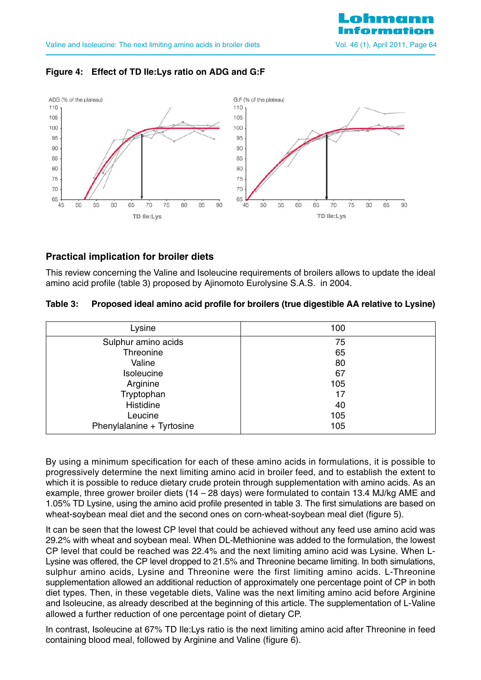

#### **Figure 4: Effect of TD Ile:Lys ratio on ADG and G:F**

## **Practical implication for broiler diets**

This review concerning the Valine and Isoleucine requirements of broilers allows to update the ideal amino acid profile (table 3) proposed by Ajinomoto Eurolysine S.A.S. in 2004.

|  |  |  | Table 3: Proposed ideal amino acid profile for broilers (true digestible AA relative to Lysine) |  |
|--|--|--|-------------------------------------------------------------------------------------------------|--|
|--|--|--|-------------------------------------------------------------------------------------------------|--|

| Lysine                    | 100 |
|---------------------------|-----|
| Sulphur amino acids       | 75  |
| Threonine                 | 65  |
| Valine                    | 80  |
| Isoleucine                | 67  |
| Arginine                  | 105 |
| Tryptophan                | 17  |
| Histidine                 | 40  |
| Leucine                   | 105 |
| Phenylalanine + Tyrtosine | 105 |

By using a minimum specification for each of these amino acids in formulations, it is possible to progressively determine the next limiting amino acid in broiler feed, and to establish the extent to which it is possible to reduce dietary crude protein through supplementation with amino acids. As an example, three grower broiler diets (14 – 28 days) were formulated to contain 13.4 MJ/kg AME and 1.05% TD Lysine, using the amino acid profile presented in table 3. The first simulations are based on wheat-soybean meal diet and the second ones on corn-wheat-soybean meal diet (figure 5).

It can be seen that the lowest CP level that could be achieved without any feed use amino acid was 29.2% with wheat and soybean meal. When DL-Methionine was added to the formulation, the lowest CP level that could be reached was 22.4% and the next limiting amino acid was Lysine. When L-Lysine was offered, the CP level dropped to 21.5% and Threonine became limiting. In both simulations, sulphur amino acids, Lysine and Threonine were the first limiting amino acids. L-Threonine supplementation allowed an additional reduction of approximately one percentage point of CP in both diet types. Then, in these vegetable diets, Valine was the next limiting amino acid before Arginine and Isoleucine, as already described at the beginning of this article. The supplementation of L-Valine allowed a further reduction of one percentage point of dietary CP.

In contrast, Isoleucine at 67% TD Ile:Lys ratio is the next limiting amino acid after Threonine in feed containing blood meal, followed by Arginine and Valine (figure 6).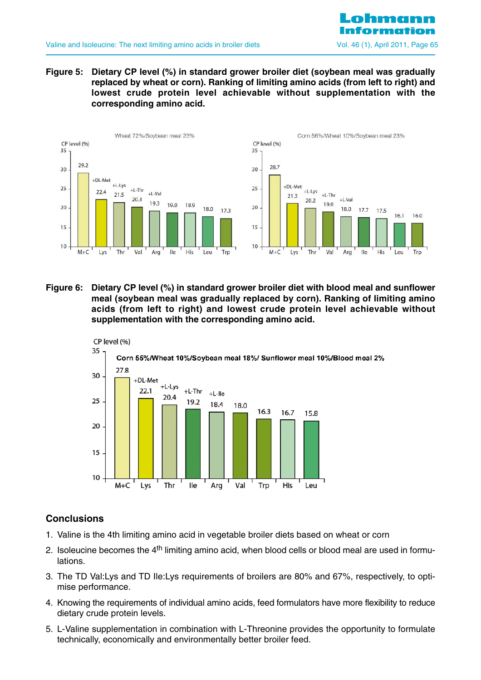

**Figure 5: Dietary CP level (%) in standard grower broiler diet (soybean meal was gradually replaced by wheat or corn). Ranking of limiting amino acids (from left to right) and lowest crude protein level achievable without supplementation with the corresponding amino acid.**



**Figure 6: Dietary CP level (%) in standard grower broiler diet with blood meal and sunflower meal (soybean meal was gradually replaced by corn). Ranking of limiting amino acids (from left to right) and lowest crude protein level achievable without supplementation with the corresponding amino acid.**



## **Conclusions**

- 1. Valine is the 4th limiting amino acid in vegetable broiler diets based on wheat or corn
- 2. Isoleucine becomes the 4<sup>th</sup> limiting amino acid, when blood cells or blood meal are used in formulations.
- 3. The TD Val:Lys and TD Ile:Lys requirements of broilers are 80% and 67%, respectively, to optimise performance.
- 4. Knowing the requirements of individual amino acids, feed formulators have more flexibility to reduce dietary crude protein levels.
- 5. L-Valine supplementation in combination with L-Threonine provides the opportunity to formulate technically, economically and environmentally better broiler feed.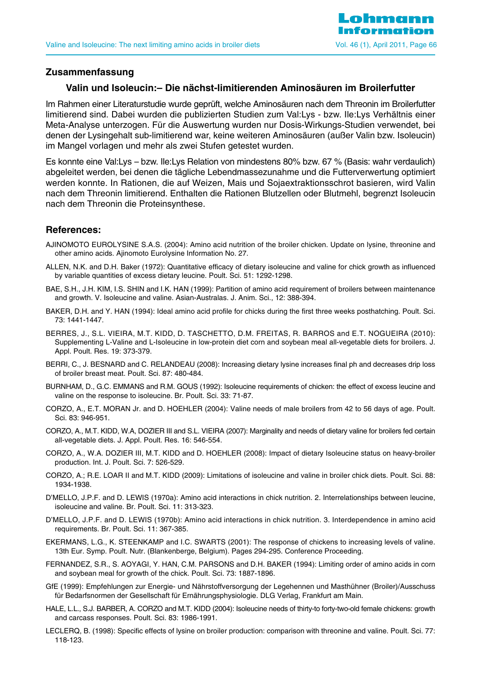

#### **Zusammenfassung**

#### **Valin und Isoleucin:– Die nächst-limitierenden Aminosäuren im Broilerfutter**

Im Rahmen einer Literaturstudie wurde geprüft, welche Aminosäuren nach dem Threonin im Broilerfutter limitierend sind. Dabei wurden die publizierten Studien zum Val:Lys - bzw. Ile:Lys Verhältnis einer Meta-Analyse unterzogen. Für die Auswertung wurden nur Dosis-Wirkungs-Studien verwendet, bei denen der Lysingehalt sub-limitierend war, keine weiteren Aminosäuren (außer Valin bzw. Isoleucin) im Mangel vorlagen und mehr als zwei Stufen getestet wurden.

Es konnte eine Val:Lys – bzw. Ile:Lys Relation von mindestens 80% bzw. 67 % (Basis: wahr verdaulich) abgeleitet werden, bei denen die tägliche Lebendmassezunahme und die Futterverwertung optimiert werden konnte. In Rationen, die auf Weizen, Mais und Sojaextraktionsschrot basieren, wird Valin nach dem Threonin limitierend. Enthalten die Rationen Blutzellen oder Blutmehl, begrenzt Isoleucin nach dem Threonin die Proteinsynthese.

#### **References:**

- AJINOMOTO EUROLYSINE S.A.S. (2004): Amino acid nutrition of the broiler chicken. Update on lysine, threonine and other amino acids. Ajinomoto Eurolysine Information No. 27.
- ALLEN, N.K. and D.H. Baker (1972): Quantitative efficacy of dietary isoleucine and valine for chick growth as influenced by variable quantities of excess dietary leucine. Poult. Sci. 51: 1292-1298.
- BAE, S.H., J.H. KIM, I.S. SHIN and I.K. HAN (1999): Partition of amino acid requirement of broilers between maintenance and growth. V. Isoleucine and valine. Asian-Australas. J. Anim. Sci., 12: 388-394.
- BAKER, D.H. and Y. HAN (1994): Ideal amino acid profile for chicks during the first three weeks posthatching. Poult. Sci. 73: 1441-1447.
- BERRES, J., S.L. VIEIRA, M.T. KIDD, D. TASCHETTO, D.M. FREITAS, R. BARROS and E.T. NOGUEIRA (2010): Supplementing L-Valine and L-Isoleucine in low-protein diet corn and soybean meal all-vegetable diets for broilers. J. Appl. Poult. Res. 19: 373-379.
- BERRI, C., J. BESNARD and C. RELANDEAU (2008): Increasing dietary lysine increases final ph and decreases drip loss of broiler breast meat. Poult. Sci. 87: 480-484.
- BURNHAM, D., G.C. EMMANS and R.M. GOUS (1992): Isoleucine requirements of chicken: the effect of excess leucine and valine on the response to isoleucine. Br. Poult. Sci. 33: 71-87.
- CORZO, A., E.T. MORAN Jr. and D. HOEHLER (2004): Valine needs of male broilers from 42 to 56 days of age. Poult. Sci. 83: 946-951.
- CORZO, A., M.T. KIDD, W.A, DOZIER III and S.L. VIEIRA (2007): Marginality and needs of dietary valine for broilers fed certain all-vegetable diets. J. Appl. Poult. Res. 16: 546-554.
- CORZO, A., W.A. DOZIER III, M.T. KIDD and D. HOEHLER (2008): Impact of dietary Isoleucine status on heavy-broiler production. Int. J. Poult. Sci. 7: 526-529.
- CORZO, A.; R.E. LOAR II and M.T. KIDD (2009): Limitations of isoleucine and valine in broiler chick diets. Poult. Sci. 88: 1934-1938.
- D'MELLO, J.P.F. and D. LEWIS (1970a): Amino acid interactions in chick nutrition. 2. Interrelationships between leucine, isoleucine and valine. Br. Poult. Sci. 11: 313-323.
- D'MELLO, J.P.F. and D. LEWIS (1970b): Amino acid interactions in chick nutrition. 3. Interdependence in amino acid requirements. Br. Poult. Sci. 11: 367-385.
- EKERMANS, L.G., K. STEENKAMP and I.C. SWARTS (2001): The response of chickens to increasing levels of valine. 13th Eur. Symp. Poult. Nutr. (Blankenberge, Belgium). Pages 294-295. Conference Proceeding.
- FERNANDEZ, S.R., S. AOYAGI, Y. HAN, C.M. PARSONS and D.H. BAKER (1994): Limiting order of amino acids in corn and soybean meal for growth of the chick. Poult. Sci. 73: 1887-1896.
- GfE (1999): Empfehlungen zur Energie- und Nährstoffversorgung der Legehennen und Masthühner (Broiler)/Ausschuss für Bedarfsnormen der Gesellschaft für Ernährungsphysiologie. DLG Verlag, Frankfurt am Main.
- HALE, L.L., S.J. BARBER, A. CORZO and M.T. KIDD (2004): Isoleucine needs of thirty-to forty-two-old female chickens: growth and carcass responses. Poult. Sci. 83: 1986-1991.
- LECLERQ, B. (1998): Specific effects of lysine on broiler production: comparison with threonine and valine. Poult. Sci. 77: 118-123.